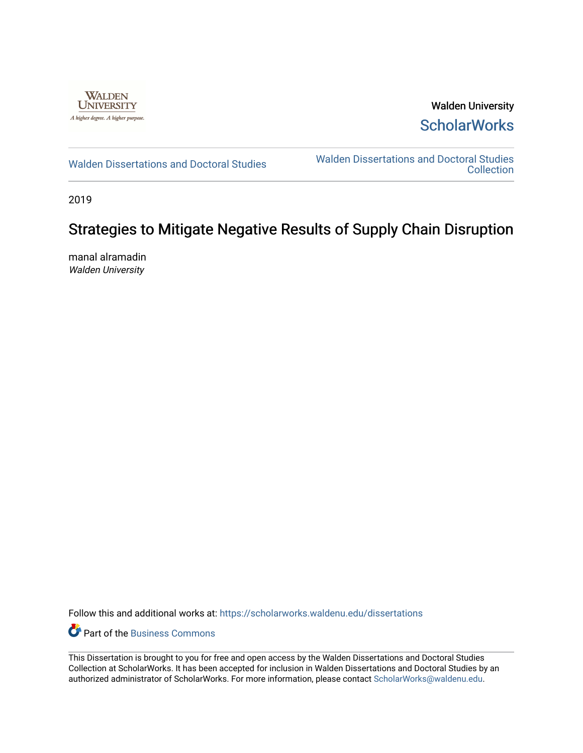

Walden University **ScholarWorks** 

[Walden Dissertations and Doctoral Studies](https://scholarworks.waldenu.edu/dissertations) Walden Dissertations and Doctoral Studies **Collection** 

2019

# Strategies to Mitigate Negative Results of Supply Chain Disruption

manal alramadin Walden University

Follow this and additional works at: [https://scholarworks.waldenu.edu/dissertations](https://scholarworks.waldenu.edu/dissertations?utm_source=scholarworks.waldenu.edu%2Fdissertations%2F7909&utm_medium=PDF&utm_campaign=PDFCoverPages)

**P** Part of the [Business Commons](http://network.bepress.com/hgg/discipline/622?utm_source=scholarworks.waldenu.edu%2Fdissertations%2F7909&utm_medium=PDF&utm_campaign=PDFCoverPages)

This Dissertation is brought to you for free and open access by the Walden Dissertations and Doctoral Studies Collection at ScholarWorks. It has been accepted for inclusion in Walden Dissertations and Doctoral Studies by an authorized administrator of ScholarWorks. For more information, please contact [ScholarWorks@waldenu.edu](mailto:ScholarWorks@waldenu.edu).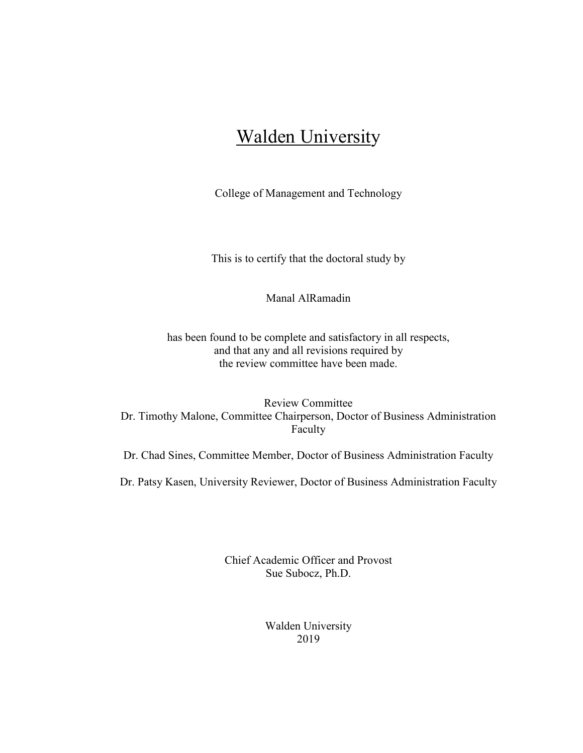# Walden University

College of Management and Technology

This is to certify that the doctoral study by

Manal AlRamadin

has been found to be complete and satisfactory in all respects, and that any and all revisions required by the review committee have been made.

Review Committee Dr. Timothy Malone, Committee Chairperson, Doctor of Business Administration Faculty

Dr. Chad Sines, Committee Member, Doctor of Business Administration Faculty

Dr. Patsy Kasen, University Reviewer, Doctor of Business Administration Faculty

Chief Academic Officer and Provost Sue Subocz, Ph.D.

> Walden University 2019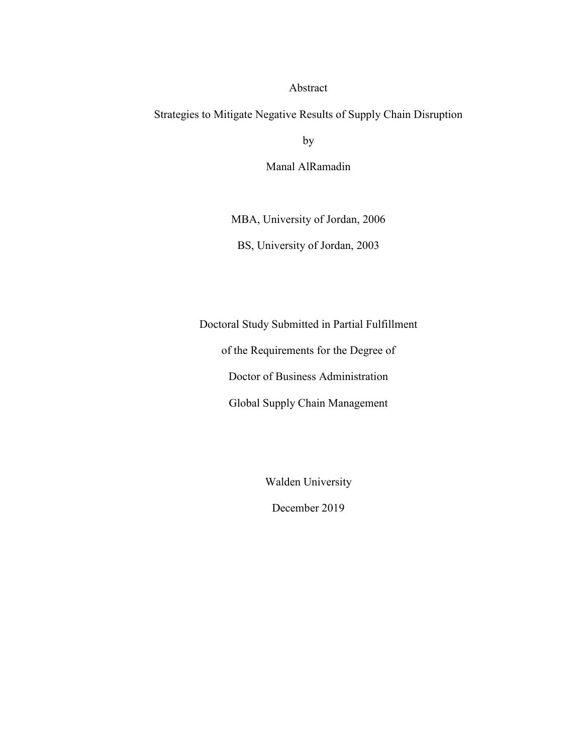# Abstract

Strategies to Mitigate Negative Results of Supply Chain Disruption

by

Manal AlRamadin

MBA, University of Jordan, 2006

BS, University of Jordan, 2003

Doctoral Study Submitted in Partial Fulfillment

of the Requirements for the Degree of

Doctor of Business Administration

Global Supply Chain Management

Walden University

December 2019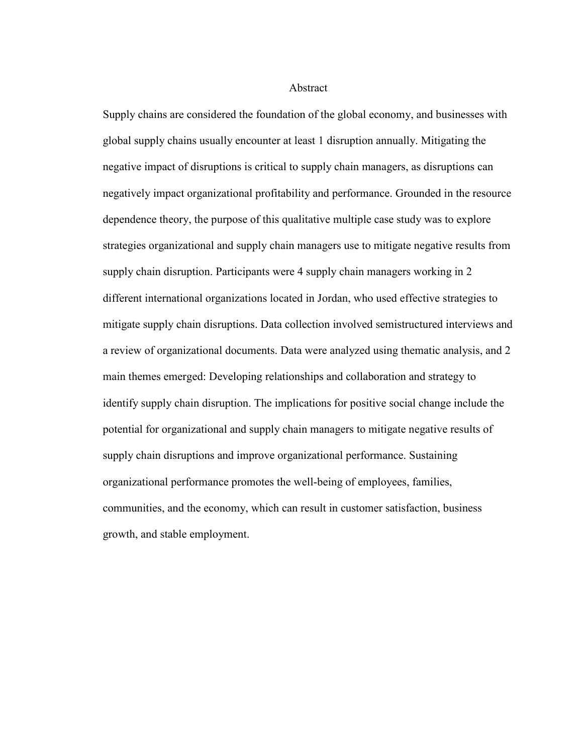Abstract

Supply chains are considered the foundation of the global economy, and businesses with global supply chains usually encounter at least 1 disruption annually. Mitigating the negative impact of disruptions is critical to supply chain managers, as disruptions can negatively impact organizational profitability and performance. Grounded in the resource dependence theory, the purpose of this qualitative multiple case study was to explore strategies organizational and supply chain managers use to mitigate negative results from supply chain disruption. Participants were 4 supply chain managers working in 2 different international organizations located in Jordan, who used effective strategies to mitigate supply chain disruptions. Data collection involved semistructured interviews and a review of organizational documents. Data were analyzed using thematic analysis, and 2 main themes emerged: Developing relationships and collaboration and strategy to identify supply chain disruption. The implications for positive social change include the potential for organizational and supply chain managers to mitigate negative results of supply chain disruptions and improve organizational performance. Sustaining organizational performance promotes the well-being of employees, families, communities, and the economy, which can result in customer satisfaction, business growth, and stable employment.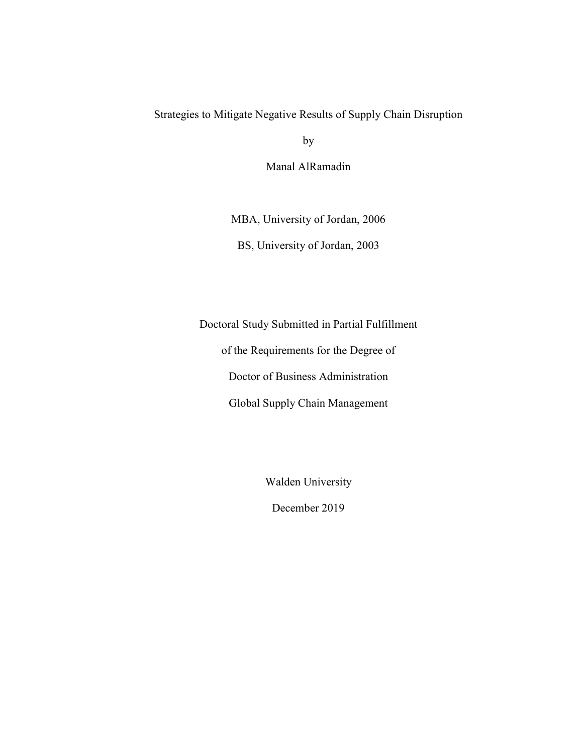# Strategies to Mitigate Negative Results of Supply Chain Disruption

by

Manal AlRamadin

MBA, University of Jordan, 2006

BS, University of Jordan, 2003

Doctoral Study Submitted in Partial Fulfillment

of the Requirements for the Degree of

Doctor of Business Administration

Global Supply Chain Management

Walden University

December 2019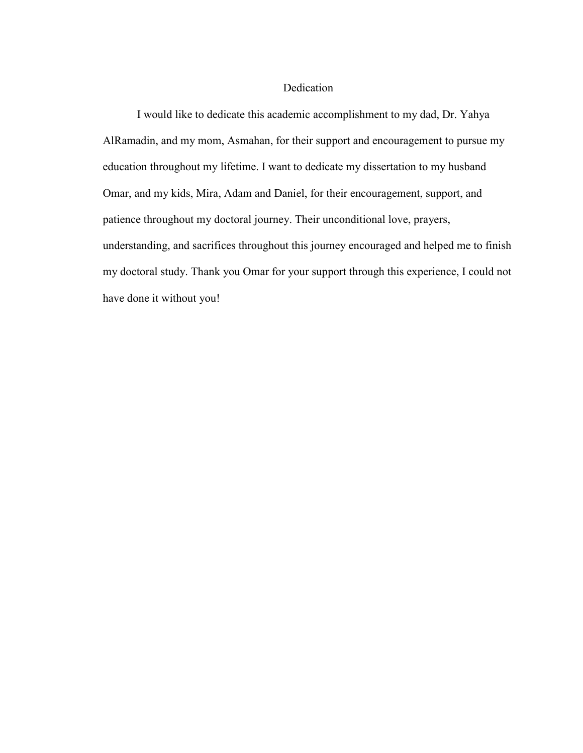# Dedication

I would like to dedicate this academic accomplishment to my dad, Dr. Yahya AlRamadin, and my mom, Asmahan, for their support and encouragement to pursue my education throughout my lifetime. I want to dedicate my dissertation to my husband Omar, and my kids, Mira, Adam and Daniel, for their encouragement, support, and patience throughout my doctoral journey. Their unconditional love, prayers, understanding, and sacrifices throughout this journey encouraged and helped me to finish my doctoral study. Thank you Omar for your support through this experience, I could not have done it without you!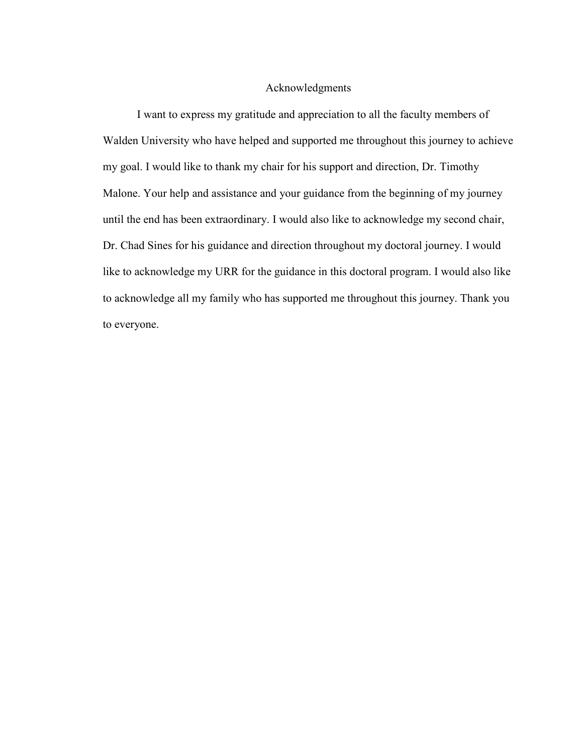## Acknowledgments

I want to express my gratitude and appreciation to all the faculty members of Walden University who have helped and supported me throughout this journey to achieve my goal. I would like to thank my chair for his support and direction, Dr. Timothy Malone. Your help and assistance and your guidance from the beginning of my journey until the end has been extraordinary. I would also like to acknowledge my second chair, Dr. Chad Sines for his guidance and direction throughout my doctoral journey. I would like to acknowledge my URR for the guidance in this doctoral program. I would also like to acknowledge all my family who has supported me throughout this journey. Thank you to everyone.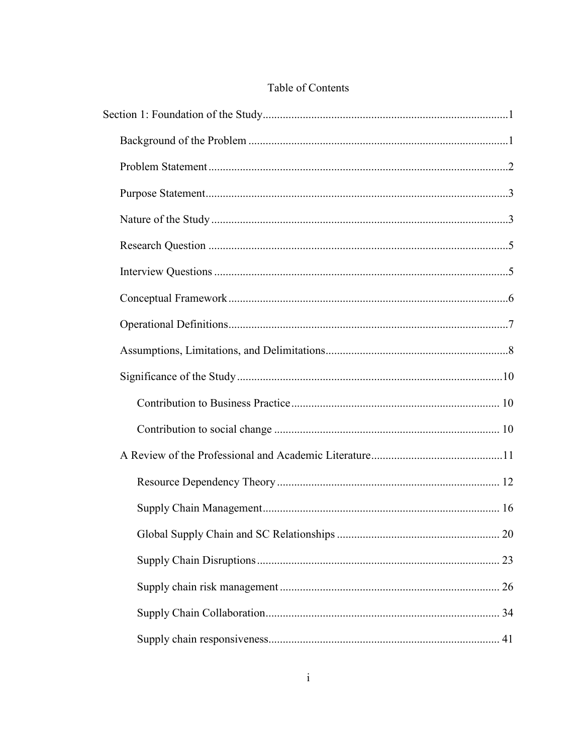# Table of Contents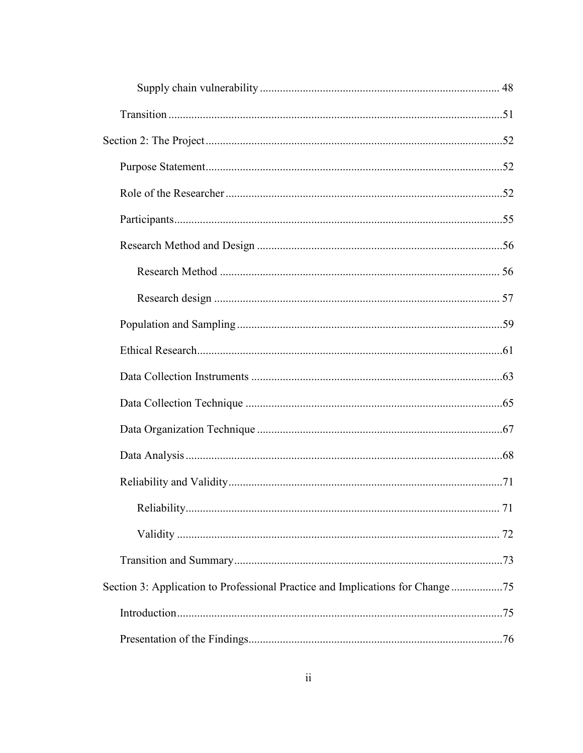| Section 3: Application to Professional Practice and Implications for Change 75 |  |
|--------------------------------------------------------------------------------|--|
|                                                                                |  |
|                                                                                |  |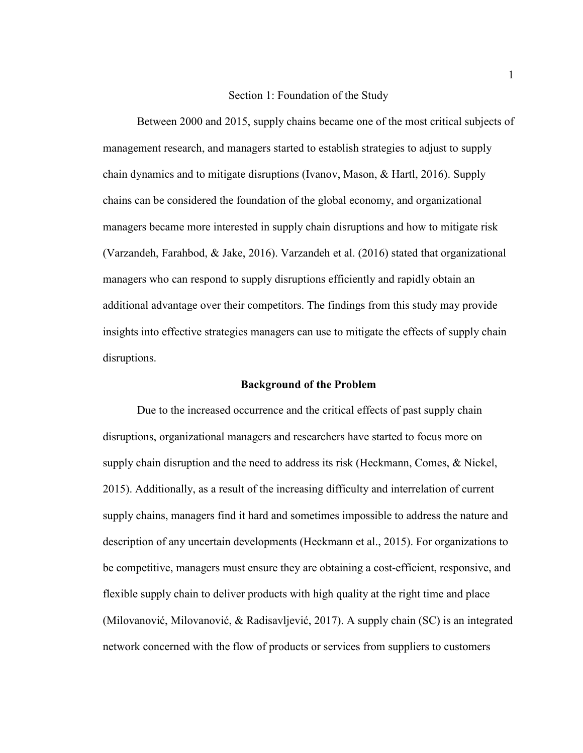#### Section 1: Foundation of the Study

Between 2000 and 2015, supply chains became one of the most critical subjects of management research, and managers started to establish strategies to adjust to supply chain dynamics and to mitigate disruptions (Ivanov, Mason, & Hartl, 2016). Supply chains can be considered the foundation of the global economy, and organizational managers became more interested in supply chain disruptions and how to mitigate risk (Varzandeh, Farahbod, & Jake, 2016). Varzandeh et al. (2016) stated that organizational managers who can respond to supply disruptions efficiently and rapidly obtain an additional advantage over their competitors. The findings from this study may provide insights into effective strategies managers can use to mitigate the effects of supply chain disruptions.

#### **Background of the Problem**

Due to the increased occurrence and the critical effects of past supply chain disruptions, organizational managers and researchers have started to focus more on supply chain disruption and the need to address its risk (Heckmann, Comes, & Nickel, 2015). Additionally, as a result of the increasing difficulty and interrelation of current supply chains, managers find it hard and sometimes impossible to address the nature and description of any uncertain developments (Heckmann et al., 2015). For organizations to be competitive, managers must ensure they are obtaining a cost-efficient, responsive, and flexible supply chain to deliver products with high quality at the right time and place (Milovanović, Milovanović, & Radisavljević, 2017). A supply chain (SC) is an integrated network concerned with the flow of products or services from suppliers to customers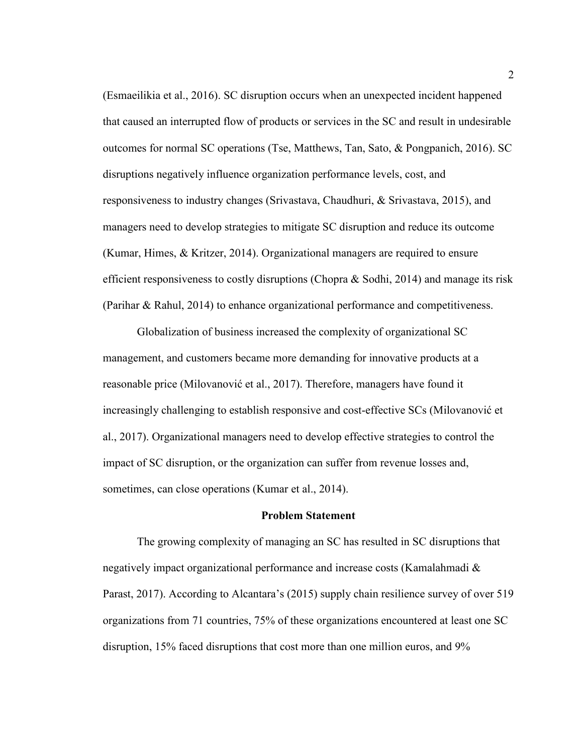(Esmaeilikia et al., 2016). SC disruption occurs when an unexpected incident happened that caused an interrupted flow of products or services in the SC and result in undesirable outcomes for normal SC operations (Tse, Matthews, Tan, Sato, & Pongpanich, 2016). SC disruptions negatively influence organization performance levels, cost, and responsiveness to industry changes (Srivastava, Chaudhuri, & Srivastava, 2015), and managers need to develop strategies to mitigate SC disruption and reduce its outcome (Kumar, Himes, & Kritzer, 2014). Organizational managers are required to ensure efficient responsiveness to costly disruptions (Chopra & Sodhi, 2014) and manage its risk (Parihar & Rahul, 2014) to enhance organizational performance and competitiveness.

Globalization of business increased the complexity of organizational SC management, and customers became more demanding for innovative products at a reasonable price (Milovanović et al., 2017). Therefore, managers have found it increasingly challenging to establish responsive and cost-effective SCs (Milovanović et al., 2017). Organizational managers need to develop effective strategies to control the impact of SC disruption, or the organization can suffer from revenue losses and, sometimes, can close operations (Kumar et al., 2014).

#### **Problem Statement**

The growing complexity of managing an SC has resulted in SC disruptions that negatively impact organizational performance and increase costs (Kamalahmadi & Parast, 2017). According to Alcantara's (2015) supply chain resilience survey of over 519 organizations from 71 countries, 75% of these organizations encountered at least one SC disruption, 15% faced disruptions that cost more than one million euros, and 9%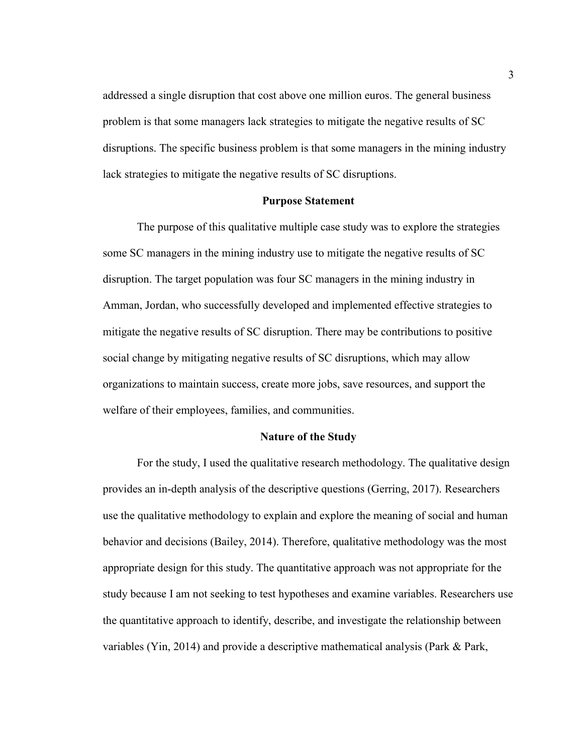addressed a single disruption that cost above one million euros. The general business problem is that some managers lack strategies to mitigate the negative results of SC disruptions. The specific business problem is that some managers in the mining industry lack strategies to mitigate the negative results of SC disruptions.

#### **Purpose Statement**

The purpose of this qualitative multiple case study was to explore the strategies some SC managers in the mining industry use to mitigate the negative results of SC disruption. The target population was four SC managers in the mining industry in Amman, Jordan, who successfully developed and implemented effective strategies to mitigate the negative results of SC disruption. There may be contributions to positive social change by mitigating negative results of SC disruptions, which may allow organizations to maintain success, create more jobs, save resources, and support the welfare of their employees, families, and communities.

## **Nature of the Study**

For the study, I used the qualitative research methodology. The qualitative design provides an in-depth analysis of the descriptive questions (Gerring, 2017). Researchers use the qualitative methodology to explain and explore the meaning of social and human behavior and decisions (Bailey, 2014). Therefore, qualitative methodology was the most appropriate design for this study. The quantitative approach was not appropriate for the study because I am not seeking to test hypotheses and examine variables. Researchers use the quantitative approach to identify, describe, and investigate the relationship between variables (Yin, 2014) and provide a descriptive mathematical analysis (Park & Park,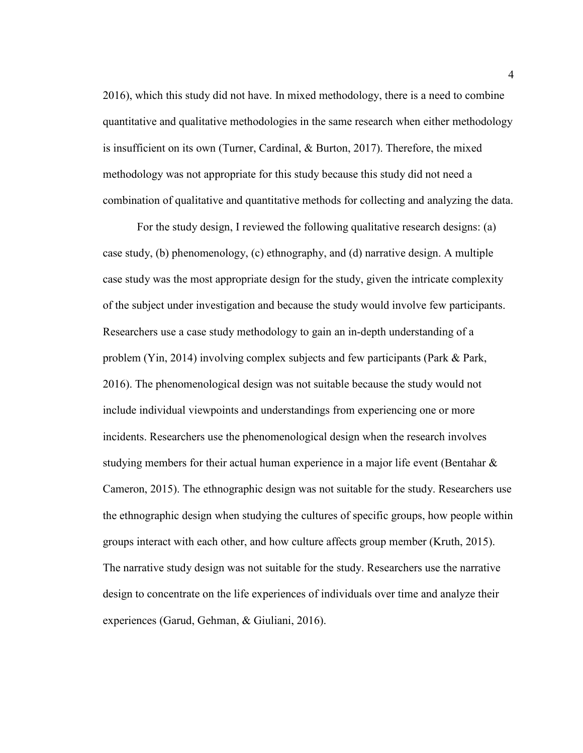2016), which this study did not have. In mixed methodology, there is a need to combine quantitative and qualitative methodologies in the same research when either methodology is insufficient on its own (Turner, Cardinal, & Burton, 2017). Therefore, the mixed methodology was not appropriate for this study because this study did not need a combination of qualitative and quantitative methods for collecting and analyzing the data.

For the study design, I reviewed the following qualitative research designs: (a) case study, (b) phenomenology, (c) ethnography, and (d) narrative design. A multiple case study was the most appropriate design for the study, given the intricate complexity of the subject under investigation and because the study would involve few participants. Researchers use a case study methodology to gain an in-depth understanding of a problem (Yin, 2014) involving complex subjects and few participants (Park & Park, 2016). The phenomenological design was not suitable because the study would not include individual viewpoints and understandings from experiencing one or more incidents. Researchers use the phenomenological design when the research involves studying members for their actual human experience in a major life event (Bentahar & Cameron, 2015). The ethnographic design was not suitable for the study. Researchers use the ethnographic design when studying the cultures of specific groups, how people within groups interact with each other, and how culture affects group member (Kruth, 2015). The narrative study design was not suitable for the study. Researchers use the narrative design to concentrate on the life experiences of individuals over time and analyze their experiences (Garud, Gehman, & Giuliani, 2016).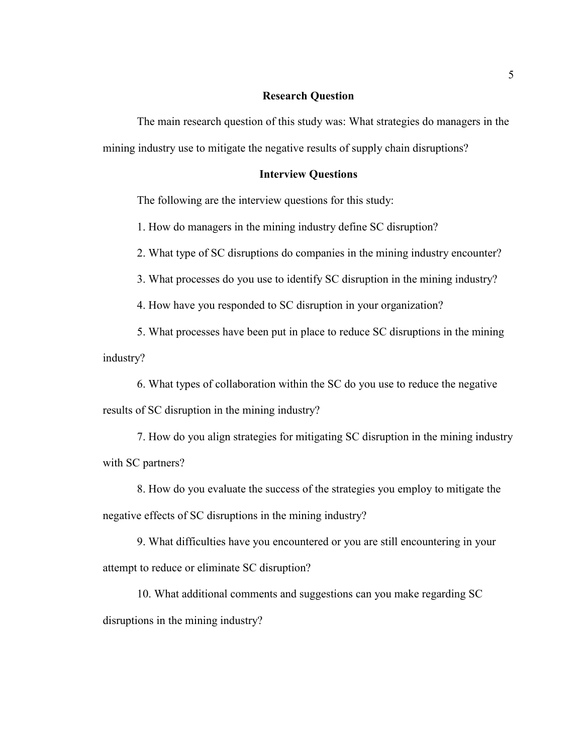#### **Research Question**

The main research question of this study was: What strategies do managers in the mining industry use to mitigate the negative results of supply chain disruptions?

# **Interview Questions**

The following are the interview questions for this study:

1. How do managers in the mining industry define SC disruption?

2. What type of SC disruptions do companies in the mining industry encounter?

3. What processes do you use to identify SC disruption in the mining industry?

4. How have you responded to SC disruption in your organization?

5. What processes have been put in place to reduce SC disruptions in the mining industry?

6. What types of collaboration within the SC do you use to reduce the negative results of SC disruption in the mining industry?

7. How do you align strategies for mitigating SC disruption in the mining industry with SC partners?

8. How do you evaluate the success of the strategies you employ to mitigate the negative effects of SC disruptions in the mining industry?

9. What difficulties have you encountered or you are still encountering in your attempt to reduce or eliminate SC disruption?

10. What additional comments and suggestions can you make regarding SC disruptions in the mining industry?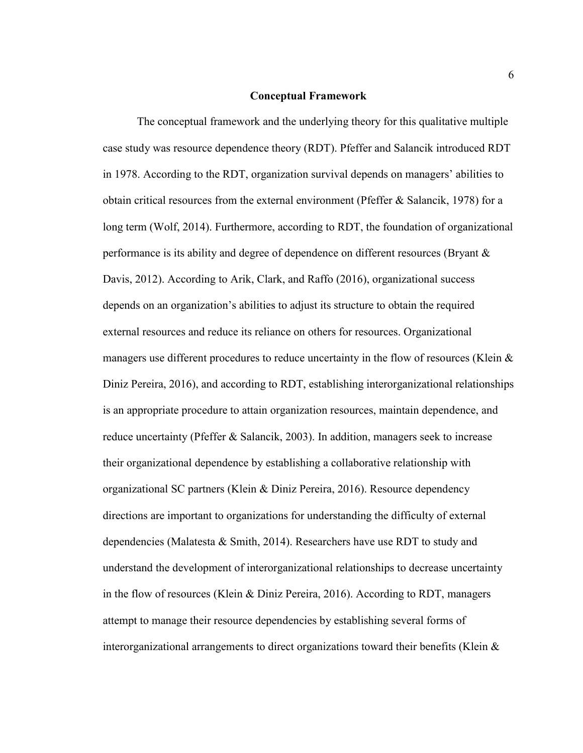#### **Conceptual Framework**

The conceptual framework and the underlying theory for this qualitative multiple case study was resource dependence theory (RDT). Pfeffer and Salancik introduced RDT in 1978. According to the RDT, organization survival depends on managers' abilities to obtain critical resources from the external environment (Pfeffer  $\&$  Salancik, 1978) for a long term (Wolf, 2014). Furthermore, according to RDT, the foundation of organizational performance is its ability and degree of dependence on different resources (Bryant & Davis, 2012). According to Arik, Clark, and Raffo (2016), organizational success depends on an organization's abilities to adjust its structure to obtain the required external resources and reduce its reliance on others for resources. Organizational managers use different procedures to reduce uncertainty in the flow of resources (Klein & Diniz Pereira, 2016), and according to RDT, establishing interorganizational relationships is an appropriate procedure to attain organization resources, maintain dependence, and reduce uncertainty (Pfeffer & Salancik, 2003). In addition, managers seek to increase their organizational dependence by establishing a collaborative relationship with organizational SC partners (Klein & Diniz Pereira, 2016). Resource dependency directions are important to organizations for understanding the difficulty of external dependencies (Malatesta & Smith, 2014). Researchers have use RDT to study and understand the development of interorganizational relationships to decrease uncertainty in the flow of resources (Klein & Diniz Pereira, 2016). According to RDT, managers attempt to manage their resource dependencies by establishing several forms of interorganizational arrangements to direct organizations toward their benefits (Klein &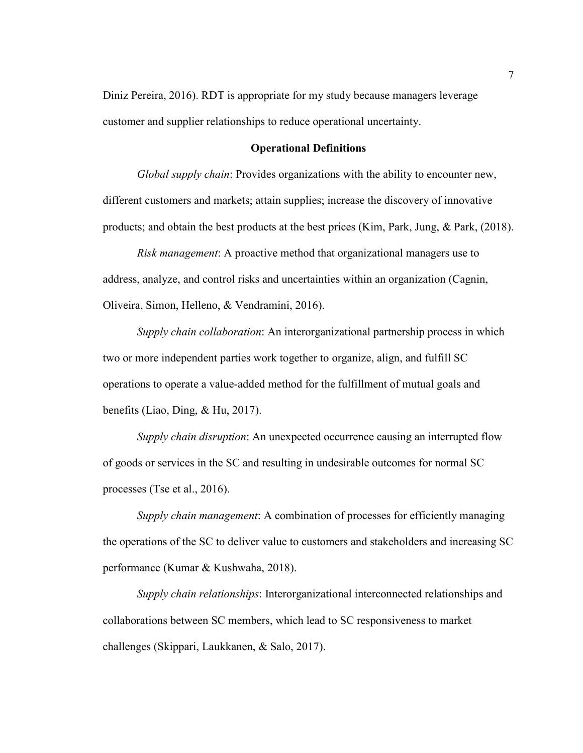Diniz Pereira, 2016). RDT is appropriate for my study because managers leverage customer and supplier relationships to reduce operational uncertainty.

#### **Operational Definitions**

*Global supply chain*: Provides organizations with the ability to encounter new, different customers and markets; attain supplies; increase the discovery of innovative products; and obtain the best products at the best prices (Kim, Park, Jung, & Park, (2018).

*Risk management*: A proactive method that organizational managers use to address, analyze, and control risks and uncertainties within an organization (Cagnin, Oliveira, Simon, Helleno, & Vendramini, 2016).

*Supply chain collaboration*: An interorganizational partnership process in which two or more independent parties work together to organize, align, and fulfill SC operations to operate a value-added method for the fulfillment of mutual goals and benefits (Liao, Ding, & Hu, 2017).

*Supply chain disruption*: An unexpected occurrence causing an interrupted flow of goods or services in the SC and resulting in undesirable outcomes for normal SC processes (Tse et al., 2016).

*Supply chain management*: A combination of processes for efficiently managing the operations of the SC to deliver value to customers and stakeholders and increasing SC performance (Kumar & Kushwaha, 2018).

*Supply chain relationships*: Interorganizational interconnected relationships and collaborations between SC members, which lead to SC responsiveness to market challenges (Skippari, Laukkanen, & Salo, 2017).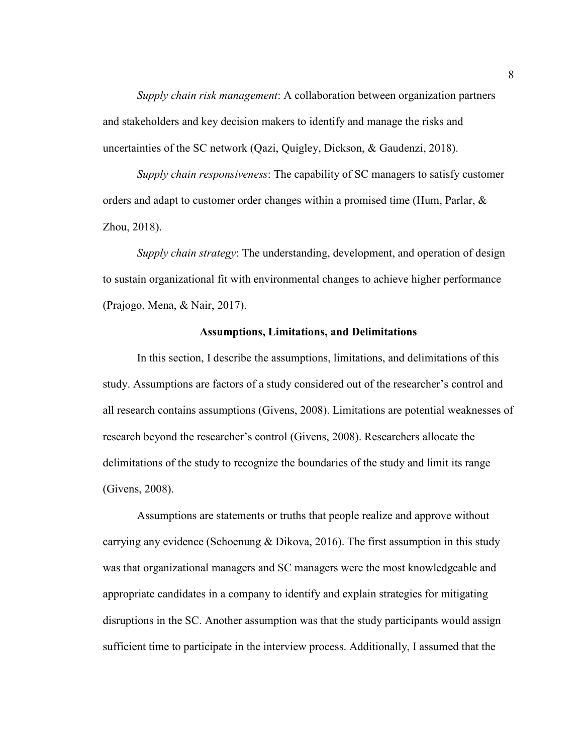*Supply chain risk management*: A collaboration between organization partners and stakeholders and key decision makers to identify and manage the risks and uncertainties of the SC network (Qazi, Quigley, Dickson, & Gaudenzi, 2018).

*Supply chain responsiveness*: The capability of SC managers to satisfy customer orders and adapt to customer order changes within a promised time (Hum, Parlar, & Zhou, 2018).

*Supply chain strategy*: The understanding, development, and operation of design to sustain organizational fit with environmental changes to achieve higher performance (Prajogo, Mena, & Nair, 2017).

## **Assumptions, Limitations, and Delimitations**

In this section, I describe the assumptions, limitations, and delimitations of this study. Assumptions are factors of a study considered out of the researcher's control and all research contains assumptions (Givens, 2008). Limitations are potential weaknesses of research beyond the researcher's control (Givens, 2008). Researchers allocate the delimitations of the study to recognize the boundaries of the study and limit its range (Givens, 2008).

Assumptions are statements or truths that people realize and approve without carrying any evidence (Schoenung & Dikova, 2016). The first assumption in this study was that organizational managers and SC managers were the most knowledgeable and appropriate candidates in a company to identify and explain strategies for mitigating disruptions in the SC. Another assumption was that the study participants would assign sufficient time to participate in the interview process. Additionally, I assumed that the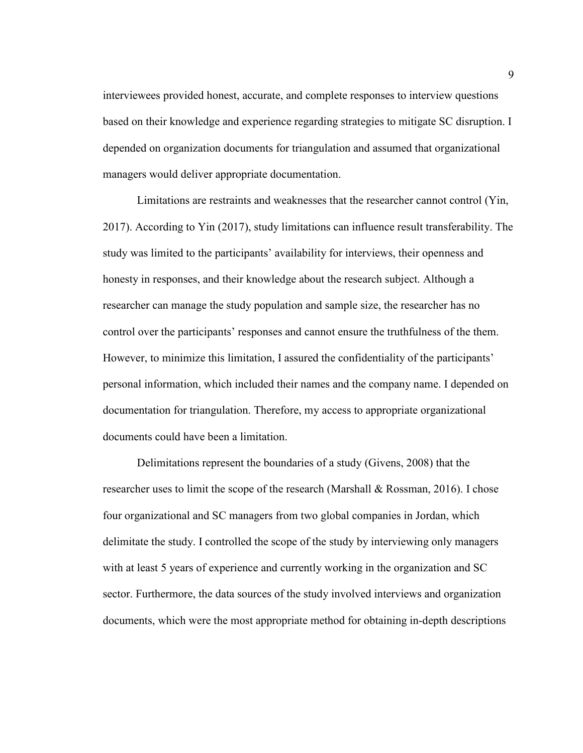interviewees provided honest, accurate, and complete responses to interview questions based on their knowledge and experience regarding strategies to mitigate SC disruption. I depended on organization documents for triangulation and assumed that organizational managers would deliver appropriate documentation.

Limitations are restraints and weaknesses that the researcher cannot control (Yin, 2017). According to Yin (2017), study limitations can influence result transferability. The study was limited to the participants' availability for interviews, their openness and honesty in responses, and their knowledge about the research subject. Although a researcher can manage the study population and sample size, the researcher has no control over the participants' responses and cannot ensure the truthfulness of the them. However, to minimize this limitation, I assured the confidentiality of the participants' personal information, which included their names and the company name. I depended on documentation for triangulation. Therefore, my access to appropriate organizational documents could have been a limitation.

Delimitations represent the boundaries of a study (Givens, 2008) that the researcher uses to limit the scope of the research (Marshall & Rossman, 2016). I chose four organizational and SC managers from two global companies in Jordan, which delimitate the study. I controlled the scope of the study by interviewing only managers with at least 5 years of experience and currently working in the organization and SC sector. Furthermore, the data sources of the study involved interviews and organization documents, which were the most appropriate method for obtaining in-depth descriptions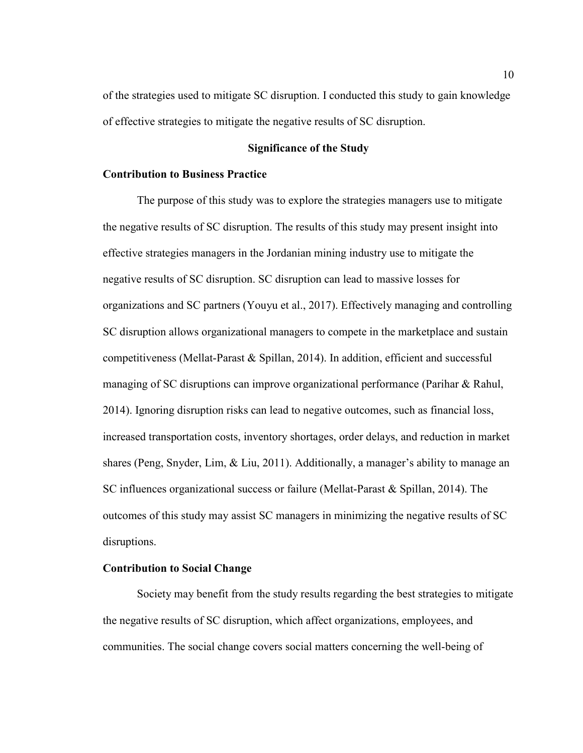of the strategies used to mitigate SC disruption. I conducted this study to gain knowledge of effective strategies to mitigate the negative results of SC disruption.

# **Significance of the Study**

## **Contribution to Business Practice**

The purpose of this study was to explore the strategies managers use to mitigate the negative results of SC disruption. The results of this study may present insight into effective strategies managers in the Jordanian mining industry use to mitigate the negative results of SC disruption. SC disruption can lead to massive losses for organizations and SC partners (Youyu et al., 2017). Effectively managing and controlling SC disruption allows organizational managers to compete in the marketplace and sustain competitiveness (Mellat-Parast & Spillan, 2014). In addition, efficient and successful managing of SC disruptions can improve organizational performance (Parihar & Rahul, 2014). Ignoring disruption risks can lead to negative outcomes, such as financial loss, increased transportation costs, inventory shortages, order delays, and reduction in market shares (Peng, Snyder, Lim, & Liu, 2011). Additionally, a manager's ability to manage an SC influences organizational success or failure (Mellat-Parast & Spillan, 2014). The outcomes of this study may assist SC managers in minimizing the negative results of SC disruptions.

## **Contribution to Social Change**

Society may benefit from the study results regarding the best strategies to mitigate the negative results of SC disruption, which affect organizations, employees, and communities. The social change covers social matters concerning the well-being of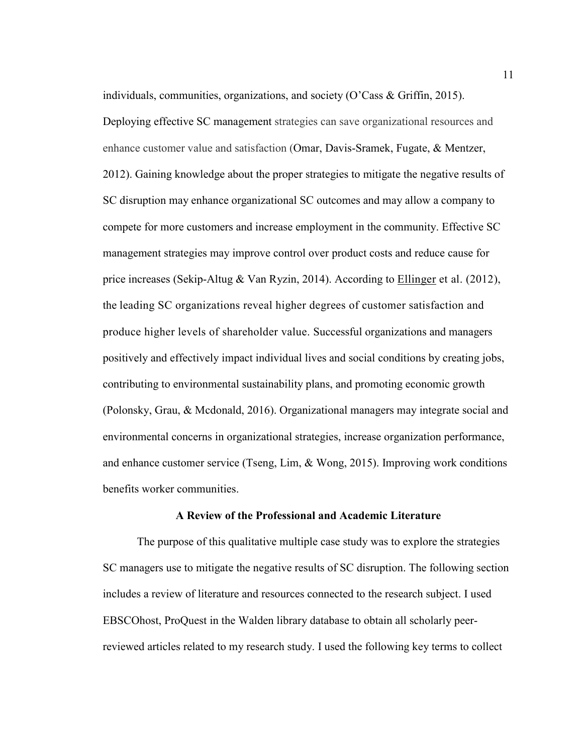individuals, communities, organizations, and society (O'Cass & Griffin, 2015). Deploying effective SC management strategies can save organizational resources and enhance customer value and satisfaction (Omar, Davis-Sramek, Fugate, & Mentzer, 2012). Gaining knowledge about the proper strategies to mitigate the negative results of SC disruption may enhance organizational SC outcomes and may allow a company to compete for more customers and increase employment in the community. Effective SC management strategies may improve control over product costs and reduce cause for price increases (Sekip-Altug & Van Ryzin, 2014). According to Ellinger et al. (2012), the leading SC organizations reveal higher degrees of customer satisfaction and produce higher levels of shareholder value. Successful organizations and managers positively and effectively impact individual lives and social conditions by creating jobs, contributing to environmental sustainability plans, and promoting economic growth (Polonsky, Grau, & Mcdonald, 2016). Organizational managers may integrate social and environmental concerns in organizational strategies, increase organization performance, and enhance customer service (Tseng, Lim, & Wong, 2015). Improving work conditions benefits worker communities.

#### **A Review of the Professional and Academic Literature**

The purpose of this qualitative multiple case study was to explore the strategies SC managers use to mitigate the negative results of SC disruption. The following section includes a review of literature and resources connected to the research subject. I used EBSCOhost, ProQuest in the Walden library database to obtain all scholarly peerreviewed articles related to my research study. I used the following key terms to collect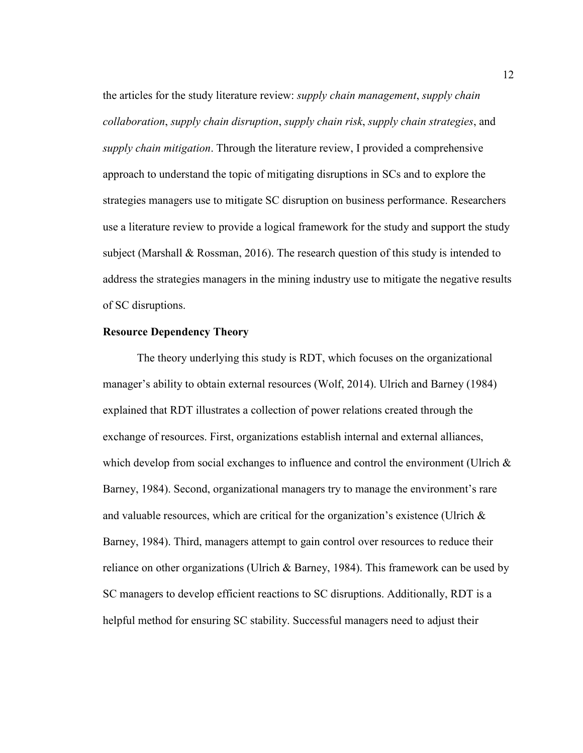the articles for the study literature review: *supply chain management*, *supply chain collaboration*, *supply chain disruption*, *supply chain risk*, *supply chain strategies*, and *supply chain mitigation*. Through the literature review, I provided a comprehensive approach to understand the topic of mitigating disruptions in SCs and to explore the strategies managers use to mitigate SC disruption on business performance. Researchers use a literature review to provide a logical framework for the study and support the study subject (Marshall & Rossman, 2016). The research question of this study is intended to address the strategies managers in the mining industry use to mitigate the negative results of SC disruptions.

## **Resource Dependency Theory**

The theory underlying this study is RDT, which focuses on the organizational manager's ability to obtain external resources (Wolf, 2014). Ulrich and Barney (1984) explained that RDT illustrates a collection of power relations created through the exchange of resources. First, organizations establish internal and external alliances, which develop from social exchanges to influence and control the environment (Ulrich  $\&$ Barney, 1984). Second, organizational managers try to manage the environment's rare and valuable resources, which are critical for the organization's existence (Ulrich & Barney, 1984). Third, managers attempt to gain control over resources to reduce their reliance on other organizations (Ulrich  $\&$  Barney, 1984). This framework can be used by SC managers to develop efficient reactions to SC disruptions. Additionally, RDT is a helpful method for ensuring SC stability. Successful managers need to adjust their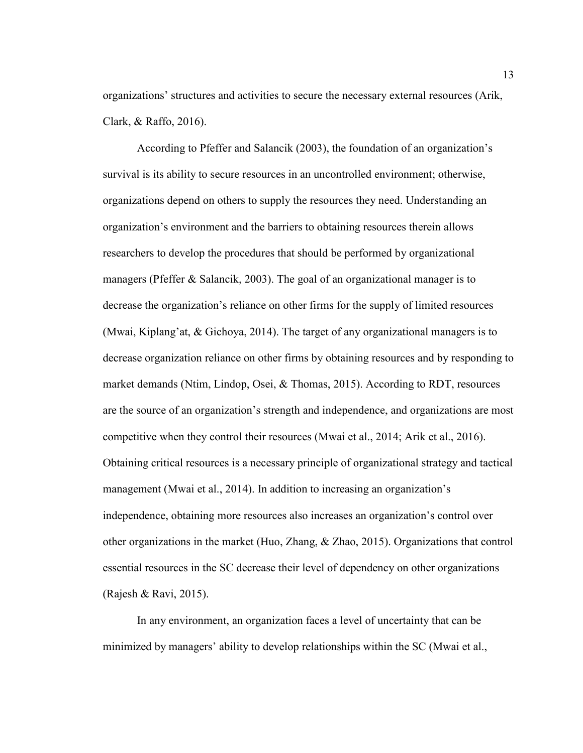organizations' structures and activities to secure the necessary external resources (Arik, Clark, & Raffo, 2016).

According to Pfeffer and Salancik (2003), the foundation of an organization's survival is its ability to secure resources in an uncontrolled environment; otherwise, organizations depend on others to supply the resources they need. Understanding an organization's environment and the barriers to obtaining resources therein allows researchers to develop the procedures that should be performed by organizational managers (Pfeffer & Salancik, 2003). The goal of an organizational manager is to decrease the organization's reliance on other firms for the supply of limited resources (Mwai, Kiplang'at, & Gichoya, 2014). The target of any organizational managers is to decrease organization reliance on other firms by obtaining resources and by responding to market demands (Ntim, Lindop, Osei, & Thomas, 2015). According to RDT, resources are the source of an organization's strength and independence, and organizations are most competitive when they control their resources (Mwai et al., 2014; Arik et al., 2016). Obtaining critical resources is a necessary principle of organizational strategy and tactical management (Mwai et al., 2014). In addition to increasing an organization's independence, obtaining more resources also increases an organization's control over other organizations in the market (Huo, Zhang, & Zhao, 2015). Organizations that control essential resources in the SC decrease their level of dependency on other organizations (Rajesh & Ravi, 2015).

In any environment, an organization faces a level of uncertainty that can be minimized by managers' ability to develop relationships within the SC (Mwai et al.,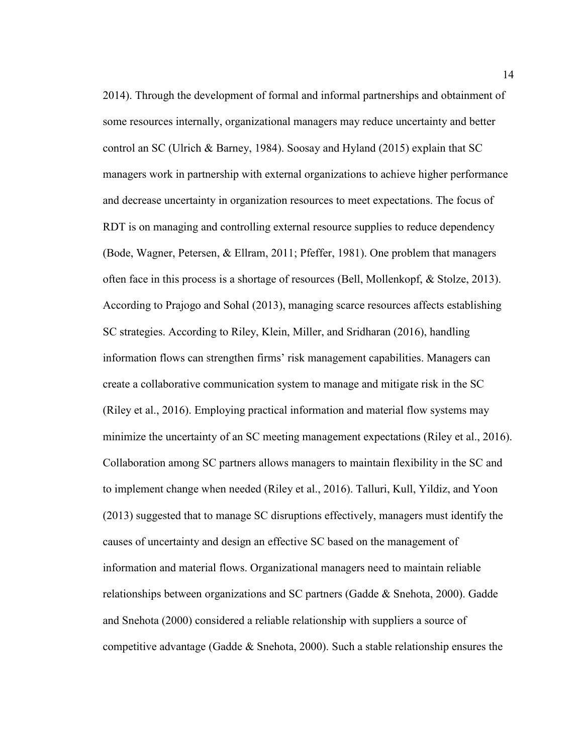2014). Through the development of formal and informal partnerships and obtainment of some resources internally, organizational managers may reduce uncertainty and better control an SC (Ulrich & Barney, 1984). Soosay and Hyland (2015) explain that SC managers work in partnership with external organizations to achieve higher performance and decrease uncertainty in organization resources to meet expectations. The focus of RDT is on managing and controlling external resource supplies to reduce dependency (Bode, Wagner, Petersen, & Ellram, 2011; Pfeffer, 1981). One problem that managers often face in this process is a shortage of resources (Bell, Mollenkopf, & Stolze, 2013). According to Prajogo and Sohal (2013), managing scarce resources affects establishing SC strategies. According to Riley, Klein, Miller, and Sridharan (2016), handling information flows can strengthen firms' risk management capabilities. Managers can create a collaborative communication system to manage and mitigate risk in the SC (Riley et al., 2016). Employing practical information and material flow systems may minimize the uncertainty of an SC meeting management expectations (Riley et al., 2016). Collaboration among SC partners allows managers to maintain flexibility in the SC and to implement change when needed (Riley et al., 2016). Talluri, Kull, Yildiz, and Yoon (2013) suggested that to manage SC disruptions effectively, managers must identify the causes of uncertainty and design an effective SC based on the management of information and material flows. Organizational managers need to maintain reliable relationships between organizations and SC partners (Gadde & Snehota, 2000). Gadde and Snehota (2000) considered a reliable relationship with suppliers a source of competitive advantage (Gadde & Snehota, 2000). Such a stable relationship ensures the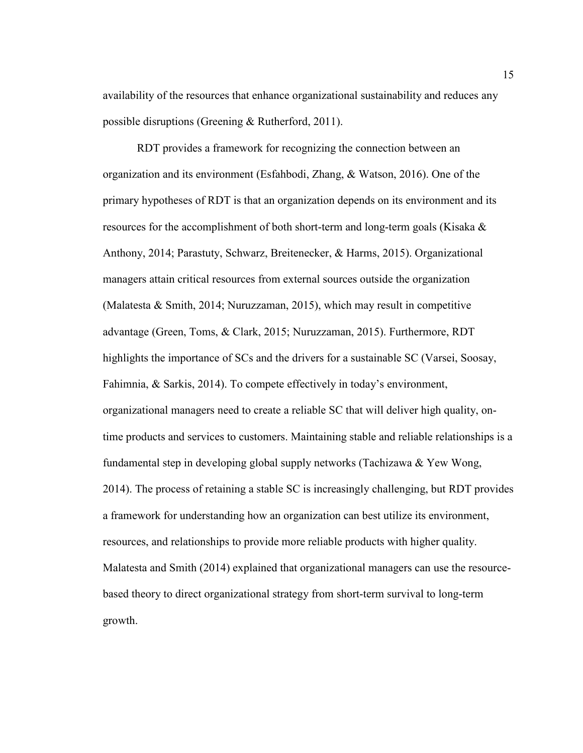availability of the resources that enhance organizational sustainability and reduces any possible disruptions (Greening & Rutherford, 2011).

RDT provides a framework for recognizing the connection between an organization and its environment (Esfahbodi, Zhang, & Watson, 2016). One of the primary hypotheses of RDT is that an organization depends on its environment and its resources for the accomplishment of both short-term and long-term goals (Kisaka & Anthony, 2014; Parastuty, Schwarz, Breitenecker, & Harms, 2015). Organizational managers attain critical resources from external sources outside the organization (Malatesta & Smith, 2014; Nuruzzaman, 2015), which may result in competitive advantage (Green, Toms, & Clark, 2015; Nuruzzaman, 2015). Furthermore, RDT highlights the importance of SCs and the drivers for a sustainable SC (Varsei, Soosay, Fahimnia, & Sarkis, 2014). To compete effectively in today's environment, organizational managers need to create a reliable SC that will deliver high quality, ontime products and services to customers. Maintaining stable and reliable relationships is a fundamental step in developing global supply networks (Tachizawa & Yew Wong, 2014). The process of retaining a stable SC is increasingly challenging, but RDT provides a framework for understanding how an organization can best utilize its environment, resources, and relationships to provide more reliable products with higher quality. Malatesta and Smith (2014) explained that organizational managers can use the resourcebased theory to direct organizational strategy from short-term survival to long-term growth.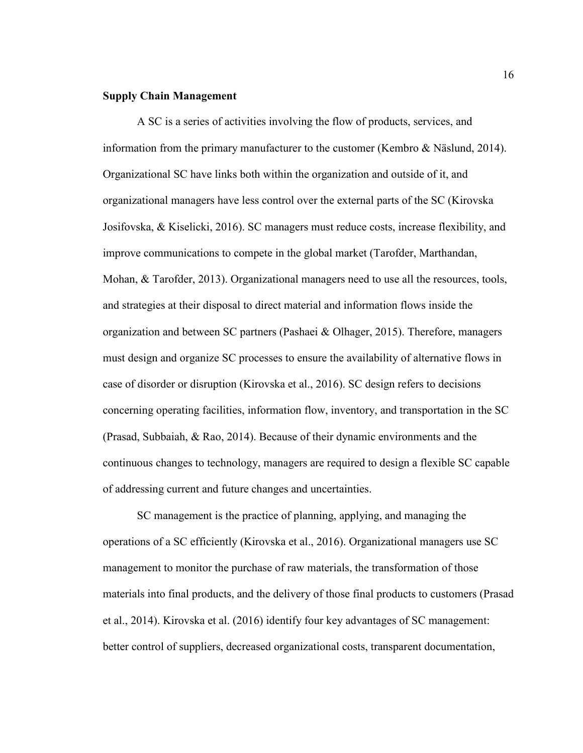### **Supply Chain Management**

A SC is a series of activities involving the flow of products, services, and information from the primary manufacturer to the customer (Kembro & Näslund, 2014). Organizational SC have links both within the organization and outside of it, and organizational managers have less control over the external parts of the SC (Kirovska Josifovska, & Kiselicki, 2016). SC managers must reduce costs, increase flexibility, and improve communications to compete in the global market (Tarofder, Marthandan, Mohan, & Tarofder, 2013). Organizational managers need to use all the resources, tools, and strategies at their disposal to direct material and information flows inside the organization and between SC partners (Pashaei & Olhager, 2015). Therefore, managers must design and organize SC processes to ensure the availability of alternative flows in case of disorder or disruption (Kirovska et al., 2016). SC design refers to decisions concerning operating facilities, information flow, inventory, and transportation in the SC (Prasad, Subbaiah, & Rao, 2014). Because of their dynamic environments and the continuous changes to technology, managers are required to design a flexible SC capable of addressing current and future changes and uncertainties.

SC management is the practice of planning, applying, and managing the operations of a SC efficiently (Kirovska et al., 2016). Organizational managers use SC management to monitor the purchase of raw materials, the transformation of those materials into final products, and the delivery of those final products to customers (Prasad et al., 2014). Kirovska et al. (2016) identify four key advantages of SC management: better control of suppliers, decreased organizational costs, transparent documentation,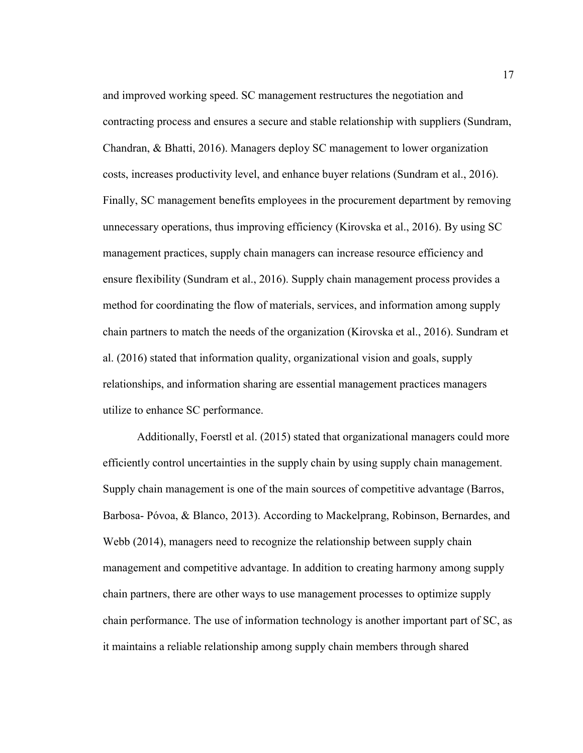and improved working speed. SC management restructures the negotiation and contracting process and ensures a secure and stable relationship with suppliers (Sundram, Chandran, & Bhatti, 2016). Managers deploy SC management to lower organization costs, increases productivity level, and enhance buyer relations (Sundram et al., 2016). Finally, SC management benefits employees in the procurement department by removing unnecessary operations, thus improving efficiency (Kirovska et al., 2016). By using SC management practices, supply chain managers can increase resource efficiency and ensure flexibility (Sundram et al., 2016). Supply chain management process provides a method for coordinating the flow of materials, services, and information among supply chain partners to match the needs of the organization (Kirovska et al., 2016). Sundram et al. (2016) stated that information quality, organizational vision and goals, supply relationships, and information sharing are essential management practices managers utilize to enhance SC performance.

Additionally, Foerstl et al. (2015) stated that organizational managers could more efficiently control uncertainties in the supply chain by using supply chain management. Supply chain management is one of the main sources of competitive advantage (Barros, Barbosa- Póvoa, & Blanco, 2013). According to Mackelprang, Robinson, Bernardes, and Webb (2014), managers need to recognize the relationship between supply chain management and competitive advantage. In addition to creating harmony among supply chain partners, there are other ways to use management processes to optimize supply chain performance. The use of information technology is another important part of SC, as it maintains a reliable relationship among supply chain members through shared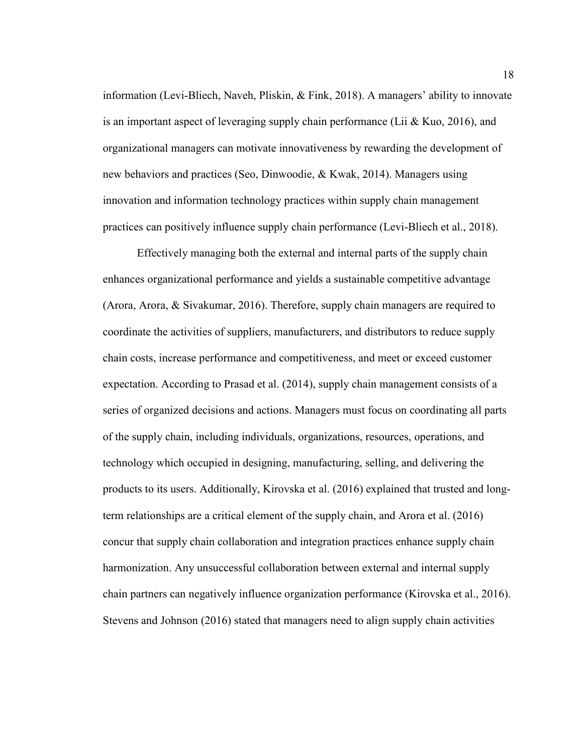information (Levi-Bliech, Naveh, Pliskin, & Fink, 2018). A managers' ability to innovate is an important aspect of leveraging supply chain performance (Lii  $&$  Kuo, 2016), and organizational managers can motivate innovativeness by rewarding the development of new behaviors and practices (Seo, Dinwoodie, & Kwak, 2014). Managers using innovation and information technology practices within supply chain management practices can positively influence supply chain performance (Levi-Bliech et al., 2018).

Effectively managing both the external and internal parts of the supply chain enhances organizational performance and yields a sustainable competitive advantage (Arora, Arora, & Sivakumar, 2016). Therefore, supply chain managers are required to coordinate the activities of suppliers, manufacturers, and distributors to reduce supply chain costs, increase performance and competitiveness, and meet or exceed customer expectation. According to Prasad et al. (2014), supply chain management consists of a series of organized decisions and actions. Managers must focus on coordinating all parts of the supply chain, including individuals, organizations, resources, operations, and technology which occupied in designing, manufacturing, selling, and delivering the products to its users. Additionally, Kirovska et al. (2016) explained that trusted and longterm relationships are a critical element of the supply chain, and Arora et al. (2016) concur that supply chain collaboration and integration practices enhance supply chain harmonization. Any unsuccessful collaboration between external and internal supply chain partners can negatively influence organization performance (Kirovska et al., 2016). Stevens and Johnson (2016) stated that managers need to align supply chain activities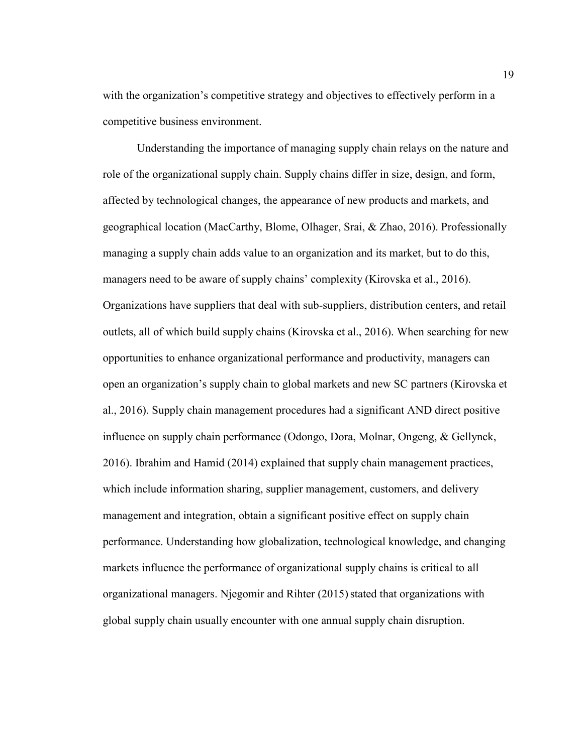with the organization's competitive strategy and objectives to effectively perform in a competitive business environment.

Understanding the importance of managing supply chain relays on the nature and role of the organizational supply chain. Supply chains differ in size, design, and form, affected by technological changes, the appearance of new products and markets, and geographical location (MacCarthy, Blome, Olhager, Srai, & Zhao, 2016). Professionally managing a supply chain adds value to an organization and its market, but to do this, managers need to be aware of supply chains' complexity (Kirovska et al., 2016). Organizations have suppliers that deal with sub-suppliers, distribution centers, and retail outlets, all of which build supply chains (Kirovska et al., 2016). When searching for new opportunities to enhance organizational performance and productivity, managers can open an organization's supply chain to global markets and new SC partners (Kirovska et al., 2016). Supply chain management procedures had a significant AND direct positive influence on supply chain performance (Odongo, Dora, Molnar, Ongeng, & Gellynck, 2016). Ibrahim and Hamid (2014) explained that supply chain management practices, which include information sharing, supplier management, customers, and delivery management and integration, obtain a significant positive effect on supply chain performance. Understanding how globalization, technological knowledge, and changing markets influence the performance of organizational supply chains is critical to all organizational managers. Njegomir and Rihter (2015) stated that organizations with global supply chain usually encounter with one annual supply chain disruption.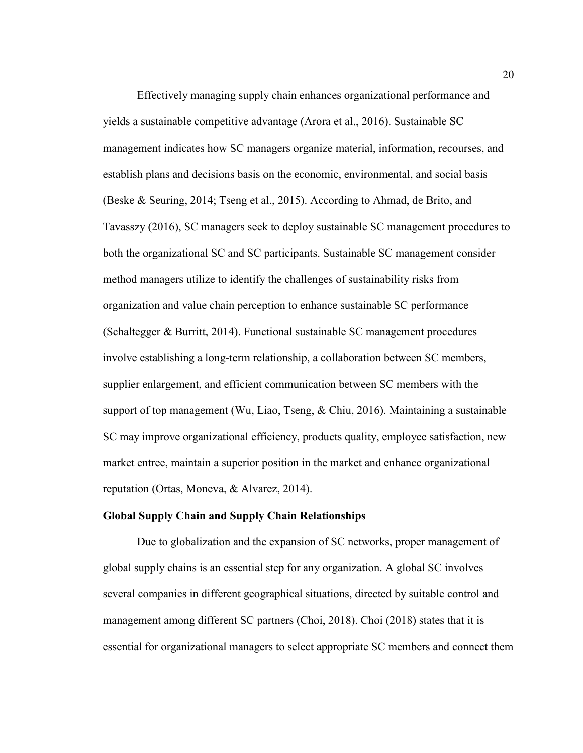Effectively managing supply chain enhances organizational performance and yields a sustainable competitive advantage (Arora et al., 2016). Sustainable SC management indicates how SC managers organize material, information, recourses, and establish plans and decisions basis on the economic, environmental, and social basis (Beske & Seuring, 2014; Tseng et al., 2015). According to Ahmad, de Brito, and Tavasszy (2016), SC managers seek to deploy sustainable SC management procedures to both the organizational SC and SC participants. Sustainable SC management consider method managers utilize to identify the challenges of sustainability risks from organization and value chain perception to enhance sustainable SC performance (Schaltegger & Burritt, 2014). Functional sustainable SC management procedures involve establishing a long-term relationship, a collaboration between SC members, supplier enlargement, and efficient communication between SC members with the support of top management (Wu, Liao, Tseng, & Chiu, 2016). Maintaining a sustainable SC may improve organizational efficiency, products quality, employee satisfaction, new market entree, maintain a superior position in the market and enhance organizational reputation (Ortas, Moneva, & Alvarez, 2014).

#### **Global Supply Chain and Supply Chain Relationships**

Due to globalization and the expansion of SC networks, proper management of global supply chains is an essential step for any organization. A global SC involves several companies in different geographical situations, directed by suitable control and management among different SC partners (Choi, 2018). Choi (2018) states that it is essential for organizational managers to select appropriate SC members and connect them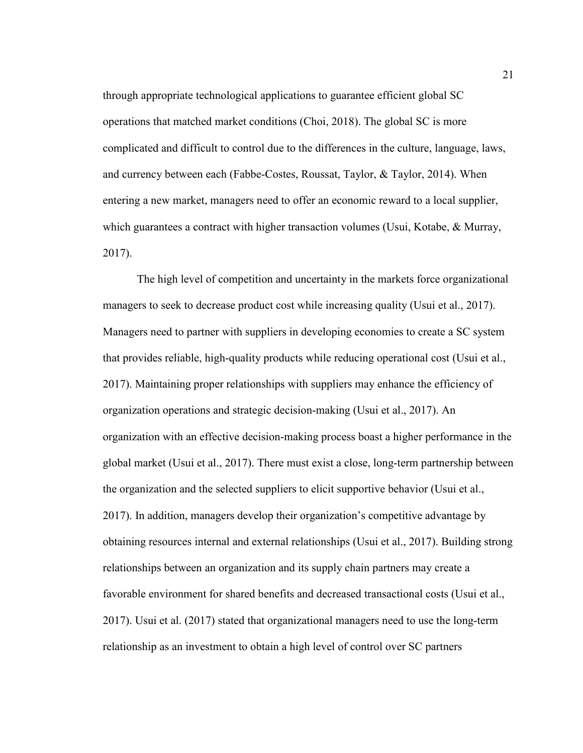through appropriate technological applications to guarantee efficient global SC operations that matched market conditions (Choi, 2018). The global SC is more complicated and difficult to control due to the differences in the culture, language, laws, and currency between each (Fabbe-Costes, Roussat, Taylor, & Taylor, 2014). When entering a new market, managers need to offer an economic reward to a local supplier, which guarantees a contract with higher transaction volumes (Usui, Kotabe, & Murray, 2017).

The high level of competition and uncertainty in the markets force organizational managers to seek to decrease product cost while increasing quality (Usui et al., 2017). Managers need to partner with suppliers in developing economies to create a SC system that provides reliable, high-quality products while reducing operational cost (Usui et al., 2017). Maintaining proper relationships with suppliers may enhance the efficiency of organization operations and strategic decision-making (Usui et al., 2017). An organization with an effective decision-making process boast a higher performance in the global market (Usui et al., 2017). There must exist a close, long-term partnership between the organization and the selected suppliers to elicit supportive behavior (Usui et al., 2017). In addition, managers develop their organization's competitive advantage by obtaining resources internal and external relationships (Usui et al., 2017). Building strong relationships between an organization and its supply chain partners may create a favorable environment for shared benefits and decreased transactional costs (Usui et al., 2017). Usui et al. (2017) stated that organizational managers need to use the long-term relationship as an investment to obtain a high level of control over SC partners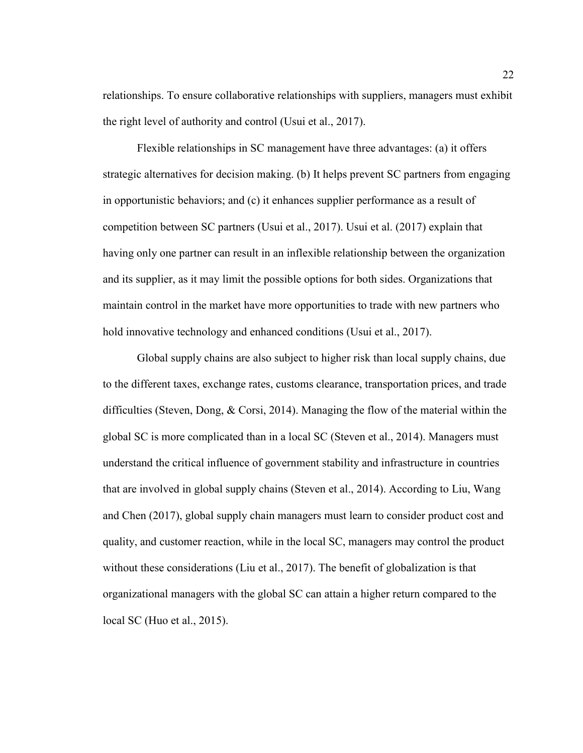relationships. To ensure collaborative relationships with suppliers, managers must exhibit the right level of authority and control (Usui et al., 2017).

Flexible relationships in SC management have three advantages: (a) it offers strategic alternatives for decision making. (b) It helps prevent SC partners from engaging in opportunistic behaviors; and (c) it enhances supplier performance as a result of competition between SC partners (Usui et al., 2017). Usui et al. (2017) explain that having only one partner can result in an inflexible relationship between the organization and its supplier, as it may limit the possible options for both sides. Organizations that maintain control in the market have more opportunities to trade with new partners who hold innovative technology and enhanced conditions (Usui et al., 2017).

Global supply chains are also subject to higher risk than local supply chains, due to the different taxes, exchange rates, customs clearance, transportation prices, and trade difficulties (Steven, Dong, & Corsi, 2014). Managing the flow of the material within the global SC is more complicated than in a local SC (Steven et al., 2014). Managers must understand the critical influence of government stability and infrastructure in countries that are involved in global supply chains (Steven et al., 2014). According to Liu, Wang and Chen (2017), global supply chain managers must learn to consider product cost and quality, and customer reaction, while in the local SC, managers may control the product without these considerations (Liu et al., 2017). The benefit of globalization is that organizational managers with the global SC can attain a higher return compared to the local SC (Huo et al., 2015).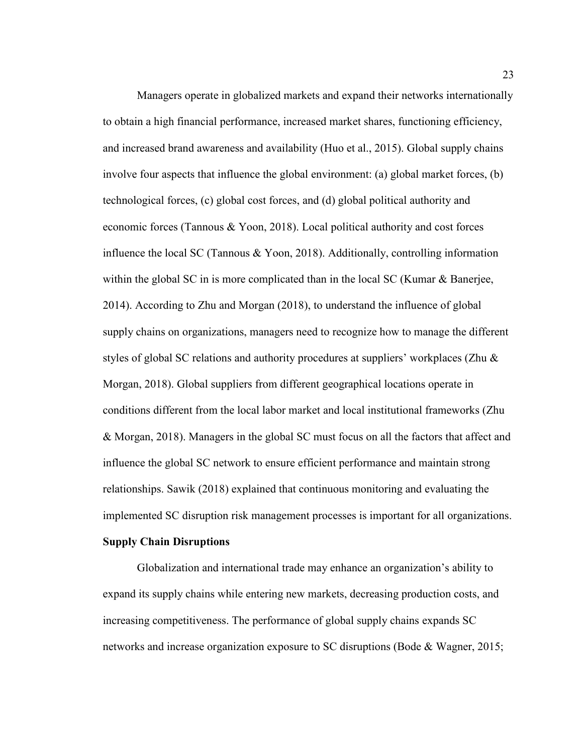Managers operate in globalized markets and expand their networks internationally to obtain a high financial performance, increased market shares, functioning efficiency, and increased brand awareness and availability (Huo et al., 2015). Global supply chains involve four aspects that influence the global environment: (a) global market forces, (b) technological forces, (c) global cost forces, and (d) global political authority and economic forces (Tannous & Yoon, 2018). Local political authority and cost forces influence the local SC (Tannous & Yoon, 2018). Additionally, controlling information within the global SC in is more complicated than in the local SC (Kumar  $\&$  Banerjee, 2014). According to Zhu and Morgan (2018), to understand the influence of global supply chains on organizations, managers need to recognize how to manage the different styles of global SC relations and authority procedures at suppliers' workplaces (Zhu & Morgan, 2018). Global suppliers from different geographical locations operate in conditions different from the local labor market and local institutional frameworks (Zhu & Morgan, 2018). Managers in the global SC must focus on all the factors that affect and influence the global SC network to ensure efficient performance and maintain strong relationships. Sawik (2018) explained that continuous monitoring and evaluating the implemented SC disruption risk management processes is important for all organizations.

#### **Supply Chain Disruptions**

Globalization and international trade may enhance an organization's ability to expand its supply chains while entering new markets, decreasing production costs, and increasing competitiveness. The performance of global supply chains expands SC networks and increase organization exposure to SC disruptions (Bode & Wagner, 2015;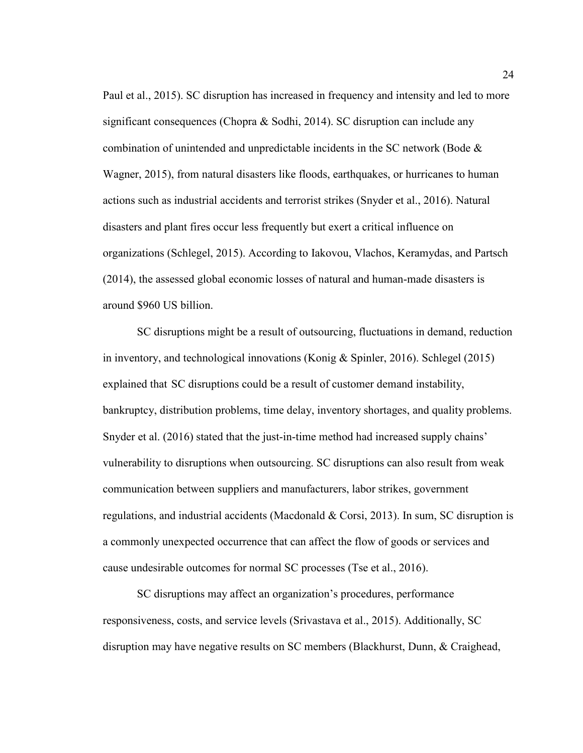Paul et al., 2015). SC disruption has increased in frequency and intensity and led to more significant consequences (Chopra & Sodhi, 2014). SC disruption can include any combination of unintended and unpredictable incidents in the SC network (Bode & Wagner, 2015), from natural disasters like floods, earthquakes, or hurricanes to human actions such as industrial accidents and terrorist strikes (Snyder et al., 2016). Natural disasters and plant fires occur less frequently but exert a critical influence on organizations (Schlegel, 2015). According to Iakovou, Vlachos, Keramydas, and Partsch (2014), the assessed global economic losses of natural and human-made disasters is around \$960 US billion.

SC disruptions might be a result of outsourcing, fluctuations in demand, reduction in inventory, and technological innovations (Konig & Spinler, 2016). Schlegel (2015) explained that SC disruptions could be a result of customer demand instability, bankruptcy, distribution problems, time delay, inventory shortages, and quality problems. Snyder et al. (2016) stated that the just-in-time method had increased supply chains' vulnerability to disruptions when outsourcing. SC disruptions can also result from weak communication between suppliers and manufacturers, labor strikes, government regulations, and industrial accidents (Macdonald & Corsi, 2013). In sum, SC disruption is a commonly unexpected occurrence that can affect the flow of goods or services and cause undesirable outcomes for normal SC processes (Tse et al., 2016).

SC disruptions may affect an organization's procedures, performance responsiveness, costs, and service levels (Srivastava et al., 2015). Additionally, SC disruption may have negative results on SC members (Blackhurst, Dunn, & Craighead,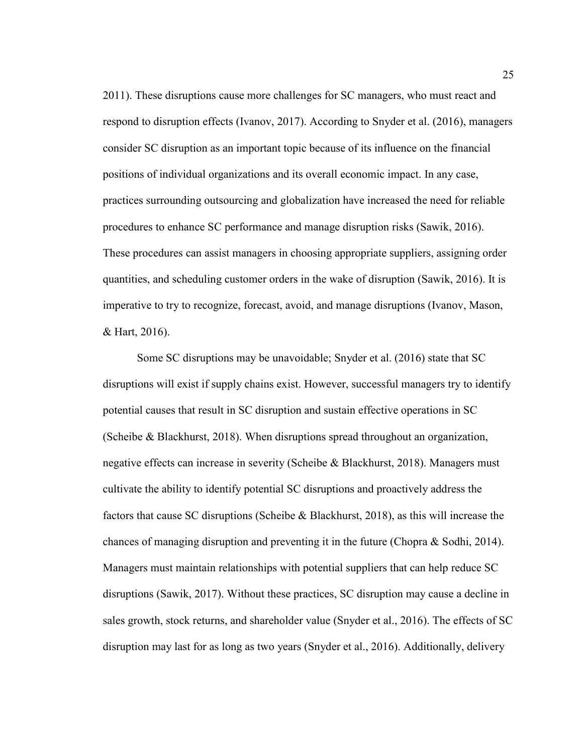2011). These disruptions cause more challenges for SC managers, who must react and respond to disruption effects (Ivanov, 2017). According to Snyder et al. (2016), managers consider SC disruption as an important topic because of its influence on the financial positions of individual organizations and its overall economic impact. In any case, practices surrounding outsourcing and globalization have increased the need for reliable procedures to enhance SC performance and manage disruption risks (Sawik, 2016). These procedures can assist managers in choosing appropriate suppliers, assigning order quantities, and scheduling customer orders in the wake of disruption (Sawik, 2016). It is imperative to try to recognize, forecast, avoid, and manage disruptions (Ivanov, Mason, & Hart, 2016).

Some SC disruptions may be unavoidable; Snyder et al. (2016) state that SC disruptions will exist if supply chains exist. However, successful managers try to identify potential causes that result in SC disruption and sustain effective operations in SC (Scheibe & Blackhurst, 2018). When disruptions spread throughout an organization, negative effects can increase in severity (Scheibe & Blackhurst, 2018). Managers must cultivate the ability to identify potential SC disruptions and proactively address the factors that cause SC disruptions (Scheibe & Blackhurst, 2018), as this will increase the chances of managing disruption and preventing it in the future (Chopra  $\&$  Sodhi, 2014). Managers must maintain relationships with potential suppliers that can help reduce SC disruptions (Sawik, 2017). Without these practices, SC disruption may cause a decline in sales growth, stock returns, and shareholder value (Snyder et al., 2016). The effects of SC disruption may last for as long as two years (Snyder et al., 2016). Additionally, delivery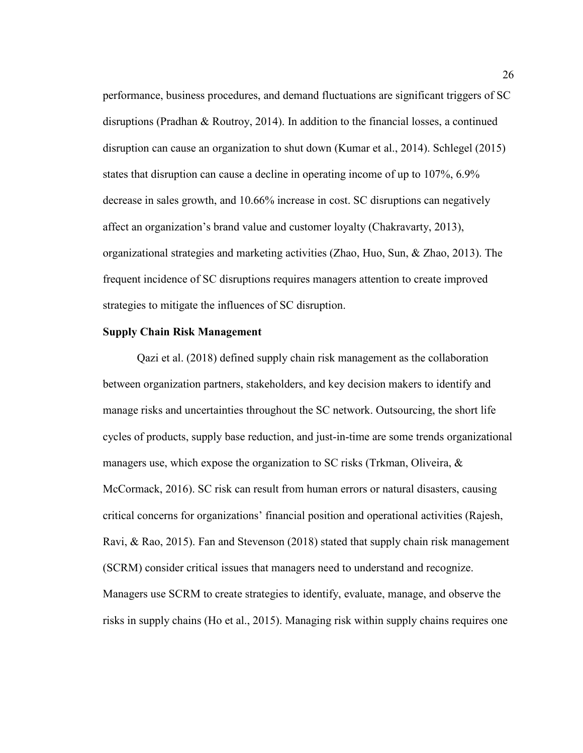performance, business procedures, and demand fluctuations are significant triggers of SC disruptions (Pradhan & Routroy, 2014). In addition to the financial losses, a continued disruption can cause an organization to shut down (Kumar et al., 2014). Schlegel (2015) states that disruption can cause a decline in operating income of up to 107%, 6.9% decrease in sales growth, and 10.66% increase in cost. SC disruptions can negatively affect an organization's brand value and customer loyalty (Chakravarty, 2013), organizational strategies and marketing activities (Zhao, Huo, Sun, & Zhao, 2013). The frequent incidence of SC disruptions requires managers attention to create improved strategies to mitigate the influences of SC disruption.

#### **Supply Chain Risk Management**

Qazi et al. (2018) defined supply chain risk management as the collaboration between organization partners, stakeholders, and key decision makers to identify and manage risks and uncertainties throughout the SC network. Outsourcing, the short life cycles of products, supply base reduction, and just-in-time are some trends organizational managers use, which expose the organization to SC risks (Trkman, Oliveira,  $\&$ McCormack, 2016). SC risk can result from human errors or natural disasters, causing critical concerns for organizations' financial position and operational activities (Rajesh, Ravi, & Rao, 2015). Fan and Stevenson (2018) stated that supply chain risk management (SCRM) consider critical issues that managers need to understand and recognize. Managers use SCRM to create strategies to identify, evaluate, manage, and observe the risks in supply chains (Ho et al., 2015). Managing risk within supply chains requires one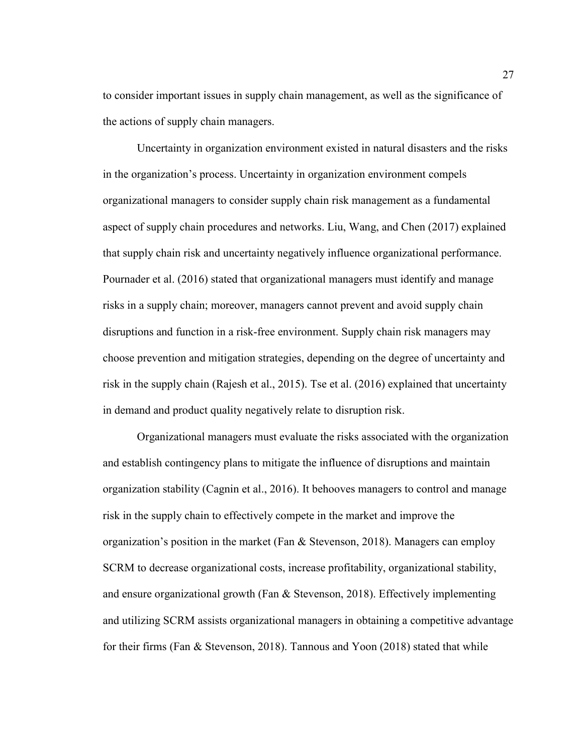to consider important issues in supply chain management, as well as the significance of the actions of supply chain managers.

Uncertainty in organization environment existed in natural disasters and the risks in the organization's process. Uncertainty in organization environment compels organizational managers to consider supply chain risk management as a fundamental aspect of supply chain procedures and networks. Liu, Wang, and Chen (2017) explained that supply chain risk and uncertainty negatively influence organizational performance. Pournader et al. (2016) stated that organizational managers must identify and manage risks in a supply chain; moreover, managers cannot prevent and avoid supply chain disruptions and function in a risk-free environment. Supply chain risk managers may choose prevention and mitigation strategies, depending on the degree of uncertainty and risk in the supply chain (Rajesh et al., 2015). Tse et al. (2016) explained that uncertainty in demand and product quality negatively relate to disruption risk.

Organizational managers must evaluate the risks associated with the organization and establish contingency plans to mitigate the influence of disruptions and maintain organization stability (Cagnin et al., 2016). It behooves managers to control and manage risk in the supply chain to effectively compete in the market and improve the organization's position in the market (Fan  $\&$  Stevenson, 2018). Managers can employ SCRM to decrease organizational costs, increase profitability, organizational stability, and ensure organizational growth (Fan & Stevenson, 2018). Effectively implementing and utilizing SCRM assists organizational managers in obtaining a competitive advantage for their firms (Fan & Stevenson, 2018). Tannous and Yoon (2018) stated that while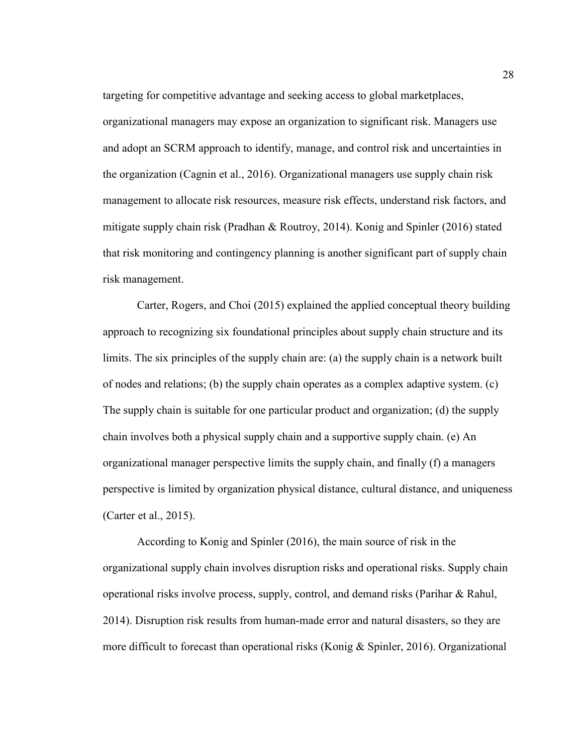targeting for competitive advantage and seeking access to global marketplaces, organizational managers may expose an organization to significant risk. Managers use and adopt an SCRM approach to identify, manage, and control risk and uncertainties in the organization (Cagnin et al., 2016). Organizational managers use supply chain risk management to allocate risk resources, measure risk effects, understand risk factors, and mitigate supply chain risk (Pradhan & Routroy, 2014). Konig and Spinler (2016) stated that risk monitoring and contingency planning is another significant part of supply chain risk management.

Carter, Rogers, and Choi (2015) explained the applied conceptual theory building approach to recognizing six foundational principles about supply chain structure and its limits. The six principles of the supply chain are: (a) the supply chain is a network built of nodes and relations; (b) the supply chain operates as a complex adaptive system. (c) The supply chain is suitable for one particular product and organization; (d) the supply chain involves both a physical supply chain and a supportive supply chain. (e) An organizational manager perspective limits the supply chain, and finally (f) a managers perspective is limited by organization physical distance, cultural distance, and uniqueness (Carter et al., 2015).

According to Konig and Spinler (2016), the main source of risk in the organizational supply chain involves disruption risks and operational risks. Supply chain operational risks involve process, supply, control, and demand risks (Parihar & Rahul, 2014). Disruption risk results from human-made error and natural disasters, so they are more difficult to forecast than operational risks (Konig & Spinler, 2016). Organizational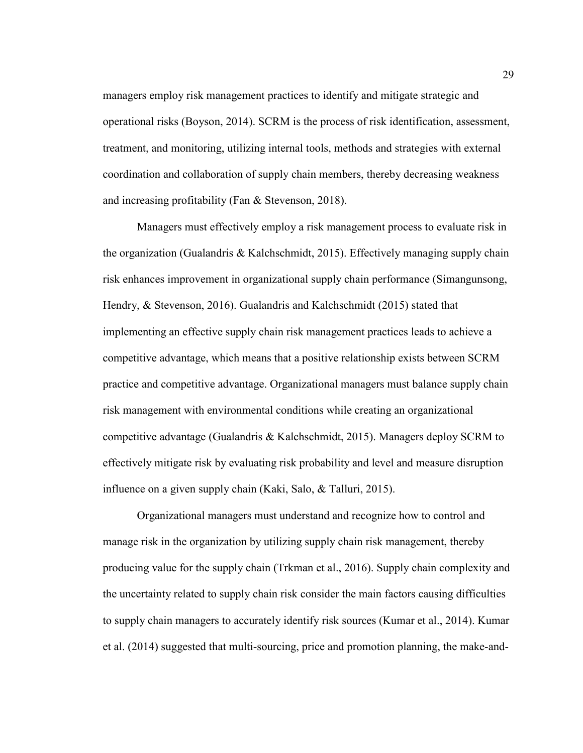managers employ risk management practices to identify and mitigate strategic and operational risks (Boyson, 2014). SCRM is the process of risk identification, assessment, treatment, and monitoring, utilizing internal tools, methods and strategies with external coordination and collaboration of supply chain members, thereby decreasing weakness and increasing profitability (Fan & Stevenson, 2018).

Managers must effectively employ a risk management process to evaluate risk in the organization (Gualandris & Kalchschmidt, 2015). Effectively managing supply chain risk enhances improvement in organizational supply chain performance (Simangunsong, Hendry, & Stevenson, 2016). Gualandris and Kalchschmidt (2015) stated that implementing an effective supply chain risk management practices leads to achieve a competitive advantage, which means that a positive relationship exists between SCRM practice and competitive advantage. Organizational managers must balance supply chain risk management with environmental conditions while creating an organizational competitive advantage (Gualandris & Kalchschmidt, 2015). Managers deploy SCRM to effectively mitigate risk by evaluating risk probability and level and measure disruption influence on a given supply chain (Kaki, Salo, & Talluri, 2015).

Organizational managers must understand and recognize how to control and manage risk in the organization by utilizing supply chain risk management, thereby producing value for the supply chain (Trkman et al., 2016). Supply chain complexity and the uncertainty related to supply chain risk consider the main factors causing difficulties to supply chain managers to accurately identify risk sources (Kumar et al., 2014). Kumar et al. (2014) suggested that multi-sourcing, price and promotion planning, the make-and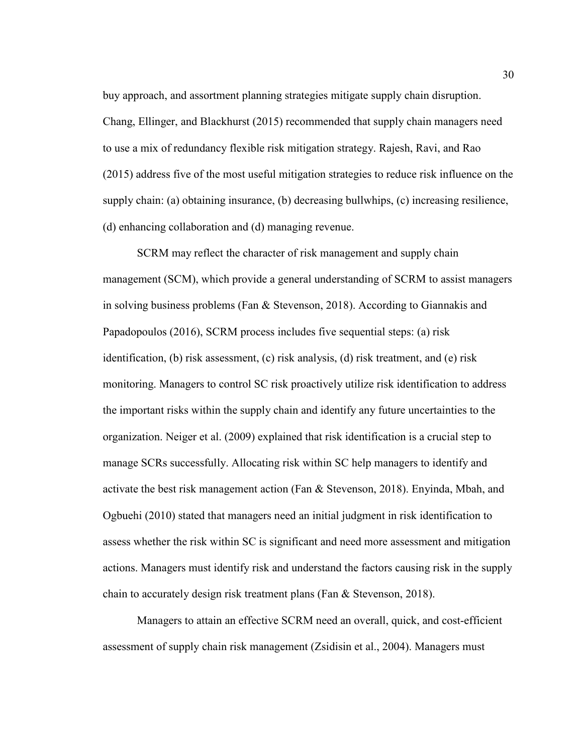buy approach, and assortment planning strategies mitigate supply chain disruption. Chang, Ellinger, and Blackhurst (2015) recommended that supply chain managers need to use a mix of redundancy flexible risk mitigation strategy. Rajesh, Ravi, and Rao (2015) address five of the most useful mitigation strategies to reduce risk influence on the supply chain: (a) obtaining insurance, (b) decreasing bullwhips, (c) increasing resilience, (d) enhancing collaboration and (d) managing revenue.

SCRM may reflect the character of risk management and supply chain management (SCM), which provide a general understanding of SCRM to assist managers in solving business problems (Fan & Stevenson, 2018). According to Giannakis and Papadopoulos (2016), SCRM process includes five sequential steps: (a) risk identification, (b) risk assessment, (c) risk analysis, (d) risk treatment, and (e) risk monitoring. Managers to control SC risk proactively utilize risk identification to address the important risks within the supply chain and identify any future uncertainties to the organization. Neiger et al. (2009) explained that risk identification is a crucial step to manage SCRs successfully. Allocating risk within SC help managers to identify and activate the best risk management action (Fan & Stevenson, 2018). Enyinda, Mbah, and Ogbuehi (2010) stated that managers need an initial judgment in risk identification to assess whether the risk within SC is significant and need more assessment and mitigation actions. Managers must identify risk and understand the factors causing risk in the supply chain to accurately design risk treatment plans (Fan & Stevenson, 2018).

Managers to attain an effective SCRM need an overall, quick, and cost-efficient assessment of supply chain risk management (Zsidisin et al., 2004). Managers must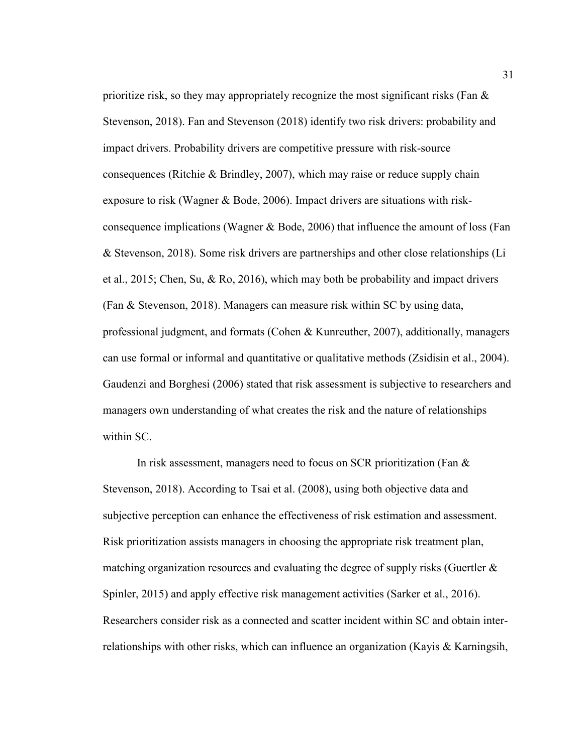prioritize risk, so they may appropriately recognize the most significant risks (Fan  $\&$ Stevenson, 2018). Fan and Stevenson (2018) identify two risk drivers: probability and impact drivers. Probability drivers are competitive pressure with risk-source consequences (Ritchie & Brindley, 2007), which may raise or reduce supply chain exposure to risk (Wagner & Bode, 2006). Impact drivers are situations with riskconsequence implications (Wagner & Bode, 2006) that influence the amount of loss (Fan & Stevenson, 2018). Some risk drivers are partnerships and other close relationships (Li et al., 2015; Chen, Su, & Ro, 2016), which may both be probability and impact drivers (Fan & Stevenson, 2018). Managers can measure risk within SC by using data, professional judgment, and formats (Cohen & Kunreuther, 2007), additionally, managers can use formal or informal and quantitative or qualitative methods (Zsidisin et al., 2004). Gaudenzi and Borghesi (2006) stated that risk assessment is subjective to researchers and managers own understanding of what creates the risk and the nature of relationships within SC.

In risk assessment, managers need to focus on SCR prioritization (Fan & Stevenson, 2018). According to Tsai et al. (2008), using both objective data and subjective perception can enhance the effectiveness of risk estimation and assessment. Risk prioritization assists managers in choosing the appropriate risk treatment plan, matching organization resources and evaluating the degree of supply risks (Guertler  $\&$ Spinler, 2015) and apply effective risk management activities (Sarker et al., 2016). Researchers consider risk as a connected and scatter incident within SC and obtain interrelationships with other risks, which can influence an organization (Kayis & Karningsih,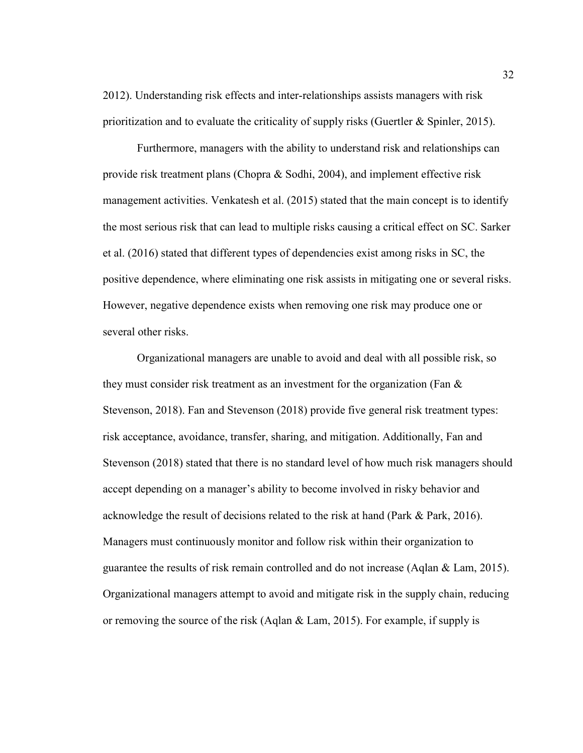2012). Understanding risk effects and inter-relationships assists managers with risk prioritization and to evaluate the criticality of supply risks (Guertler & Spinler, 2015).

Furthermore, managers with the ability to understand risk and relationships can provide risk treatment plans (Chopra & Sodhi, 2004), and implement effective risk management activities. Venkatesh et al. (2015) stated that the main concept is to identify the most serious risk that can lead to multiple risks causing a critical effect on SC. Sarker et al. (2016) stated that different types of dependencies exist among risks in SC, the positive dependence, where eliminating one risk assists in mitigating one or several risks. However, negative dependence exists when removing one risk may produce one or several other risks.

Organizational managers are unable to avoid and deal with all possible risk, so they must consider risk treatment as an investment for the organization (Fan  $\&$ Stevenson, 2018). Fan and Stevenson (2018) provide five general risk treatment types: risk acceptance, avoidance, transfer, sharing, and mitigation. Additionally, Fan and Stevenson (2018) stated that there is no standard level of how much risk managers should accept depending on a manager's ability to become involved in risky behavior and acknowledge the result of decisions related to the risk at hand (Park & Park, 2016). Managers must continuously monitor and follow risk within their organization to guarantee the results of risk remain controlled and do not increase (Aqlan & Lam, 2015). Organizational managers attempt to avoid and mitigate risk in the supply chain, reducing or removing the source of the risk (Aqlan  $\&$  Lam, 2015). For example, if supply is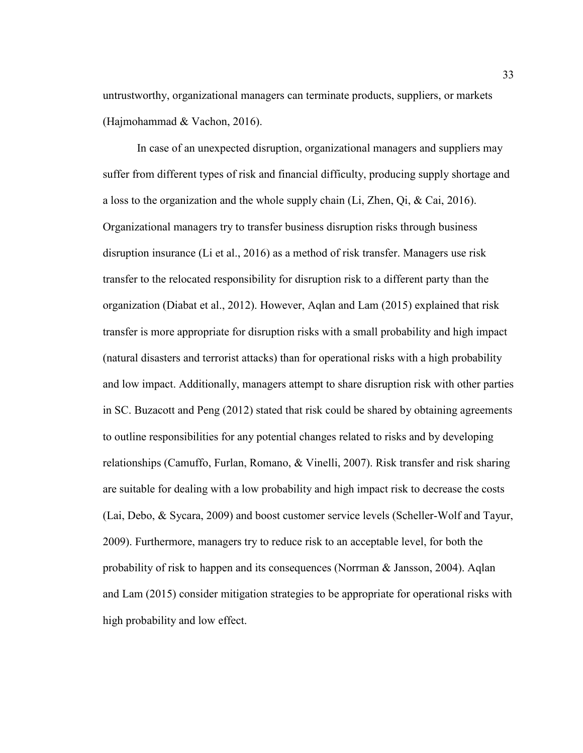untrustworthy, organizational managers can terminate products, suppliers, or markets (Hajmohammad & Vachon, 2016).

In case of an unexpected disruption, organizational managers and suppliers may suffer from different types of risk and financial difficulty, producing supply shortage and a loss to the organization and the whole supply chain (Li, Zhen, Qi, & Cai, 2016). Organizational managers try to transfer business disruption risks through business disruption insurance (Li et al., 2016) as a method of risk transfer. Managers use risk transfer to the relocated responsibility for disruption risk to a different party than the organization (Diabat et al., 2012). However, Aqlan and Lam (2015) explained that risk transfer is more appropriate for disruption risks with a small probability and high impact (natural disasters and terrorist attacks) than for operational risks with a high probability and low impact. Additionally, managers attempt to share disruption risk with other parties in SC. Buzacott and Peng (2012) stated that risk could be shared by obtaining agreements to outline responsibilities for any potential changes related to risks and by developing relationships (Camuffo, Furlan, Romano, & Vinelli, 2007). Risk transfer and risk sharing are suitable for dealing with a low probability and high impact risk to decrease the costs (Lai, Debo, & Sycara, 2009) and boost customer service levels (Scheller-Wolf and Tayur, 2009). Furthermore, managers try to reduce risk to an acceptable level, for both the probability of risk to happen and its consequences (Norrman & Jansson, 2004). Aqlan and Lam (2015) consider mitigation strategies to be appropriate for operational risks with high probability and low effect.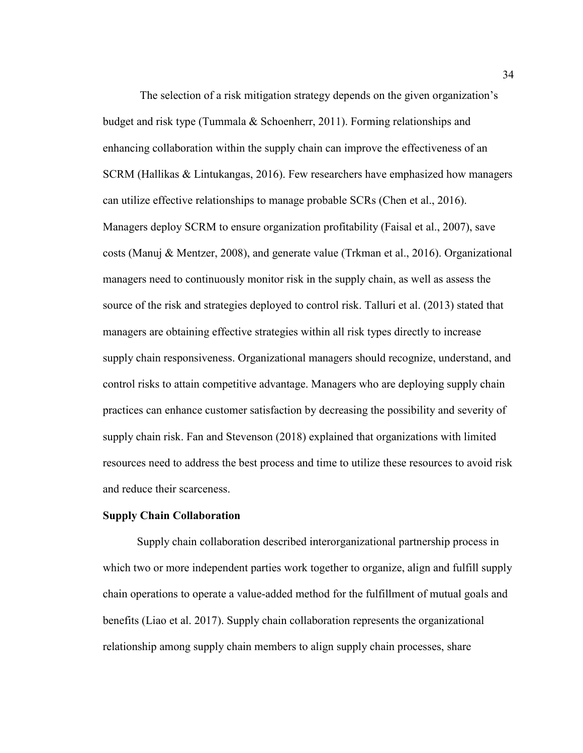The selection of a risk mitigation strategy depends on the given organization's budget and risk type (Tummala & Schoenherr, 2011). Forming relationships and enhancing collaboration within the supply chain can improve the effectiveness of an SCRM (Hallikas & Lintukangas, 2016). Few researchers have emphasized how managers can utilize effective relationships to manage probable SCRs (Chen et al., 2016). Managers deploy SCRM to ensure organization profitability (Faisal et al., 2007), save costs (Manuj & Mentzer, 2008), and generate value (Trkman et al., 2016). Organizational managers need to continuously monitor risk in the supply chain, as well as assess the source of the risk and strategies deployed to control risk. Talluri et al. (2013) stated that managers are obtaining effective strategies within all risk types directly to increase supply chain responsiveness. Organizational managers should recognize, understand, and control risks to attain competitive advantage. Managers who are deploying supply chain practices can enhance customer satisfaction by decreasing the possibility and severity of supply chain risk. Fan and Stevenson (2018) explained that organizations with limited resources need to address the best process and time to utilize these resources to avoid risk and reduce their scarceness.

#### **Supply Chain Collaboration**

Supply chain collaboration described interorganizational partnership process in which two or more independent parties work together to organize, align and fulfill supply chain operations to operate a value-added method for the fulfillment of mutual goals and benefits (Liao et al. 2017). Supply chain collaboration represents the organizational relationship among supply chain members to align supply chain processes, share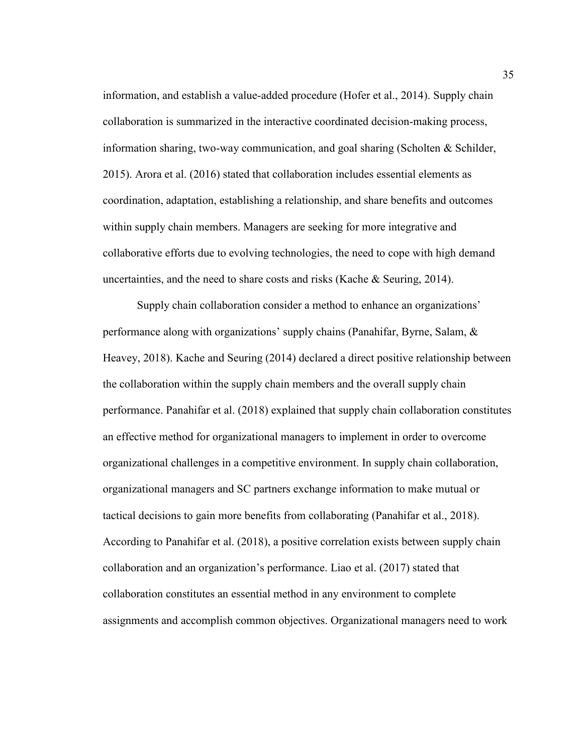information, and establish a value-added procedure (Hofer et al., 2014). Supply chain collaboration is summarized in the interactive coordinated decision-making process, information sharing, two-way communication, and goal sharing (Scholten & Schilder, 2015). Arora et al. (2016) stated that collaboration includes essential elements as coordination, adaptation, establishing a relationship, and share benefits and outcomes within supply chain members. Managers are seeking for more integrative and collaborative efforts due to evolving technologies, the need to cope with high demand uncertainties, and the need to share costs and risks (Kache & Seuring, 2014).

Supply chain collaboration consider a method to enhance an organizations' performance along with organizations' supply chains (Panahifar, Byrne, Salam, & Heavey, 2018). Kache and Seuring (2014) declared a direct positive relationship between the collaboration within the supply chain members and the overall supply chain performance. Panahifar et al. (2018) explained that supply chain collaboration constitutes an effective method for organizational managers to implement in order to overcome organizational challenges in a competitive environment. In supply chain collaboration, organizational managers and SC partners exchange information to make mutual or tactical decisions to gain more benefits from collaborating (Panahifar et al., 2018). According to Panahifar et al. (2018), a positive correlation exists between supply chain collaboration and an organization's performance. Liao et al. (2017) stated that collaboration constitutes an essential method in any environment to complete assignments and accomplish common objectives. Organizational managers need to work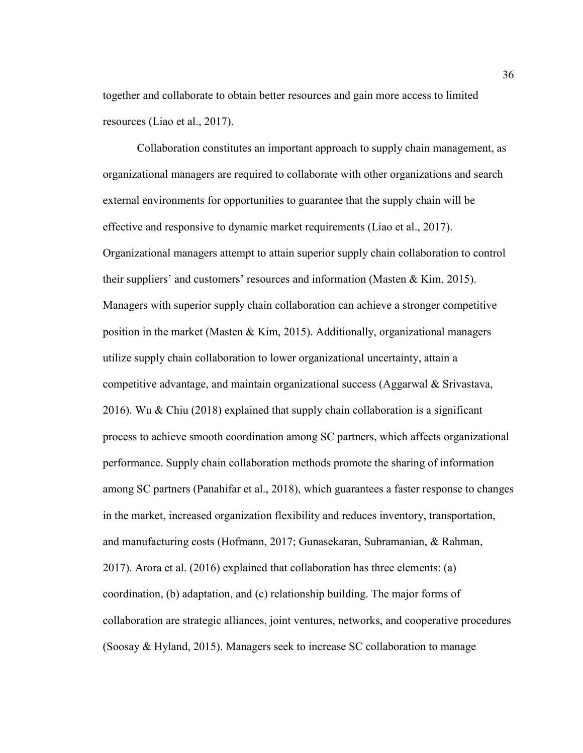together and collaborate to obtain better resources and gain more access to limited resources (Liao et al., 2017).

Collaboration constitutes an important approach to supply chain management, as organizational managers are required to collaborate with other organizations and search external environments for opportunities to guarantee that the supply chain will be effective and responsive to dynamic market requirements (Liao et al., 2017). Organizational managers attempt to attain superior supply chain collaboration to control their suppliers' and customers' resources and information (Masten & Kim, 2015). Managers with superior supply chain collaboration can achieve a stronger competitive position in the market (Masten & Kim, 2015). Additionally, organizational managers utilize supply chain collaboration to lower organizational uncertainty, attain a competitive advantage, and maintain organizational success (Aggarwal & Srivastava, 2016). Wu & Chiu (2018) explained that supply chain collaboration is a significant process to achieve smooth coordination among SC partners, which affects organizational performance. Supply chain collaboration methods promote the sharing of information among SC partners (Panahifar et al., 2018), which guarantees a faster response to changes in the market, increased organization flexibility and reduces inventory, transportation, and manufacturing costs (Hofmann, 2017; Gunasekaran, Subramanian, & Rahman, 2017). Arora et al. (2016) explained that collaboration has three elements: (a) coordination, (b) adaptation, and (c) relationship building. The major forms of collaboration are strategic alliances, joint ventures, networks, and cooperative procedures (Soosay & Hyland, 2015). Managers seek to increase SC collaboration to manage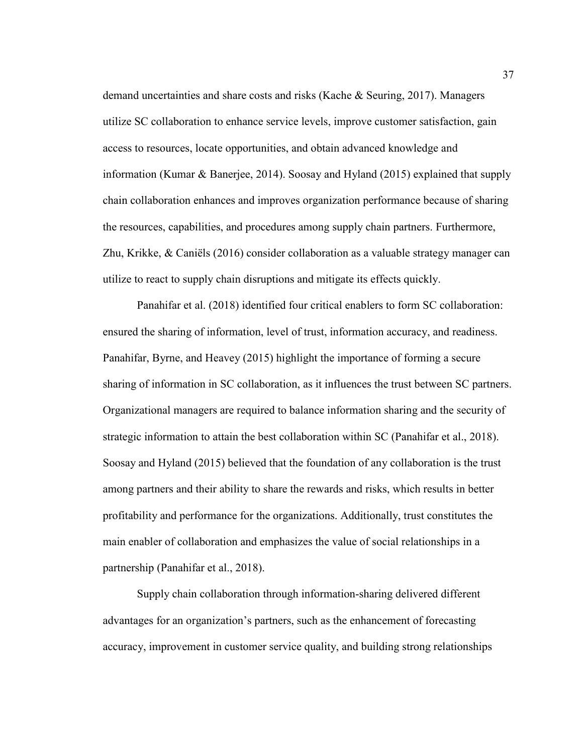demand uncertainties and share costs and risks (Kache & Seuring, 2017). Managers utilize SC collaboration to enhance service levels, improve customer satisfaction, gain access to resources, locate opportunities, and obtain advanced knowledge and information (Kumar & Banerjee, 2014). Soosay and Hyland (2015) explained that supply chain collaboration enhances and improves organization performance because of sharing the resources, capabilities, and procedures among supply chain partners. Furthermore, Zhu, Krikke, & Caniëls (2016) consider collaboration as a valuable strategy manager can utilize to react to supply chain disruptions and mitigate its effects quickly.

Panahifar et al. (2018) identified four critical enablers to form SC collaboration: ensured the sharing of information, level of trust, information accuracy, and readiness. Panahifar, Byrne, and Heavey (2015) highlight the importance of forming a secure sharing of information in SC collaboration, as it influences the trust between SC partners. Organizational managers are required to balance information sharing and the security of strategic information to attain the best collaboration within SC (Panahifar et al., 2018). Soosay and Hyland (2015) believed that the foundation of any collaboration is the trust among partners and their ability to share the rewards and risks, which results in better profitability and performance for the organizations. Additionally, trust constitutes the main enabler of collaboration and emphasizes the value of social relationships in a partnership (Panahifar et al., 2018).

Supply chain collaboration through information-sharing delivered different advantages for an organization's partners, such as the enhancement of forecasting accuracy, improvement in customer service quality, and building strong relationships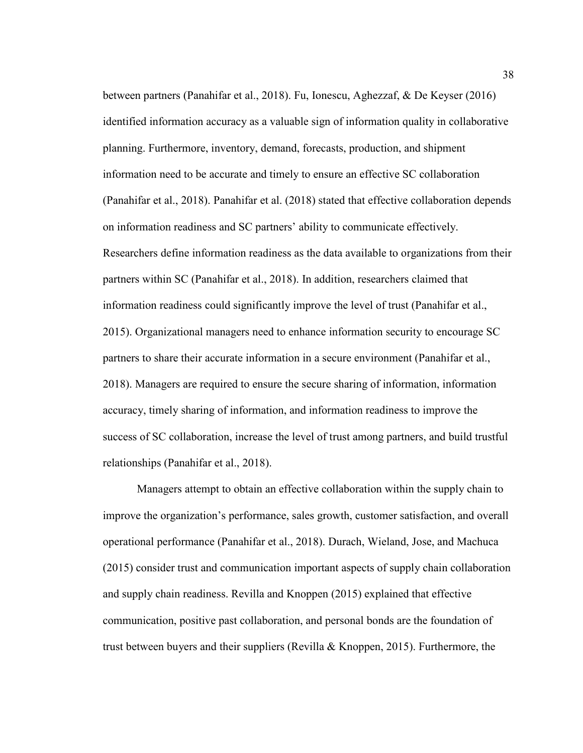between partners (Panahifar et al., 2018). Fu, Ionescu, Aghezzaf, & De Keyser (2016) identified information accuracy as a valuable sign of information quality in collaborative planning. Furthermore, inventory, demand, forecasts, production, and shipment information need to be accurate and timely to ensure an effective SC collaboration (Panahifar et al., 2018). Panahifar et al. (2018) stated that effective collaboration depends on information readiness and SC partners' ability to communicate effectively. Researchers define information readiness as the data available to organizations from their partners within SC (Panahifar et al., 2018). In addition, researchers claimed that information readiness could significantly improve the level of trust (Panahifar et al., 2015). Organizational managers need to enhance information security to encourage SC partners to share their accurate information in a secure environment (Panahifar et al., 2018). Managers are required to ensure the secure sharing of information, information accuracy, timely sharing of information, and information readiness to improve the success of SC collaboration, increase the level of trust among partners, and build trustful relationships (Panahifar et al., 2018).

Managers attempt to obtain an effective collaboration within the supply chain to improve the organization's performance, sales growth, customer satisfaction, and overall operational performance (Panahifar et al., 2018). Durach, Wieland, Jose, and Machuca (2015) consider trust and communication important aspects of supply chain collaboration and supply chain readiness. Revilla and Knoppen (2015) explained that effective communication, positive past collaboration, and personal bonds are the foundation of trust between buyers and their suppliers (Revilla & Knoppen, 2015). Furthermore, the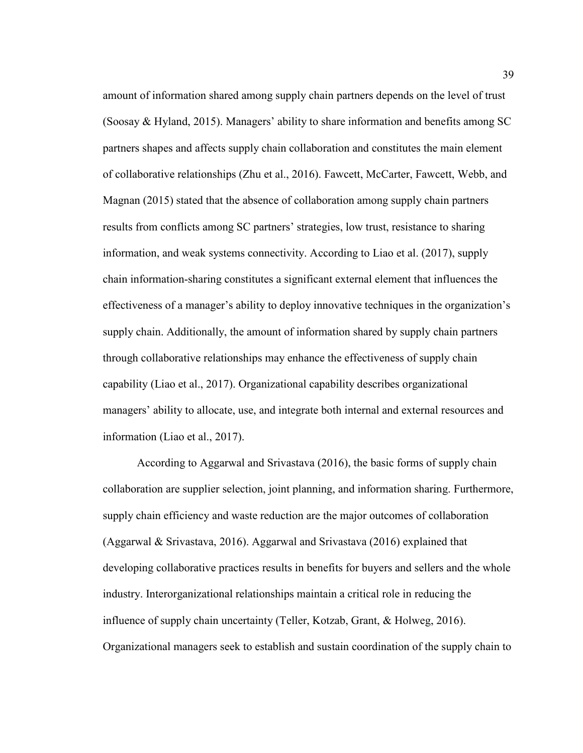amount of information shared among supply chain partners depends on the level of trust (Soosay & Hyland, 2015). Managers' ability to share information and benefits among SC partners shapes and affects supply chain collaboration and constitutes the main element of collaborative relationships (Zhu et al., 2016). Fawcett, McCarter, Fawcett, Webb, and Magnan (2015) stated that the absence of collaboration among supply chain partners results from conflicts among SC partners' strategies, low trust, resistance to sharing information, and weak systems connectivity. According to Liao et al. (2017), supply chain information-sharing constitutes a significant external element that influences the effectiveness of a manager's ability to deploy innovative techniques in the organization's supply chain. Additionally, the amount of information shared by supply chain partners through collaborative relationships may enhance the effectiveness of supply chain capability (Liao et al., 2017). Organizational capability describes organizational managers' ability to allocate, use, and integrate both internal and external resources and information (Liao et al., 2017).

According to Aggarwal and Srivastava (2016), the basic forms of supply chain collaboration are supplier selection, joint planning, and information sharing. Furthermore, supply chain efficiency and waste reduction are the major outcomes of collaboration (Aggarwal & Srivastava, 2016). Aggarwal and Srivastava (2016) explained that developing collaborative practices results in benefits for buyers and sellers and the whole industry. Interorganizational relationships maintain a critical role in reducing the influence of supply chain uncertainty (Teller, Kotzab, Grant, & Holweg, 2016). Organizational managers seek to establish and sustain coordination of the supply chain to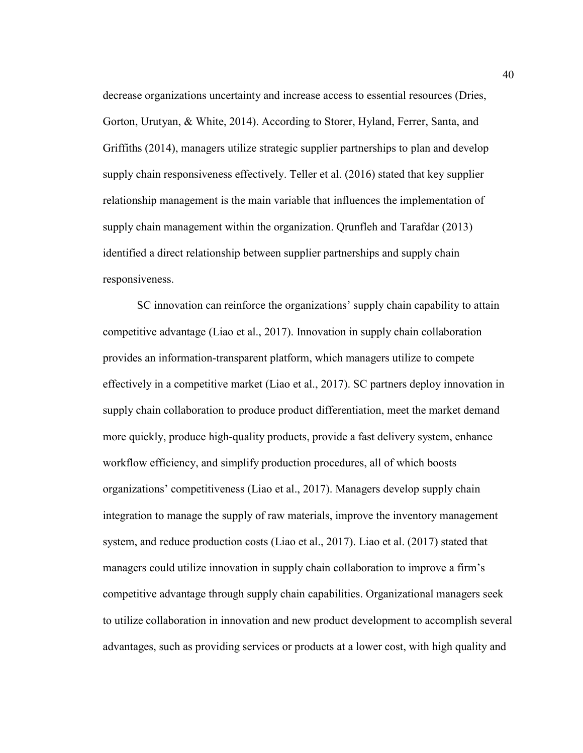decrease organizations uncertainty and increase access to essential resources (Dries, Gorton, Urutyan, & White, 2014). According to Storer, Hyland, Ferrer, Santa, and Griffiths (2014), managers utilize strategic supplier partnerships to plan and develop supply chain responsiveness effectively. Teller et al. (2016) stated that key supplier relationship management is the main variable that influences the implementation of supply chain management within the organization. Qrunfleh and Tarafdar (2013) identified a direct relationship between supplier partnerships and supply chain responsiveness.

SC innovation can reinforce the organizations' supply chain capability to attain competitive advantage (Liao et al., 2017). Innovation in supply chain collaboration provides an information-transparent platform, which managers utilize to compete effectively in a competitive market (Liao et al., 2017). SC partners deploy innovation in supply chain collaboration to produce product differentiation, meet the market demand more quickly, produce high-quality products, provide a fast delivery system, enhance workflow efficiency, and simplify production procedures, all of which boosts organizations' competitiveness (Liao et al., 2017). Managers develop supply chain integration to manage the supply of raw materials, improve the inventory management system, and reduce production costs (Liao et al., 2017). Liao et al. (2017) stated that managers could utilize innovation in supply chain collaboration to improve a firm's competitive advantage through supply chain capabilities. Organizational managers seek to utilize collaboration in innovation and new product development to accomplish several advantages, such as providing services or products at a lower cost, with high quality and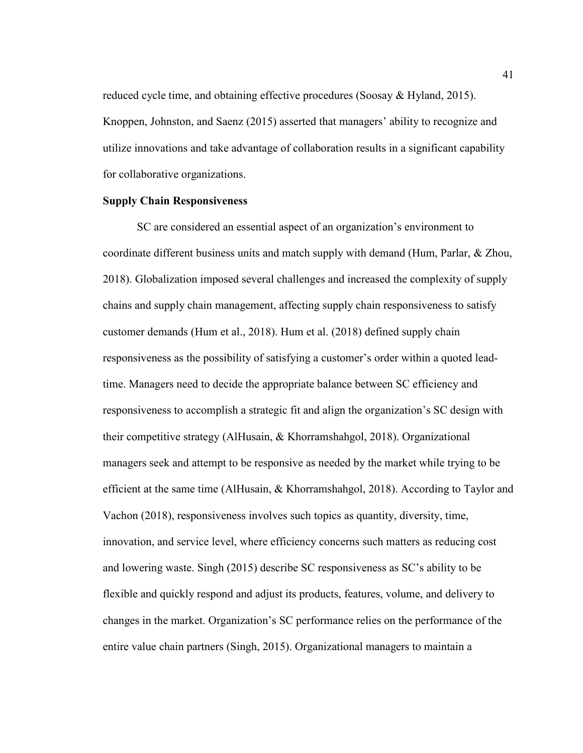reduced cycle time, and obtaining effective procedures (Soosay & Hyland, 2015). Knoppen, Johnston, and Saenz (2015) asserted that managers' ability to recognize and utilize innovations and take advantage of collaboration results in a significant capability for collaborative organizations.

## **Supply Chain Responsiveness**

SC are considered an essential aspect of an organization's environment to coordinate different business units and match supply with demand (Hum, Parlar, & Zhou, 2018). Globalization imposed several challenges and increased the complexity of supply chains and supply chain management, affecting supply chain responsiveness to satisfy customer demands (Hum et al., 2018). Hum et al. (2018) defined supply chain responsiveness as the possibility of satisfying a customer's order within a quoted leadtime. Managers need to decide the appropriate balance between SC efficiency and responsiveness to accomplish a strategic fit and align the organization's SC design with their competitive strategy (AlHusain, & Khorramshahgol, 2018). Organizational managers seek and attempt to be responsive as needed by the market while trying to be efficient at the same time (AlHusain, & Khorramshahgol, 2018). According to Taylor and Vachon (2018), responsiveness involves such topics as quantity, diversity, time, innovation, and service level, where efficiency concerns such matters as reducing cost and lowering waste. Singh (2015) describe SC responsiveness as SC's ability to be flexible and quickly respond and adjust its products, features, volume, and delivery to changes in the market. Organization's SC performance relies on the performance of the entire value chain partners (Singh, 2015). Organizational managers to maintain a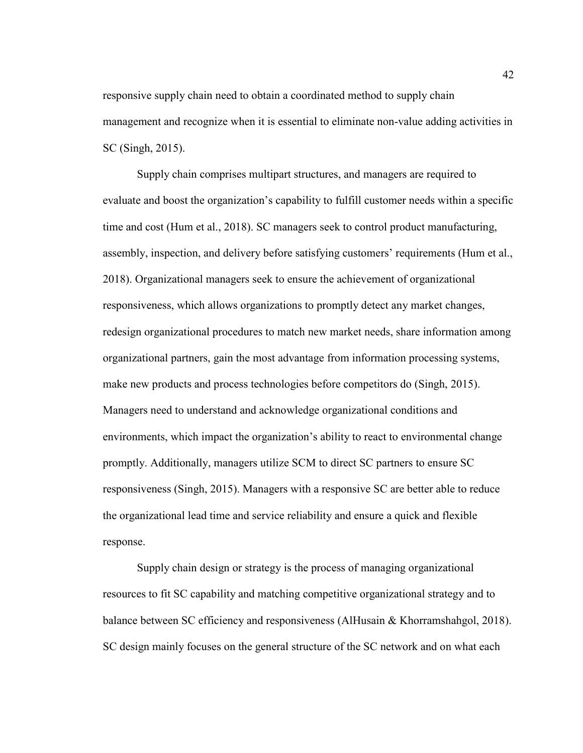responsive supply chain need to obtain a coordinated method to supply chain management and recognize when it is essential to eliminate non-value adding activities in SC (Singh, 2015).

Supply chain comprises multipart structures, and managers are required to evaluate and boost the organization's capability to fulfill customer needs within a specific time and cost (Hum et al., 2018). SC managers seek to control product manufacturing, assembly, inspection, and delivery before satisfying customers' requirements (Hum et al., 2018). Organizational managers seek to ensure the achievement of organizational responsiveness, which allows organizations to promptly detect any market changes, redesign organizational procedures to match new market needs, share information among organizational partners, gain the most advantage from information processing systems, make new products and process technologies before competitors do (Singh, 2015). Managers need to understand and acknowledge organizational conditions and environments, which impact the organization's ability to react to environmental change promptly. Additionally, managers utilize SCM to direct SC partners to ensure SC responsiveness (Singh, 2015). Managers with a responsive SC are better able to reduce the organizational lead time and service reliability and ensure a quick and flexible response.

Supply chain design or strategy is the process of managing organizational resources to fit SC capability and matching competitive organizational strategy and to balance between SC efficiency and responsiveness (AlHusain & Khorramshahgol, 2018). SC design mainly focuses on the general structure of the SC network and on what each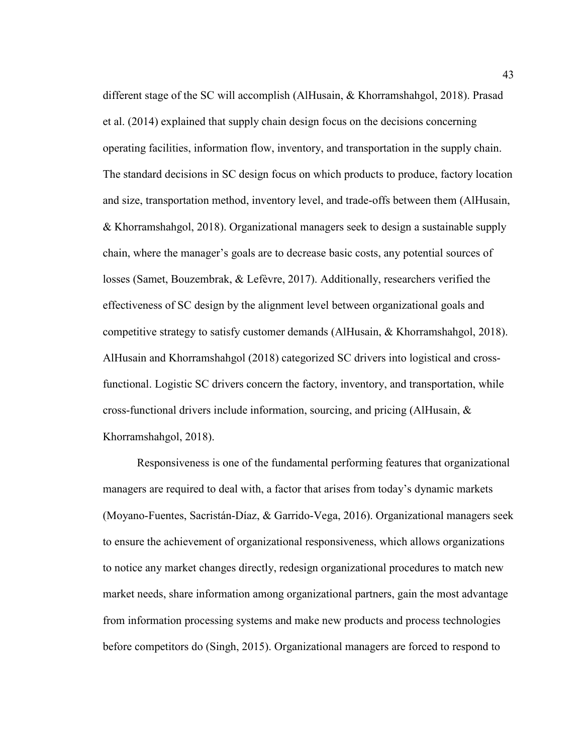different stage of the SC will accomplish (AlHusain, & Khorramshahgol, 2018). Prasad et al. (2014) explained that supply chain design focus on the decisions concerning operating facilities, information flow, inventory, and transportation in the supply chain. The standard decisions in SC design focus on which products to produce, factory location and size, transportation method, inventory level, and trade-offs between them (AlHusain, & Khorramshahgol, 2018). Organizational managers seek to design a sustainable supply chain, where the manager's goals are to decrease basic costs, any potential sources of losses (Samet, Bouzembrak, & Lefèvre, 2017). Additionally, researchers verified the effectiveness of SC design by the alignment level between organizational goals and competitive strategy to satisfy customer demands (AlHusain, & Khorramshahgol, 2018). AlHusain and Khorramshahgol (2018) categorized SC drivers into logistical and crossfunctional. Logistic SC drivers concern the factory, inventory, and transportation, while cross-functional drivers include information, sourcing, and pricing (AlHusain,  $\&$ Khorramshahgol, 2018).

Responsiveness is one of the fundamental performing features that organizational managers are required to deal with, a factor that arises from today's dynamic markets (Moyano-Fuentes, Sacristán-Díaz, & Garrido-Vega, 2016). Organizational managers seek to ensure the achievement of organizational responsiveness, which allows organizations to notice any market changes directly, redesign organizational procedures to match new market needs, share information among organizational partners, gain the most advantage from information processing systems and make new products and process technologies before competitors do (Singh, 2015). Organizational managers are forced to respond to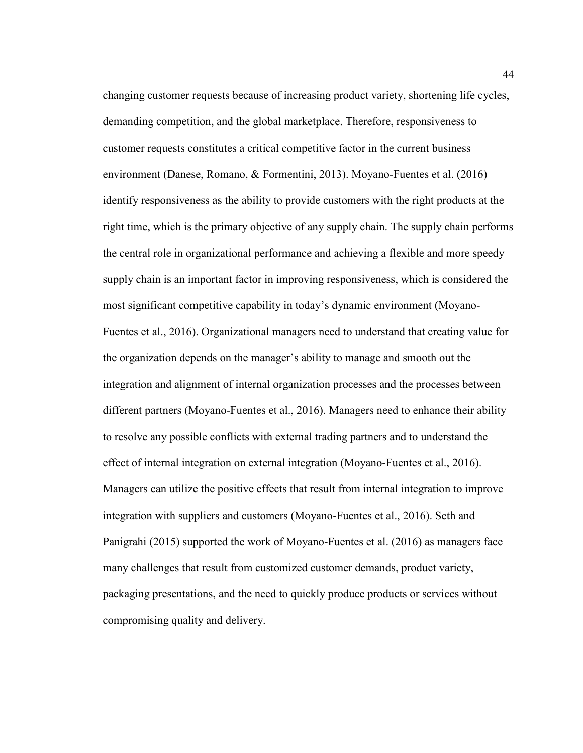changing customer requests because of increasing product variety, shortening life cycles, demanding competition, and the global marketplace. Therefore, responsiveness to customer requests constitutes a critical competitive factor in the current business environment (Danese, Romano, & Formentini, 2013). Moyano-Fuentes et al. (2016) identify responsiveness as the ability to provide customers with the right products at the right time, which is the primary objective of any supply chain. The supply chain performs the central role in organizational performance and achieving a flexible and more speedy supply chain is an important factor in improving responsiveness, which is considered the most significant competitive capability in today's dynamic environment (Moyano-Fuentes et al., 2016). Organizational managers need to understand that creating value for the organization depends on the manager's ability to manage and smooth out the integration and alignment of internal organization processes and the processes between different partners (Moyano-Fuentes et al., 2016). Managers need to enhance their ability to resolve any possible conflicts with external trading partners and to understand the effect of internal integration on external integration (Moyano-Fuentes et al., 2016). Managers can utilize the positive effects that result from internal integration to improve integration with suppliers and customers (Moyano-Fuentes et al., 2016). Seth and Panigrahi (2015) supported the work of Moyano-Fuentes et al. (2016) as managers face many challenges that result from customized customer demands, product variety, packaging presentations, and the need to quickly produce products or services without compromising quality and delivery.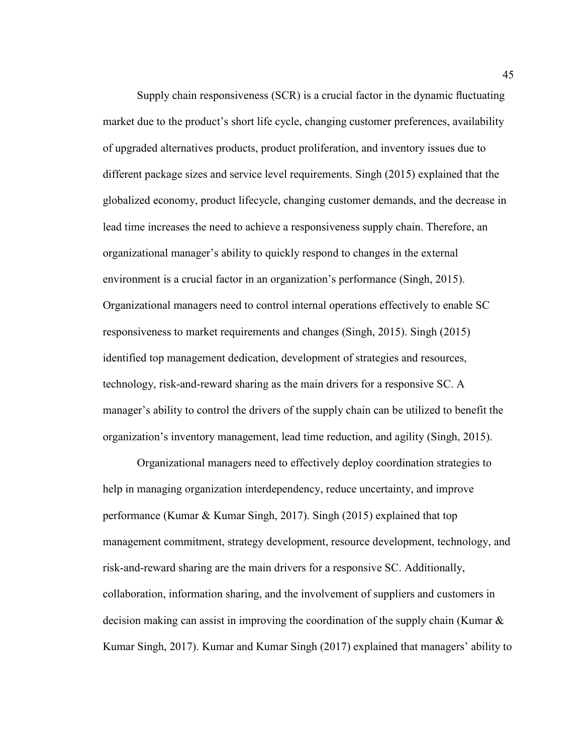Supply chain responsiveness (SCR) is a crucial factor in the dynamic fluctuating market due to the product's short life cycle, changing customer preferences, availability of upgraded alternatives products, product proliferation, and inventory issues due to different package sizes and service level requirements. Singh (2015) explained that the globalized economy, product lifecycle, changing customer demands, and the decrease in lead time increases the need to achieve a responsiveness supply chain. Therefore, an organizational manager's ability to quickly respond to changes in the external environment is a crucial factor in an organization's performance (Singh, 2015). Organizational managers need to control internal operations effectively to enable SC responsiveness to market requirements and changes (Singh, 2015). Singh (2015) identified top management dedication, development of strategies and resources, technology, risk-and-reward sharing as the main drivers for a responsive SC. A manager's ability to control the drivers of the supply chain can be utilized to benefit the organization's inventory management, lead time reduction, and agility (Singh, 2015).

Organizational managers need to effectively deploy coordination strategies to help in managing organization interdependency, reduce uncertainty, and improve performance (Kumar & Kumar Singh, 2017). Singh (2015) explained that top management commitment, strategy development, resource development, technology, and risk-and-reward sharing are the main drivers for a responsive SC. Additionally, collaboration, information sharing, and the involvement of suppliers and customers in decision making can assist in improving the coordination of the supply chain (Kumar & Kumar Singh, 2017). Kumar and Kumar Singh (2017) explained that managers' ability to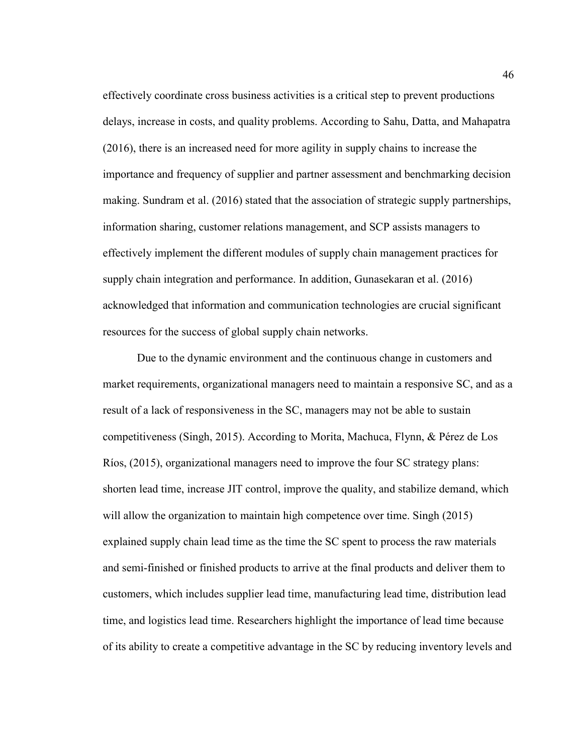effectively coordinate cross business activities is a critical step to prevent productions delays, increase in costs, and quality problems. According to Sahu, Datta, and Mahapatra (2016), there is an increased need for more agility in supply chains to increase the importance and frequency of supplier and partner assessment and benchmarking decision making. Sundram et al. (2016) stated that the association of strategic supply partnerships, information sharing, customer relations management, and SCP assists managers to effectively implement the different modules of supply chain management practices for supply chain integration and performance. In addition, Gunasekaran et al. (2016) acknowledged that information and communication technologies are crucial significant resources for the success of global supply chain networks.

Due to the dynamic environment and the continuous change in customers and market requirements, organizational managers need to maintain a responsive SC, and as a result of a lack of responsiveness in the SC, managers may not be able to sustain competitiveness (Singh, 2015). According to Morita, Machuca, Flynn, & Pérez de Los Ríos, (2015), organizational managers need to improve the four SC strategy plans: shorten lead time, increase JIT control, improve the quality, and stabilize demand, which will allow the organization to maintain high competence over time. Singh (2015) explained supply chain lead time as the time the SC spent to process the raw materials and semi-finished or finished products to arrive at the final products and deliver them to customers, which includes supplier lead time, manufacturing lead time, distribution lead time, and logistics lead time. Researchers highlight the importance of lead time because of its ability to create a competitive advantage in the SC by reducing inventory levels and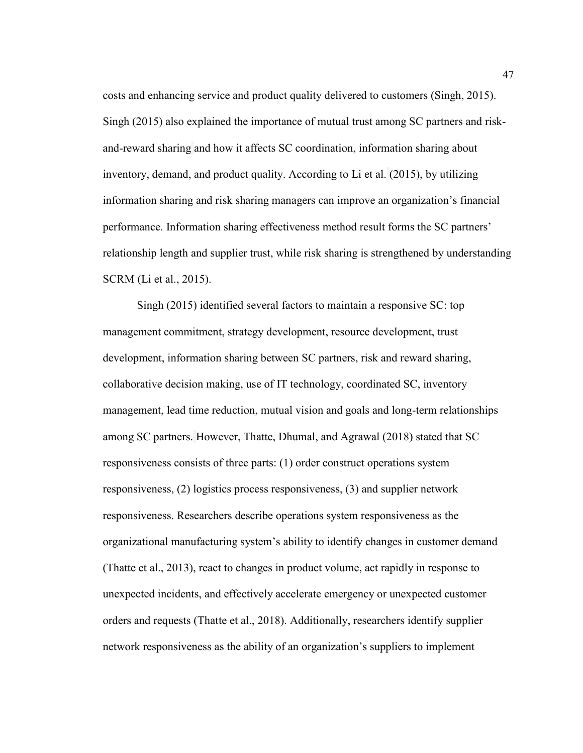costs and enhancing service and product quality delivered to customers (Singh, 2015). Singh (2015) also explained the importance of mutual trust among SC partners and riskand-reward sharing and how it affects SC coordination, information sharing about inventory, demand, and product quality. According to Li et al. (2015), by utilizing information sharing and risk sharing managers can improve an organization's financial performance. Information sharing effectiveness method result forms the SC partners' relationship length and supplier trust, while risk sharing is strengthened by understanding SCRM (Li et al., 2015).

Singh (2015) identified several factors to maintain a responsive SC: top management commitment, strategy development, resource development, trust development, information sharing between SC partners, risk and reward sharing, collaborative decision making, use of IT technology, coordinated SC, inventory management, lead time reduction, mutual vision and goals and long-term relationships among SC partners. However, Thatte, Dhumal, and Agrawal (2018) stated that SC responsiveness consists of three parts: (1) order construct operations system responsiveness, (2) logistics process responsiveness, (3) and supplier network responsiveness. Researchers describe operations system responsiveness as the organizational manufacturing system's ability to identify changes in customer demand (Thatte et al., 2013), react to changes in product volume, act rapidly in response to unexpected incidents, and effectively accelerate emergency or unexpected customer orders and requests (Thatte et al., 2018). Additionally, researchers identify supplier network responsiveness as the ability of an organization's suppliers to implement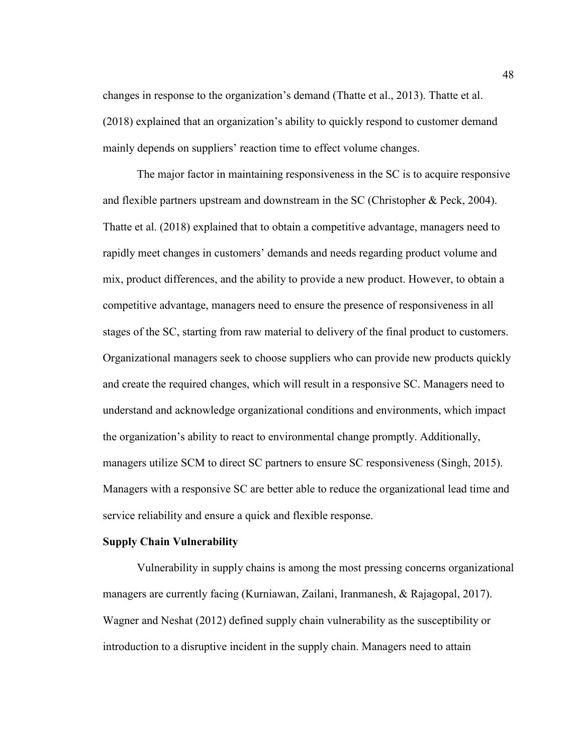changes in response to the organization's demand (Thatte et al., 2013). Thatte et al. (2018) explained that an organization's ability to quickly respond to customer demand mainly depends on suppliers' reaction time to effect volume changes.

The major factor in maintaining responsiveness in the SC is to acquire responsive and flexible partners upstream and downstream in the SC (Christopher & Peck, 2004). Thatte et al. (2018) explained that to obtain a competitive advantage, managers need to rapidly meet changes in customers' demands and needs regarding product volume and mix, product differences, and the ability to provide a new product. However, to obtain a competitive advantage, managers need to ensure the presence of responsiveness in all stages of the SC, starting from raw material to delivery of the final product to customers. Organizational managers seek to choose suppliers who can provide new products quickly and create the required changes, which will result in a responsive SC. Managers need to understand and acknowledge organizational conditions and environments, which impact the organization's ability to react to environmental change promptly. Additionally, managers utilize SCM to direct SC partners to ensure SC responsiveness (Singh, 2015). Managers with a responsive SC are better able to reduce the organizational lead time and service reliability and ensure a quick and flexible response.

## **Supply Chain Vulnerability**

Vulnerability in supply chains is among the most pressing concerns organizational managers are currently facing (Kurniawan, Zailani, Iranmanesh, & Rajagopal, 2017). Wagner and Neshat (2012) defined supply chain vulnerability as the susceptibility or introduction to a disruptive incident in the supply chain. Managers need to attain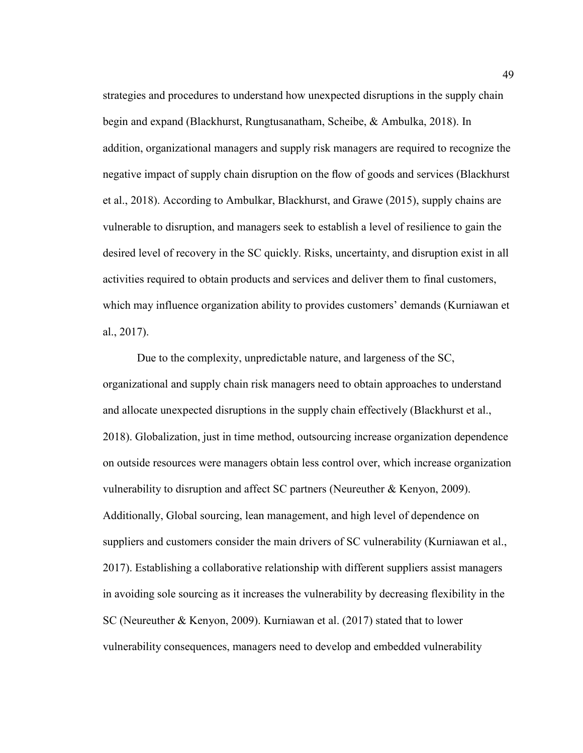strategies and procedures to understand how unexpected disruptions in the supply chain begin and expand (Blackhurst, Rungtusanatham, Scheibe, & Ambulka, 2018). In addition, organizational managers and supply risk managers are required to recognize the negative impact of supply chain disruption on the flow of goods and services (Blackhurst et al., 2018). According to Ambulkar, Blackhurst, and Grawe (2015), supply chains are vulnerable to disruption, and managers seek to establish a level of resilience to gain the desired level of recovery in the SC quickly. Risks, uncertainty, and disruption exist in all activities required to obtain products and services and deliver them to final customers, which may influence organization ability to provides customers' demands (Kurniawan et al., 2017).

Due to the complexity, unpredictable nature, and largeness of the SC, organizational and supply chain risk managers need to obtain approaches to understand and allocate unexpected disruptions in the supply chain effectively (Blackhurst et al., 2018). Globalization, just in time method, outsourcing increase organization dependence on outside resources were managers obtain less control over, which increase organization vulnerability to disruption and affect SC partners (Neureuther & Kenyon, 2009). Additionally, Global sourcing, lean management, and high level of dependence on suppliers and customers consider the main drivers of SC vulnerability (Kurniawan et al., 2017). Establishing a collaborative relationship with different suppliers assist managers in avoiding sole sourcing as it increases the vulnerability by decreasing flexibility in the SC (Neureuther & Kenyon, 2009). Kurniawan et al. (2017) stated that to lower vulnerability consequences, managers need to develop and embedded vulnerability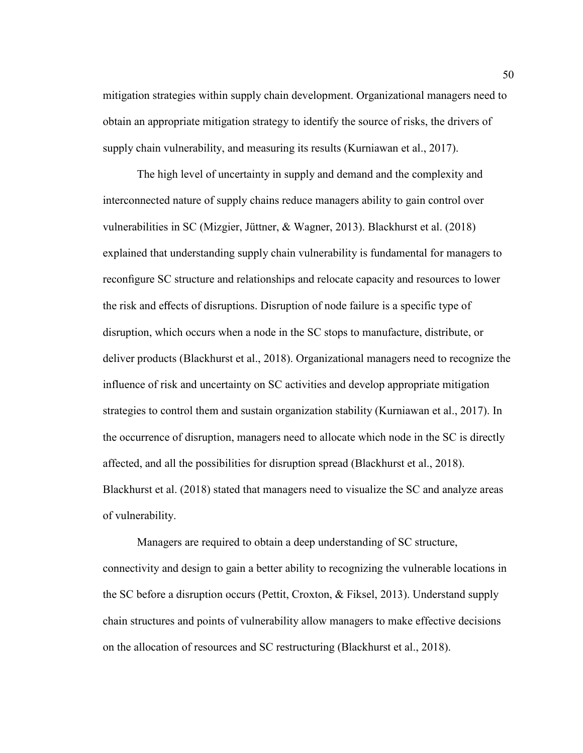mitigation strategies within supply chain development. Organizational managers need to obtain an appropriate mitigation strategy to identify the source of risks, the drivers of supply chain vulnerability, and measuring its results (Kurniawan et al., 2017).

The high level of uncertainty in supply and demand and the complexity and interconnected nature of supply chains reduce managers ability to gain control over vulnerabilities in SC (Mizgier, Jüttner, & Wagner, 2013). Blackhurst et al. (2018) explained that understanding supply chain vulnerability is fundamental for managers to reconfigure SC structure and relationships and relocate capacity and resources to lower the risk and effects of disruptions. Disruption of node failure is a specific type of disruption, which occurs when a node in the SC stops to manufacture, distribute, or deliver products (Blackhurst et al., 2018). Organizational managers need to recognize the influence of risk and uncertainty on SC activities and develop appropriate mitigation strategies to control them and sustain organization stability (Kurniawan et al., 2017). In the occurrence of disruption, managers need to allocate which node in the SC is directly affected, and all the possibilities for disruption spread (Blackhurst et al., 2018). Blackhurst et al. (2018) stated that managers need to visualize the SC and analyze areas of vulnerability.

Managers are required to obtain a deep understanding of SC structure, connectivity and design to gain a better ability to recognizing the vulnerable locations in the SC before a disruption occurs (Pettit, Croxton, & Fiksel, 2013). Understand supply chain structures and points of vulnerability allow managers to make effective decisions on the allocation of resources and SC restructuring (Blackhurst et al., 2018).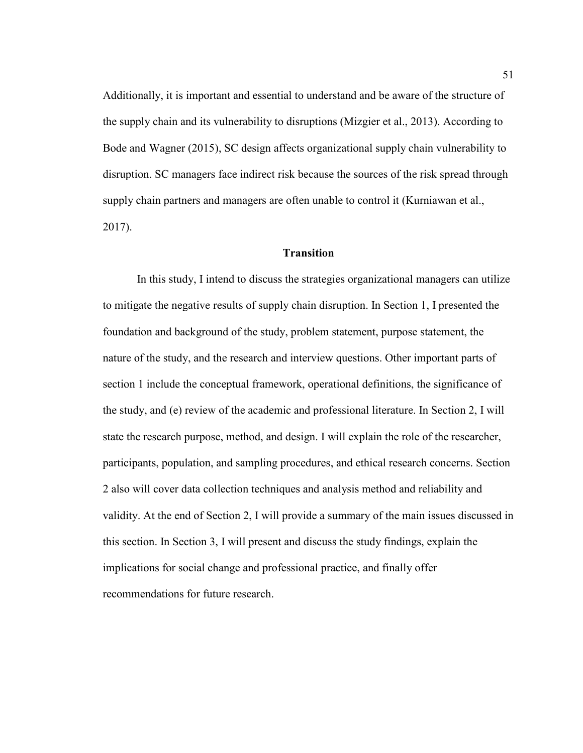Additionally, it is important and essential to understand and be aware of the structure of the supply chain and its vulnerability to disruptions (Mizgier et al., 2013). According to Bode and Wagner (2015), SC design affects organizational supply chain vulnerability to disruption. SC managers face indirect risk because the sources of the risk spread through supply chain partners and managers are often unable to control it (Kurniawan et al., 2017).

# **Transition**

In this study, I intend to discuss the strategies organizational managers can utilize to mitigate the negative results of supply chain disruption. In Section 1, I presented the foundation and background of the study, problem statement, purpose statement, the nature of the study, and the research and interview questions. Other important parts of section 1 include the conceptual framework, operational definitions, the significance of the study, and (e) review of the academic and professional literature. In Section 2, I will state the research purpose, method, and design. I will explain the role of the researcher, participants, population, and sampling procedures, and ethical research concerns. Section 2 also will cover data collection techniques and analysis method and reliability and validity. At the end of Section 2, I will provide a summary of the main issues discussed in this section. In Section 3, I will present and discuss the study findings, explain the implications for social change and professional practice, and finally offer recommendations for future research.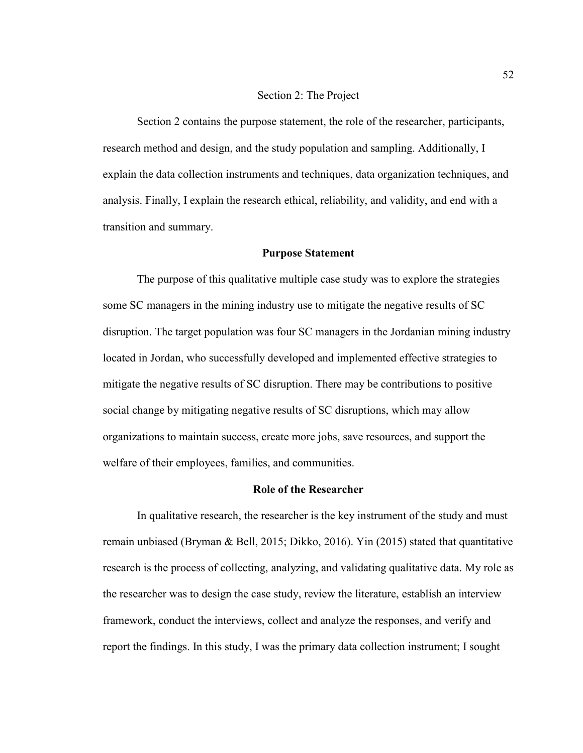#### Section 2: The Project

Section 2 contains the purpose statement, the role of the researcher, participants, research method and design, and the study population and sampling. Additionally, I explain the data collection instruments and techniques, data organization techniques, and analysis. Finally, I explain the research ethical, reliability, and validity, and end with a transition and summary.

## **Purpose Statement**

The purpose of this qualitative multiple case study was to explore the strategies some SC managers in the mining industry use to mitigate the negative results of SC disruption. The target population was four SC managers in the Jordanian mining industry located in Jordan, who successfully developed and implemented effective strategies to mitigate the negative results of SC disruption. There may be contributions to positive social change by mitigating negative results of SC disruptions, which may allow organizations to maintain success, create more jobs, save resources, and support the welfare of their employees, families, and communities.

#### **Role of the Researcher**

In qualitative research, the researcher is the key instrument of the study and must remain unbiased (Bryman & Bell, 2015; Dikko, 2016). Yin (2015) stated that quantitative research is the process of collecting, analyzing, and validating qualitative data. My role as the researcher was to design the case study, review the literature, establish an interview framework, conduct the interviews, collect and analyze the responses, and verify and report the findings. In this study, I was the primary data collection instrument; I sought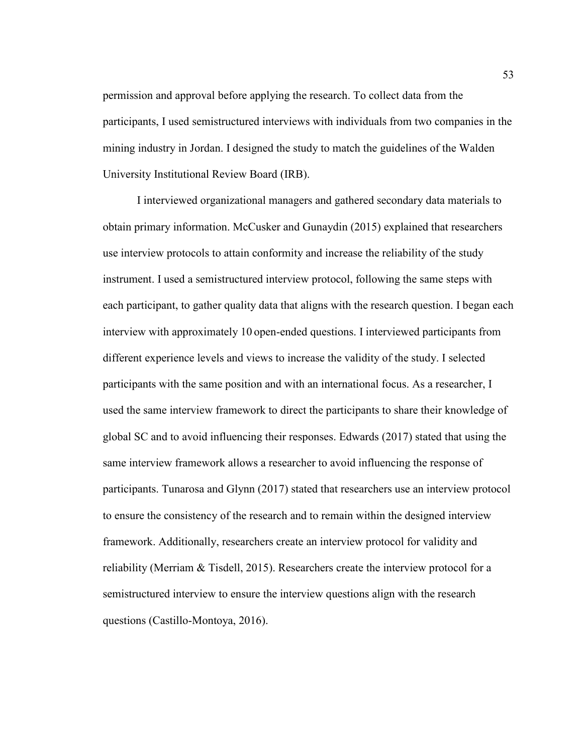permission and approval before applying the research. To collect data from the participants, I used semistructured interviews with individuals from two companies in the mining industry in Jordan. I designed the study to match the guidelines of the Walden University Institutional Review Board (IRB).

I interviewed organizational managers and gathered secondary data materials to obtain primary information. McCusker and Gunaydin (2015) explained that researchers use interview protocols to attain conformity and increase the reliability of the study instrument. I used a semistructured interview protocol, following the same steps with each participant, to gather quality data that aligns with the research question. I began each interview with approximately 10 open-ended questions. I interviewed participants from different experience levels and views to increase the validity of the study. I selected participants with the same position and with an international focus. As a researcher, I used the same interview framework to direct the participants to share their knowledge of global SC and to avoid influencing their responses. Edwards (2017) stated that using the same interview framework allows a researcher to avoid influencing the response of participants. Tunarosa and Glynn (2017) stated that researchers use an interview protocol to ensure the consistency of the research and to remain within the designed interview framework. Additionally, researchers create an interview protocol for validity and reliability (Merriam & Tisdell, 2015). Researchers create the interview protocol for a semistructured interview to ensure the interview questions align with the research questions (Castillo-Montoya, 2016).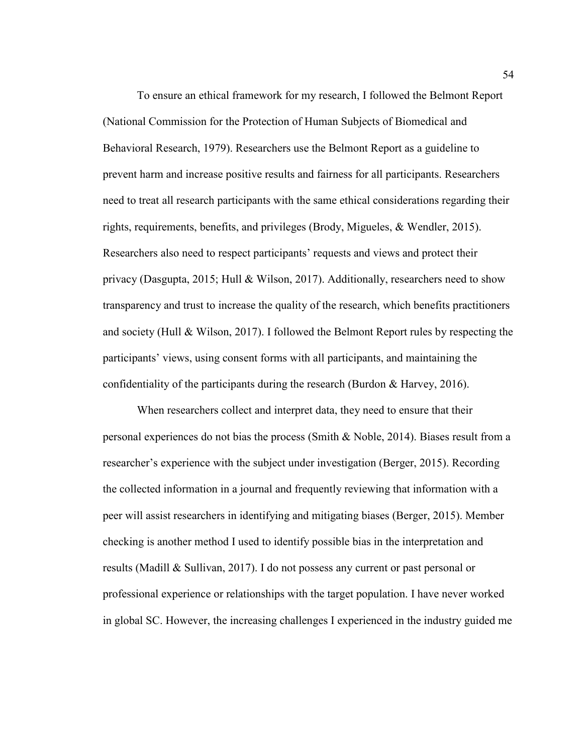To ensure an ethical framework for my research, I followed the Belmont Report (National Commission for the Protection of Human Subjects of Biomedical and Behavioral Research, 1979). Researchers use the Belmont Report as a guideline to prevent harm and increase positive results and fairness for all participants. Researchers need to treat all research participants with the same ethical considerations regarding their rights, requirements, benefits, and privileges (Brody, Migueles, & Wendler, 2015). Researchers also need to respect participants' requests and views and protect their privacy (Dasgupta, 2015; Hull & Wilson, 2017). Additionally, researchers need to show transparency and trust to increase the quality of the research, which benefits practitioners and society (Hull & Wilson, 2017). I followed the Belmont Report rules by respecting the participants' views, using consent forms with all participants, and maintaining the confidentiality of the participants during the research (Burdon & Harvey, 2016).

When researchers collect and interpret data, they need to ensure that their personal experiences do not bias the process (Smith & Noble, 2014). Biases result from a researcher's experience with the subject under investigation (Berger, 2015). Recording the collected information in a journal and frequently reviewing that information with a peer will assist researchers in identifying and mitigating biases (Berger, 2015). Member checking is another method I used to identify possible bias in the interpretation and results (Madill & Sullivan, 2017). I do not possess any current or past personal or professional experience or relationships with the target population. I have never worked in global SC. However, the increasing challenges I experienced in the industry guided me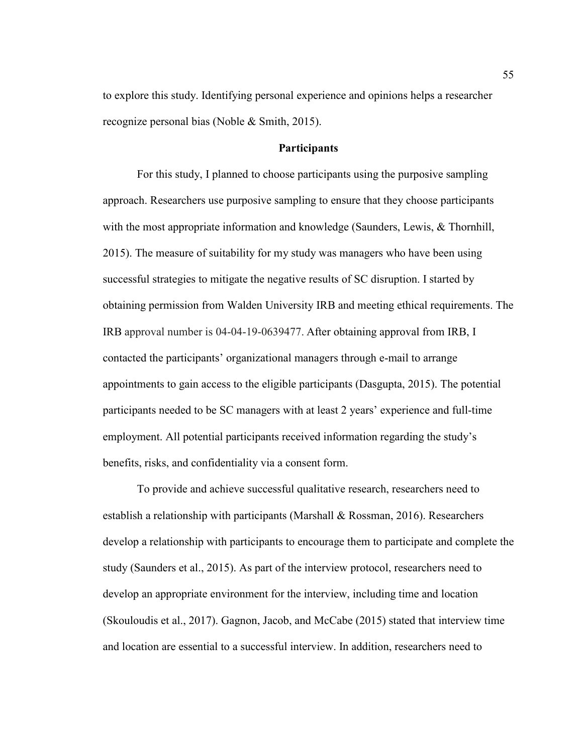to explore this study. Identifying personal experience and opinions helps a researcher recognize personal bias (Noble & Smith, 2015).

# **Participants**

For this study, I planned to choose participants using the purposive sampling approach. Researchers use purposive sampling to ensure that they choose participants with the most appropriate information and knowledge (Saunders, Lewis, & Thornhill, 2015). The measure of suitability for my study was managers who have been using successful strategies to mitigate the negative results of SC disruption. I started by obtaining permission from Walden University IRB and meeting ethical requirements. The IRB approval number is 04-04-19-0639477. After obtaining approval from IRB, I contacted the participants' organizational managers through e-mail to arrange appointments to gain access to the eligible participants (Dasgupta, 2015). The potential participants needed to be SC managers with at least 2 years' experience and full-time employment. All potential participants received information regarding the study's benefits, risks, and confidentiality via a consent form.

To provide and achieve successful qualitative research, researchers need to establish a relationship with participants (Marshall & Rossman, 2016). Researchers develop a relationship with participants to encourage them to participate and complete the study (Saunders et al., 2015). As part of the interview protocol, researchers need to develop an appropriate environment for the interview, including time and location (Skouloudis et al., 2017). Gagnon, Jacob, and McCabe (2015) stated that interview time and location are essential to a successful interview. In addition, researchers need to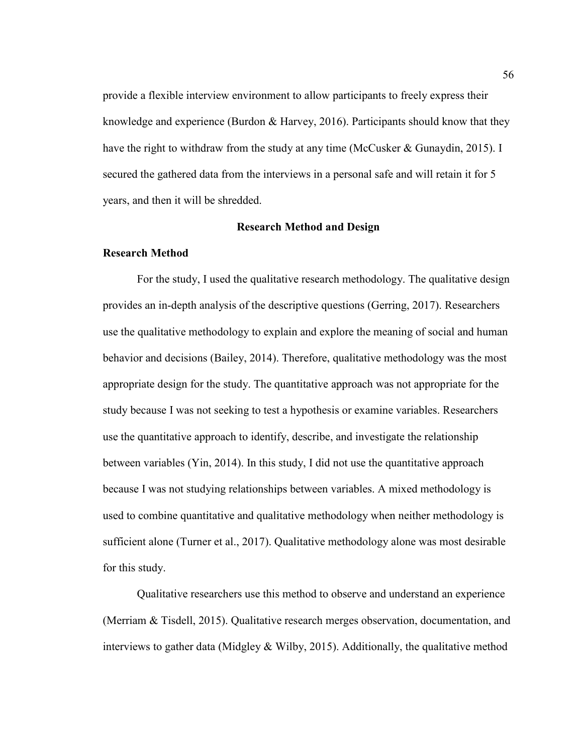provide a flexible interview environment to allow participants to freely express their knowledge and experience (Burdon & Harvey, 2016). Participants should know that they have the right to withdraw from the study at any time (McCusker & Gunaydin, 2015). I secured the gathered data from the interviews in a personal safe and will retain it for 5 years, and then it will be shredded.

## **Research Method and Design**

## **Research Method**

For the study, I used the qualitative research methodology. The qualitative design provides an in-depth analysis of the descriptive questions (Gerring, 2017). Researchers use the qualitative methodology to explain and explore the meaning of social and human behavior and decisions (Bailey, 2014). Therefore, qualitative methodology was the most appropriate design for the study. The quantitative approach was not appropriate for the study because I was not seeking to test a hypothesis or examine variables. Researchers use the quantitative approach to identify, describe, and investigate the relationship between variables (Yin, 2014). In this study, I did not use the quantitative approach because I was not studying relationships between variables. A mixed methodology is used to combine quantitative and qualitative methodology when neither methodology is sufficient alone (Turner et al., 2017). Qualitative methodology alone was most desirable for this study.

Qualitative researchers use this method to observe and understand an experience (Merriam & Tisdell, 2015). Qualitative research merges observation, documentation, and interviews to gather data (Midgley  $&$  Wilby, 2015). Additionally, the qualitative method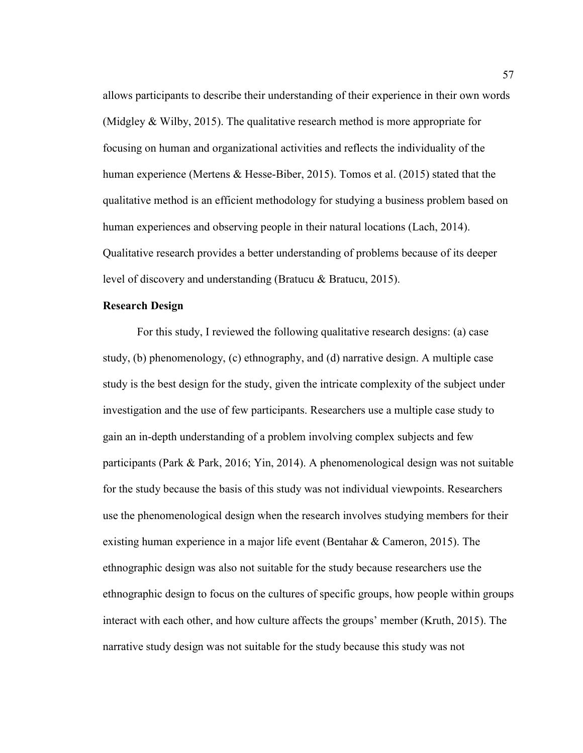allows participants to describe their understanding of their experience in their own words (Midgley & Wilby, 2015). The qualitative research method is more appropriate for focusing on human and organizational activities and reflects the individuality of the human experience (Mertens & Hesse-Biber, 2015). Tomos et al. (2015) stated that the qualitative method is an efficient methodology for studying a business problem based on human experiences and observing people in their natural locations (Lach, 2014). Qualitative research provides a better understanding of problems because of its deeper level of discovery and understanding (Bratucu & Bratucu, 2015).

### **Research Design**

For this study, I reviewed the following qualitative research designs: (a) case study, (b) phenomenology, (c) ethnography, and (d) narrative design. A multiple case study is the best design for the study, given the intricate complexity of the subject under investigation and the use of few participants. Researchers use a multiple case study to gain an in-depth understanding of a problem involving complex subjects and few participants (Park & Park, 2016; Yin, 2014). A phenomenological design was not suitable for the study because the basis of this study was not individual viewpoints. Researchers use the phenomenological design when the research involves studying members for their existing human experience in a major life event (Bentahar & Cameron, 2015). The ethnographic design was also not suitable for the study because researchers use the ethnographic design to focus on the cultures of specific groups, how people within groups interact with each other, and how culture affects the groups' member (Kruth, 2015). The narrative study design was not suitable for the study because this study was not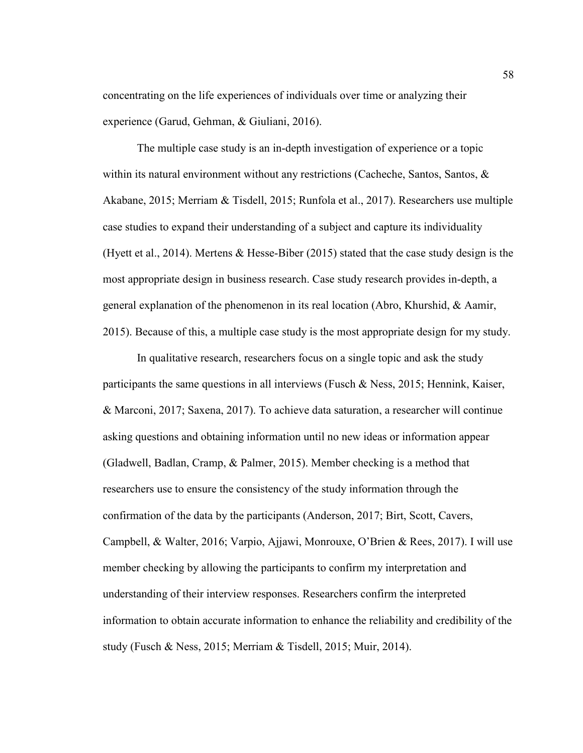concentrating on the life experiences of individuals over time or analyzing their experience (Garud, Gehman, & Giuliani, 2016).

The multiple case study is an in-depth investigation of experience or a topic within its natural environment without any restrictions (Cacheche, Santos, Santos, & Akabane, 2015; Merriam & Tisdell, 2015; Runfola et al., 2017). Researchers use multiple case studies to expand their understanding of a subject and capture its individuality (Hyett et al., 2014). Mertens & Hesse-Biber (2015) stated that the case study design is the most appropriate design in business research. Case study research provides in-depth, a general explanation of the phenomenon in its real location (Abro, Khurshid, & Aamir, 2015). Because of this, a multiple case study is the most appropriate design for my study.

In qualitative research, researchers focus on a single topic and ask the study participants the same questions in all interviews (Fusch & Ness, 2015; Hennink, Kaiser, & Marconi, 2017; Saxena, 2017). To achieve data saturation, a researcher will continue asking questions and obtaining information until no new ideas or information appear (Gladwell, Badlan, Cramp, & Palmer, 2015). Member checking is a method that researchers use to ensure the consistency of the study information through the confirmation of the data by the participants (Anderson, 2017; Birt, Scott, Cavers, Campbell, & Walter, 2016; Varpio, Ajjawi, Monrouxe, O'Brien & Rees, 2017). I will use member checking by allowing the participants to confirm my interpretation and understanding of their interview responses. Researchers confirm the interpreted information to obtain accurate information to enhance the reliability and credibility of the study (Fusch & Ness, 2015; Merriam & Tisdell, 2015; Muir, 2014).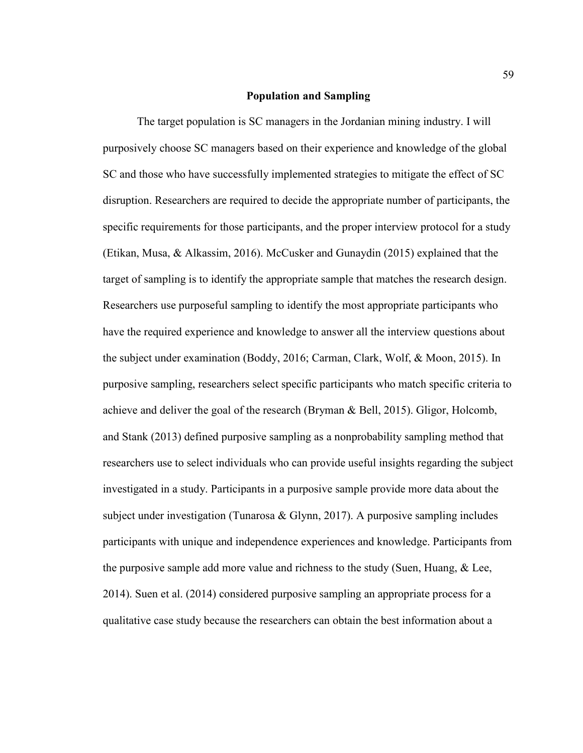### **Population and Sampling**

The target population is SC managers in the Jordanian mining industry. I will purposively choose SC managers based on their experience and knowledge of the global SC and those who have successfully implemented strategies to mitigate the effect of SC disruption. Researchers are required to decide the appropriate number of participants, the specific requirements for those participants, and the proper interview protocol for a study (Etikan, Musa, & Alkassim, 2016). McCusker and Gunaydin (2015) explained that the target of sampling is to identify the appropriate sample that matches the research design. Researchers use purposeful sampling to identify the most appropriate participants who have the required experience and knowledge to answer all the interview questions about the subject under examination (Boddy, 2016; Carman, Clark, Wolf, & Moon, 2015). In purposive sampling, researchers select specific participants who match specific criteria to achieve and deliver the goal of the research (Bryman & Bell, 2015). Gligor, Holcomb, and Stank (2013) defined purposive sampling as a nonprobability sampling method that researchers use to select individuals who can provide useful insights regarding the subject investigated in a study. Participants in a purposive sample provide more data about the subject under investigation (Tunarosa  $& Glynn, 2017$ ). A purposive sampling includes participants with unique and independence experiences and knowledge. Participants from the purposive sample add more value and richness to the study (Suen, Huang, & Lee, 2014). Suen et al. (2014) considered purposive sampling an appropriate process for a qualitative case study because the researchers can obtain the best information about a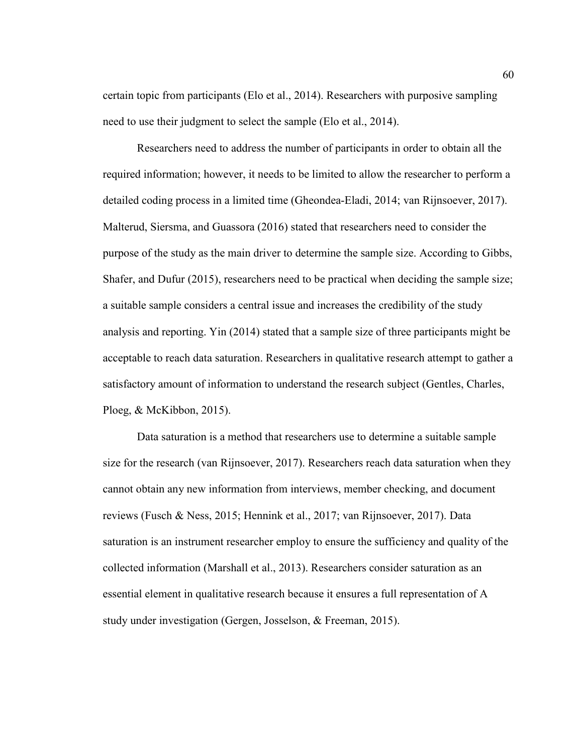certain topic from participants (Elo et al., 2014). Researchers with purposive sampling need to use their judgment to select the sample (Elo et al., 2014).

Researchers need to address the number of participants in order to obtain all the required information; however, it needs to be limited to allow the researcher to perform a detailed coding process in a limited time (Gheondea-Eladi, 2014; van Rijnsoever, 2017). Malterud, Siersma, and Guassora (2016) stated that researchers need to consider the purpose of the study as the main driver to determine the sample size. According to Gibbs, Shafer, and Dufur (2015), researchers need to be practical when deciding the sample size; a suitable sample considers a central issue and increases the credibility of the study analysis and reporting. Yin (2014) stated that a sample size of three participants might be acceptable to reach data saturation. Researchers in qualitative research attempt to gather a satisfactory amount of information to understand the research subject (Gentles, Charles, Ploeg, & McKibbon, 2015).

Data saturation is a method that researchers use to determine a suitable sample size for the research (van Rijnsoever, 2017). Researchers reach data saturation when they cannot obtain any new information from interviews, member checking, and document reviews (Fusch & Ness, 2015; Hennink et al., 2017; van Rijnsoever, 2017). Data saturation is an instrument researcher employ to ensure the sufficiency and quality of the collected information (Marshall et al., 2013). Researchers consider saturation as an essential element in qualitative research because it ensures a full representation of A study under investigation (Gergen, Josselson, & Freeman, 2015).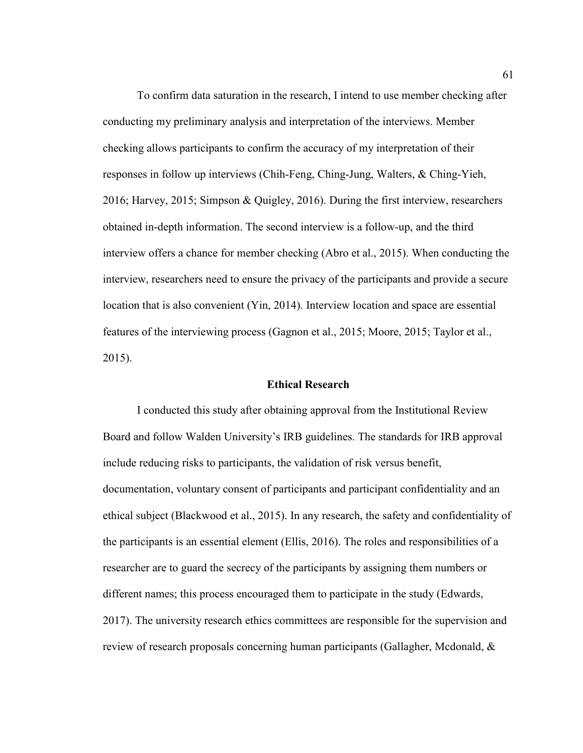To confirm data saturation in the research, I intend to use member checking after conducting my preliminary analysis and interpretation of the interviews. Member checking allows participants to confirm the accuracy of my interpretation of their responses in follow up interviews (Chih-Feng, Ching-Jung, Walters, & Ching-Yieh, 2016; Harvey, 2015; Simpson & Quigley, 2016). During the first interview, researchers obtained in-depth information. The second interview is a follow-up, and the third interview offers a chance for member checking (Abro et al., 2015). When conducting the interview, researchers need to ensure the privacy of the participants and provide a secure location that is also convenient (Yin, 2014). Interview location and space are essential features of the interviewing process (Gagnon et al., 2015; Moore, 2015; Taylor et al., 2015).

### **Ethical Research**

I conducted this study after obtaining approval from the Institutional Review Board and follow Walden University's IRB guidelines. The standards for IRB approval include reducing risks to participants, the validation of risk versus benefit, documentation, voluntary consent of participants and participant confidentiality and an ethical subject (Blackwood et al., 2015). In any research, the safety and confidentiality of the participants is an essential element (Ellis, 2016). The roles and responsibilities of a researcher are to guard the secrecy of the participants by assigning them numbers or different names; this process encouraged them to participate in the study (Edwards, 2017). The university research ethics committees are responsible for the supervision and review of research proposals concerning human participants (Gallagher, Mcdonald, &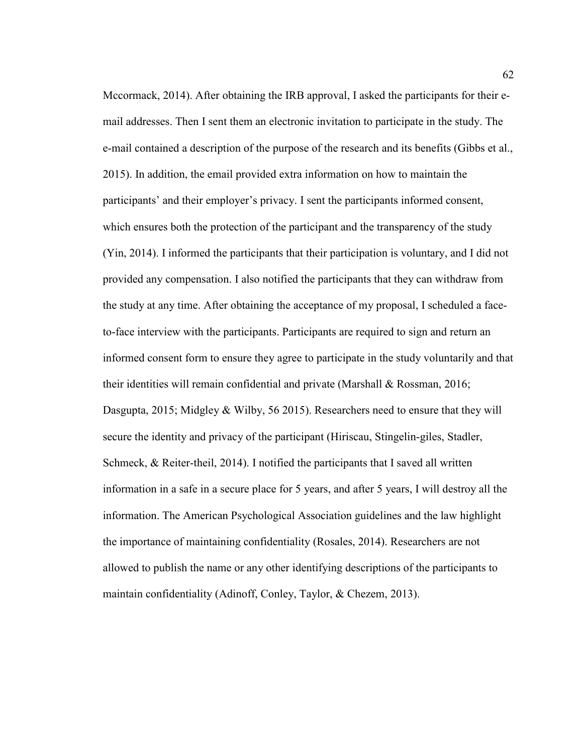Mccormack, 2014). After obtaining the IRB approval, I asked the participants for their email addresses. Then I sent them an electronic invitation to participate in the study. The e-mail contained a description of the purpose of the research and its benefits (Gibbs et al., 2015). In addition, the email provided extra information on how to maintain the participants' and their employer's privacy. I sent the participants informed consent, which ensures both the protection of the participant and the transparency of the study (Yin, 2014). I informed the participants that their participation is voluntary, and I did not provided any compensation. I also notified the participants that they can withdraw from the study at any time. After obtaining the acceptance of my proposal, I scheduled a faceto-face interview with the participants. Participants are required to sign and return an informed consent form to ensure they agree to participate in the study voluntarily and that their identities will remain confidential and private (Marshall & Rossman, 2016; Dasgupta, 2015; Midgley & Wilby, 56 2015). Researchers need to ensure that they will secure the identity and privacy of the participant (Hiriscau, Stingelin-giles, Stadler, Schmeck, & Reiter-theil, 2014). I notified the participants that I saved all written information in a safe in a secure place for 5 years, and after 5 years, I will destroy all the information. The American Psychological Association guidelines and the law highlight the importance of maintaining confidentiality (Rosales, 2014). Researchers are not allowed to publish the name or any other identifying descriptions of the participants to maintain confidentiality (Adinoff, Conley, Taylor, & Chezem, 2013).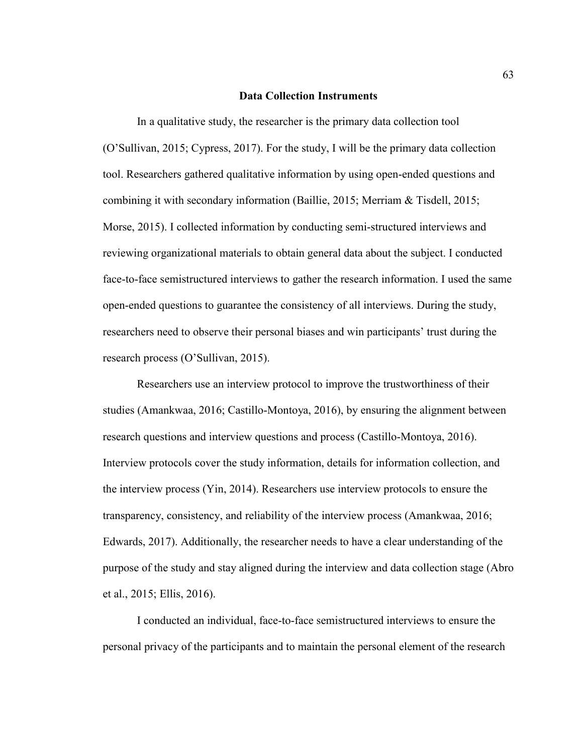#### **Data Collection Instruments**

In a qualitative study, the researcher is the primary data collection tool (O'Sullivan, 2015; Cypress, 2017). For the study, I will be the primary data collection tool. Researchers gathered qualitative information by using open-ended questions and combining it with secondary information (Baillie, 2015; Merriam & Tisdell, 2015; Morse, 2015). I collected information by conducting semi-structured interviews and reviewing organizational materials to obtain general data about the subject. I conducted face-to-face semistructured interviews to gather the research information. I used the same open-ended questions to guarantee the consistency of all interviews. During the study, researchers need to observe their personal biases and win participants' trust during the research process (O'Sullivan, 2015).

Researchers use an interview protocol to improve the trustworthiness of their studies (Amankwaa, 2016; Castillo-Montoya, 2016), by ensuring the alignment between research questions and interview questions and process (Castillo-Montoya, 2016). Interview protocols cover the study information, details for information collection, and the interview process (Yin, 2014). Researchers use interview protocols to ensure the transparency, consistency, and reliability of the interview process (Amankwaa, 2016; Edwards, 2017). Additionally, the researcher needs to have a clear understanding of the purpose of the study and stay aligned during the interview and data collection stage (Abro et al., 2015; Ellis, 2016).

I conducted an individual, face-to-face semistructured interviews to ensure the personal privacy of the participants and to maintain the personal element of the research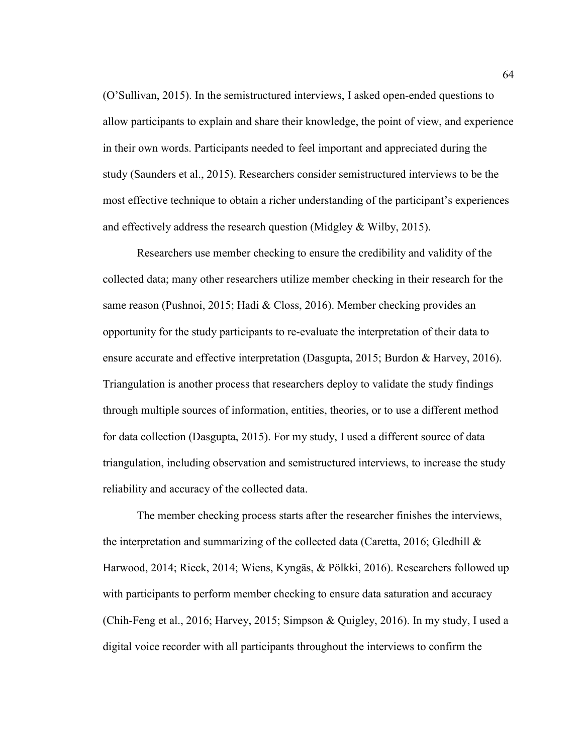(O'Sullivan, 2015). In the semistructured interviews, I asked open-ended questions to allow participants to explain and share their knowledge, the point of view, and experience in their own words. Participants needed to feel important and appreciated during the study (Saunders et al., 2015). Researchers consider semistructured interviews to be the most effective technique to obtain a richer understanding of the participant's experiences and effectively address the research question (Midgley & Wilby, 2015).

Researchers use member checking to ensure the credibility and validity of the collected data; many other researchers utilize member checking in their research for the same reason (Pushnoi, 2015; Hadi & Closs, 2016). Member checking provides an opportunity for the study participants to re-evaluate the interpretation of their data to ensure accurate and effective interpretation (Dasgupta, 2015; Burdon & Harvey, 2016). Triangulation is another process that researchers deploy to validate the study findings through multiple sources of information, entities, theories, or to use a different method for data collection (Dasgupta, 2015). For my study, I used a different source of data triangulation, including observation and semistructured interviews, to increase the study reliability and accuracy of the collected data.

The member checking process starts after the researcher finishes the interviews, the interpretation and summarizing of the collected data (Caretta, 2016; Gledhill  $\&$ Harwood, 2014; Rieck, 2014; Wiens, Kyngäs, & Pölkki, 2016). Researchers followed up with participants to perform member checking to ensure data saturation and accuracy (Chih-Feng et al., 2016; Harvey, 2015; Simpson & Quigley, 2016). In my study, I used a digital voice recorder with all participants throughout the interviews to confirm the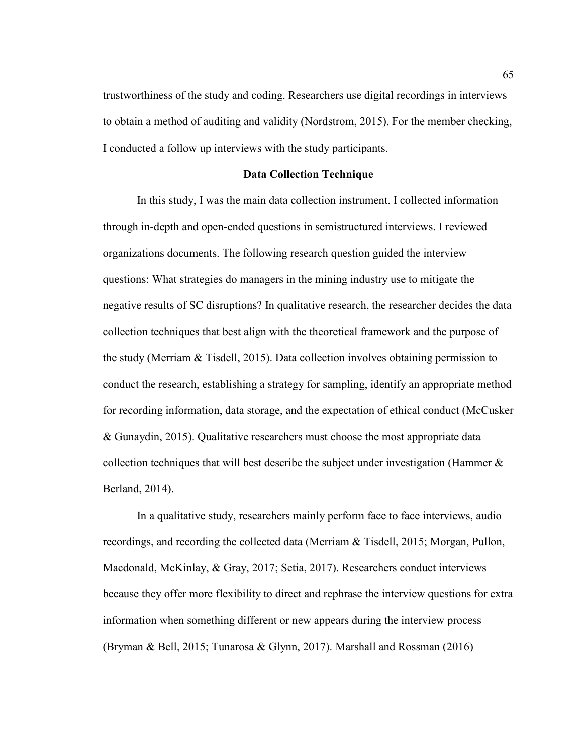trustworthiness of the study and coding. Researchers use digital recordings in interviews to obtain a method of auditing and validity (Nordstrom, 2015). For the member checking, I conducted a follow up interviews with the study participants.

# **Data Collection Technique**

In this study, I was the main data collection instrument. I collected information through in-depth and open-ended questions in semistructured interviews. I reviewed organizations documents. The following research question guided the interview questions: What strategies do managers in the mining industry use to mitigate the negative results of SC disruptions? In qualitative research, the researcher decides the data collection techniques that best align with the theoretical framework and the purpose of the study (Merriam & Tisdell, 2015). Data collection involves obtaining permission to conduct the research, establishing a strategy for sampling, identify an appropriate method for recording information, data storage, and the expectation of ethical conduct (McCusker & Gunaydin, 2015). Qualitative researchers must choose the most appropriate data collection techniques that will best describe the subject under investigation (Hammer & Berland, 2014).

In a qualitative study, researchers mainly perform face to face interviews, audio recordings, and recording the collected data (Merriam & Tisdell, 2015; Morgan, Pullon, Macdonald, McKinlay, & Gray, 2017; Setia, 2017). Researchers conduct interviews because they offer more flexibility to direct and rephrase the interview questions for extra information when something different or new appears during the interview process (Bryman & Bell, 2015; Tunarosa & Glynn, 2017). Marshall and Rossman (2016)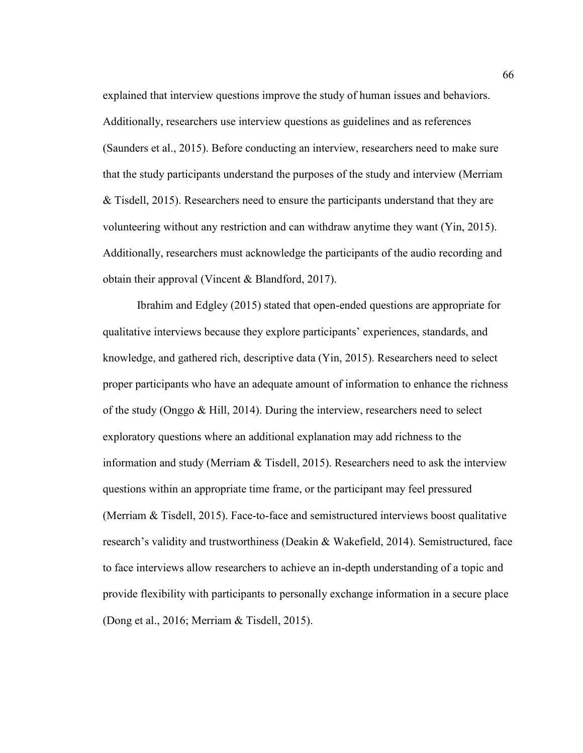explained that interview questions improve the study of human issues and behaviors. Additionally, researchers use interview questions as guidelines and as references (Saunders et al., 2015). Before conducting an interview, researchers need to make sure that the study participants understand the purposes of the study and interview (Merriam & Tisdell, 2015). Researchers need to ensure the participants understand that they are volunteering without any restriction and can withdraw anytime they want (Yin, 2015). Additionally, researchers must acknowledge the participants of the audio recording and obtain their approval (Vincent & Blandford, 2017).

Ibrahim and Edgley (2015) stated that open-ended questions are appropriate for qualitative interviews because they explore participants' experiences, standards, and knowledge, and gathered rich, descriptive data (Yin, 2015). Researchers need to select proper participants who have an adequate amount of information to enhance the richness of the study (Onggo & Hill, 2014). During the interview, researchers need to select exploratory questions where an additional explanation may add richness to the information and study (Merriam & Tisdell, 2015). Researchers need to ask the interview questions within an appropriate time frame, or the participant may feel pressured (Merriam & Tisdell, 2015). Face-to-face and semistructured interviews boost qualitative research's validity and trustworthiness (Deakin & Wakefield, 2014). Semistructured, face to face interviews allow researchers to achieve an in-depth understanding of a topic and provide flexibility with participants to personally exchange information in a secure place (Dong et al., 2016; Merriam & Tisdell, 2015).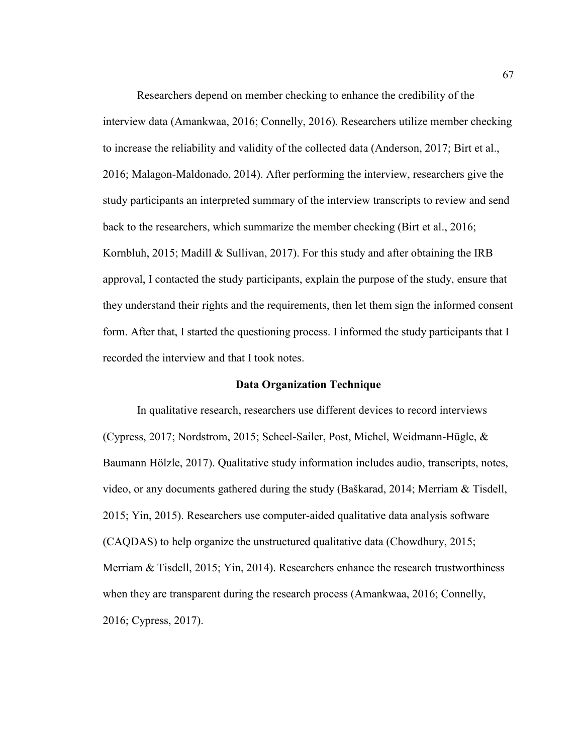Researchers depend on member checking to enhance the credibility of the interview data (Amankwaa, 2016; Connelly, 2016). Researchers utilize member checking to increase the reliability and validity of the collected data (Anderson, 2017; Birt et al., 2016; Malagon-Maldonado, 2014). After performing the interview, researchers give the study participants an interpreted summary of the interview transcripts to review and send back to the researchers, which summarize the member checking (Birt et al., 2016; Kornbluh, 2015; Madill & Sullivan, 2017). For this study and after obtaining the IRB approval, I contacted the study participants, explain the purpose of the study, ensure that they understand their rights and the requirements, then let them sign the informed consent form. After that, I started the questioning process. I informed the study participants that I recorded the interview and that I took notes.

## **Data Organization Technique**

In qualitative research, researchers use different devices to record interviews (Cypress, 2017; Nordstrom, 2015; Scheel-Sailer, Post, Michel, Weidmann-Hügle, & Baumann Hölzle, 2017). Qualitative study information includes audio, transcripts, notes, video, or any documents gathered during the study (Baškarad, 2014; Merriam & Tisdell, 2015; Yin, 2015). Researchers use computer-aided qualitative data analysis software (CAQDAS) to help organize the unstructured qualitative data (Chowdhury, 2015; Merriam & Tisdell, 2015; Yin, 2014). Researchers enhance the research trustworthiness when they are transparent during the research process (Amankwaa, 2016; Connelly, 2016; Cypress, 2017).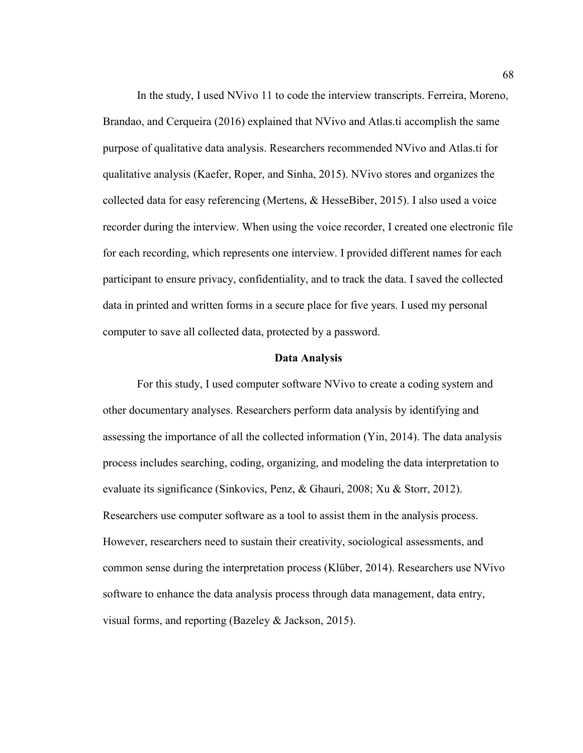In the study, I used NVivo 11 to code the interview transcripts. Ferreira, Moreno, Brandao, and Cerqueira (2016) explained that NVivo and Atlas.ti accomplish the same purpose of qualitative data analysis. Researchers recommended NVivo and Atlas.ti for qualitative analysis (Kaefer, Roper, and Sinha, 2015). NVivo stores and organizes the collected data for easy referencing (Mertens, & HesseBiber, 2015). I also used a voice recorder during the interview. When using the voice recorder, I created one electronic file for each recording, which represents one interview. I provided different names for each participant to ensure privacy, confidentiality, and to track the data. I saved the collected data in printed and written forms in a secure place for five years. I used my personal computer to save all collected data, protected by a password.

#### **Data Analysis**

For this study, I used computer software NVivo to create a coding system and other documentary analyses. Researchers perform data analysis by identifying and assessing the importance of all the collected information (Yin, 2014). The data analysis process includes searching, coding, organizing, and modeling the data interpretation to evaluate its significance (Sinkovics, Penz, & Ghauri, 2008; Xu & Storr, 2012). Researchers use computer software as a tool to assist them in the analysis process. However, researchers need to sustain their creativity, sociological assessments, and common sense during the interpretation process (Klüber, 2014). Researchers use NVivo software to enhance the data analysis process through data management, data entry, visual forms, and reporting (Bazeley & Jackson, 2015).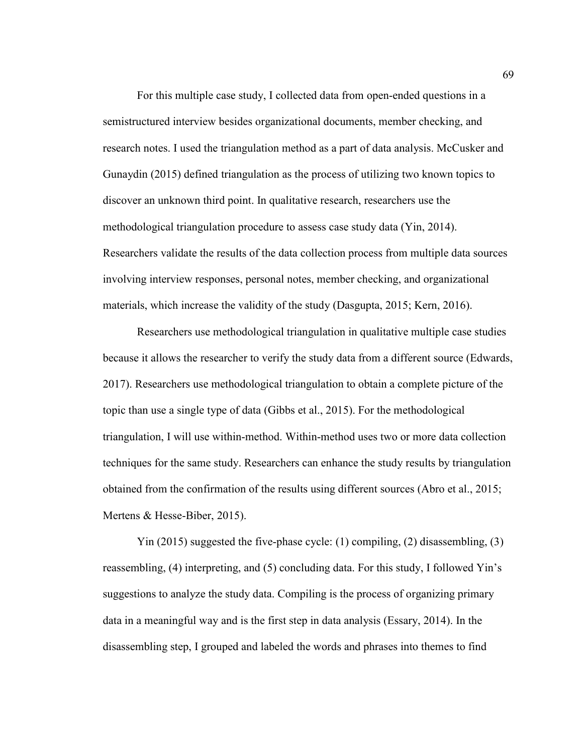For this multiple case study, I collected data from open-ended questions in a semistructured interview besides organizational documents, member checking, and research notes. I used the triangulation method as a part of data analysis. McCusker and Gunaydin (2015) defined triangulation as the process of utilizing two known topics to discover an unknown third point. In qualitative research, researchers use the methodological triangulation procedure to assess case study data (Yin, 2014). Researchers validate the results of the data collection process from multiple data sources involving interview responses, personal notes, member checking, and organizational materials, which increase the validity of the study (Dasgupta, 2015; Kern, 2016).

Researchers use methodological triangulation in qualitative multiple case studies because it allows the researcher to verify the study data from a different source (Edwards, 2017). Researchers use methodological triangulation to obtain a complete picture of the topic than use a single type of data (Gibbs et al., 2015). For the methodological triangulation, I will use within-method. Within-method uses two or more data collection techniques for the same study. Researchers can enhance the study results by triangulation obtained from the confirmation of the results using different sources (Abro et al., 2015; Mertens & Hesse-Biber, 2015).

Yin (2015) suggested the five-phase cycle: (1) compiling, (2) disassembling, (3) reassembling, (4) interpreting, and (5) concluding data. For this study, I followed Yin's suggestions to analyze the study data. Compiling is the process of organizing primary data in a meaningful way and is the first step in data analysis (Essary, 2014). In the disassembling step, I grouped and labeled the words and phrases into themes to find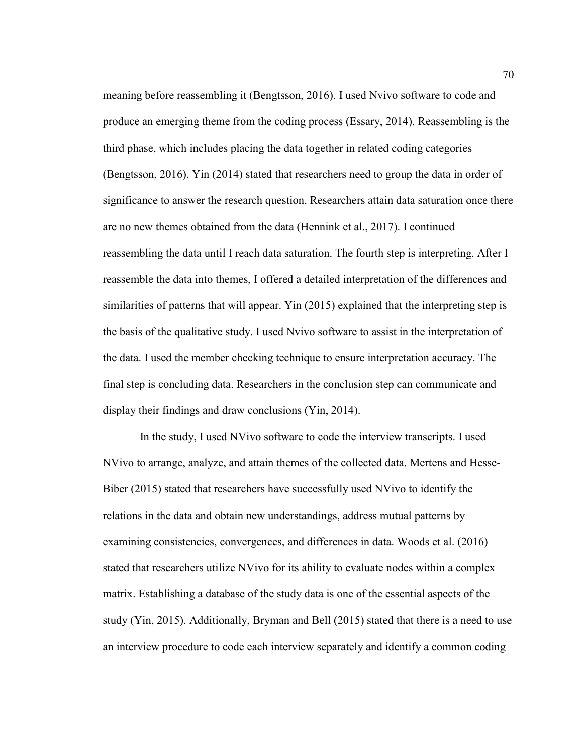meaning before reassembling it (Bengtsson, 2016). I used Nvivo software to code and produce an emerging theme from the coding process (Essary, 2014). Reassembling is the third phase, which includes placing the data together in related coding categories (Bengtsson, 2016). Yin (2014) stated that researchers need to group the data in order of significance to answer the research question. Researchers attain data saturation once there are no new themes obtained from the data (Hennink et al., 2017). I continued reassembling the data until I reach data saturation. The fourth step is interpreting. After I reassemble the data into themes, I offered a detailed interpretation of the differences and similarities of patterns that will appear. Yin (2015) explained that the interpreting step is the basis of the qualitative study. I used Nvivo software to assist in the interpretation of the data. I used the member checking technique to ensure interpretation accuracy. The final step is concluding data. Researchers in the conclusion step can communicate and display their findings and draw conclusions (Yin, 2014).

 In the study, I used NVivo software to code the interview transcripts. I used NVivo to arrange, analyze, and attain themes of the collected data. Mertens and Hesse-Biber (2015) stated that researchers have successfully used NVivo to identify the relations in the data and obtain new understandings, address mutual patterns by examining consistencies, convergences, and differences in data. Woods et al. (2016) stated that researchers utilize NVivo for its ability to evaluate nodes within a complex matrix. Establishing a database of the study data is one of the essential aspects of the study (Yin, 2015). Additionally, Bryman and Bell (2015) stated that there is a need to use an interview procedure to code each interview separately and identify a common coding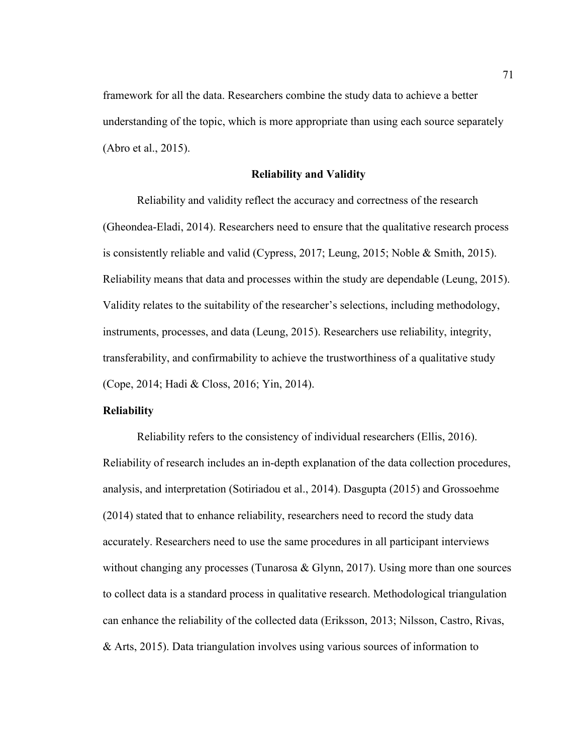framework for all the data. Researchers combine the study data to achieve a better understanding of the topic, which is more appropriate than using each source separately (Abro et al., 2015).

## **Reliability and Validity**

Reliability and validity reflect the accuracy and correctness of the research (Gheondea-Eladi, 2014). Researchers need to ensure that the qualitative research process is consistently reliable and valid (Cypress, 2017; Leung, 2015; Noble & Smith, 2015). Reliability means that data and processes within the study are dependable (Leung, 2015). Validity relates to the suitability of the researcher's selections, including methodology, instruments, processes, and data (Leung, 2015). Researchers use reliability, integrity, transferability, and confirmability to achieve the trustworthiness of a qualitative study (Cope, 2014; Hadi & Closs, 2016; Yin, 2014).

# **Reliability**

Reliability refers to the consistency of individual researchers (Ellis, 2016). Reliability of research includes an in-depth explanation of the data collection procedures, analysis, and interpretation (Sotiriadou et al., 2014). Dasgupta (2015) and Grossoehme (2014) stated that to enhance reliability, researchers need to record the study data accurately. Researchers need to use the same procedures in all participant interviews without changing any processes (Tunarosa  $\&$  Glynn, 2017). Using more than one sources to collect data is a standard process in qualitative research. Methodological triangulation can enhance the reliability of the collected data (Eriksson, 2013; Nilsson, Castro, Rivas, & Arts, 2015). Data triangulation involves using various sources of information to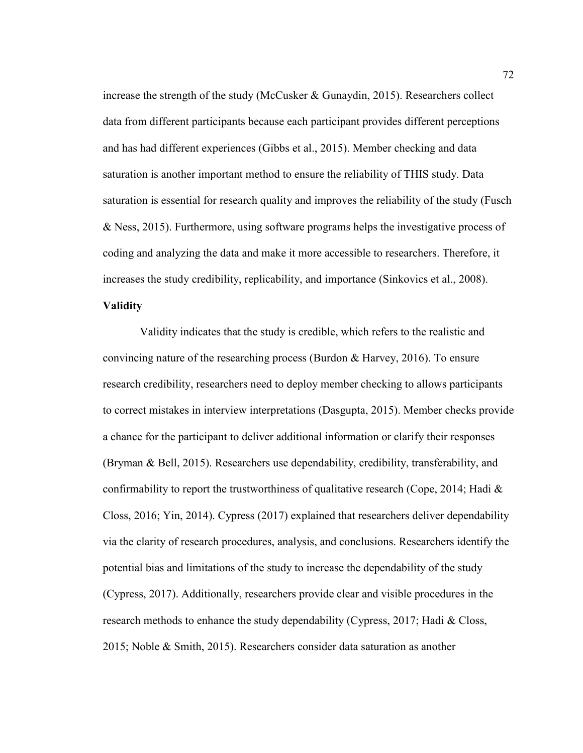increase the strength of the study (McCusker & Gunaydin, 2015). Researchers collect data from different participants because each participant provides different perceptions and has had different experiences (Gibbs et al., 2015). Member checking and data saturation is another important method to ensure the reliability of THIS study. Data saturation is essential for research quality and improves the reliability of the study (Fusch & Ness, 2015). Furthermore, using software programs helps the investigative process of coding and analyzing the data and make it more accessible to researchers. Therefore, it increases the study credibility, replicability, and importance (Sinkovics et al., 2008). **Validity** 

 Validity indicates that the study is credible, which refers to the realistic and convincing nature of the researching process (Burdon & Harvey, 2016). To ensure research credibility, researchers need to deploy member checking to allows participants to correct mistakes in interview interpretations (Dasgupta, 2015). Member checks provide a chance for the participant to deliver additional information or clarify their responses (Bryman & Bell, 2015). Researchers use dependability, credibility, transferability, and confirmability to report the trustworthiness of qualitative research (Cope, 2014; Hadi  $\&$ Closs, 2016; Yin, 2014). Cypress (2017) explained that researchers deliver dependability via the clarity of research procedures, analysis, and conclusions. Researchers identify the potential bias and limitations of the study to increase the dependability of the study (Cypress, 2017). Additionally, researchers provide clear and visible procedures in the research methods to enhance the study dependability (Cypress, 2017; Hadi & Closs, 2015; Noble & Smith, 2015). Researchers consider data saturation as another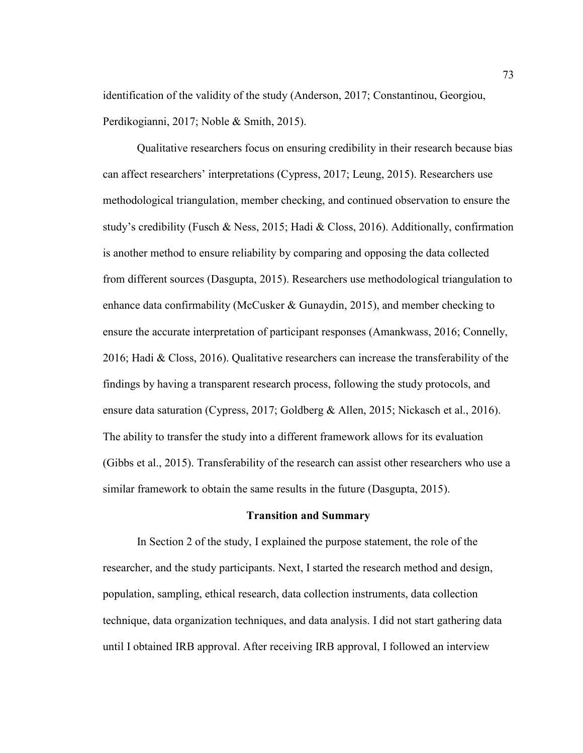identification of the validity of the study (Anderson, 2017; Constantinou, Georgiou, Perdikogianni, 2017; Noble & Smith, 2015).

Qualitative researchers focus on ensuring credibility in their research because bias can affect researchers' interpretations (Cypress, 2017; Leung, 2015). Researchers use methodological triangulation, member checking, and continued observation to ensure the study's credibility (Fusch & Ness, 2015; Hadi & Closs, 2016). Additionally, confirmation is another method to ensure reliability by comparing and opposing the data collected from different sources (Dasgupta, 2015). Researchers use methodological triangulation to enhance data confirmability (McCusker & Gunaydin, 2015), and member checking to ensure the accurate interpretation of participant responses (Amankwass, 2016; Connelly, 2016; Hadi & Closs, 2016). Qualitative researchers can increase the transferability of the findings by having a transparent research process, following the study protocols, and ensure data saturation (Cypress, 2017; Goldberg & Allen, 2015; Nickasch et al., 2016). The ability to transfer the study into a different framework allows for its evaluation (Gibbs et al., 2015). Transferability of the research can assist other researchers who use a similar framework to obtain the same results in the future (Dasgupta, 2015).

### **Transition and Summary**

In Section 2 of the study, I explained the purpose statement, the role of the researcher, and the study participants. Next, I started the research method and design, population, sampling, ethical research, data collection instruments, data collection technique, data organization techniques, and data analysis. I did not start gathering data until I obtained IRB approval. After receiving IRB approval, I followed an interview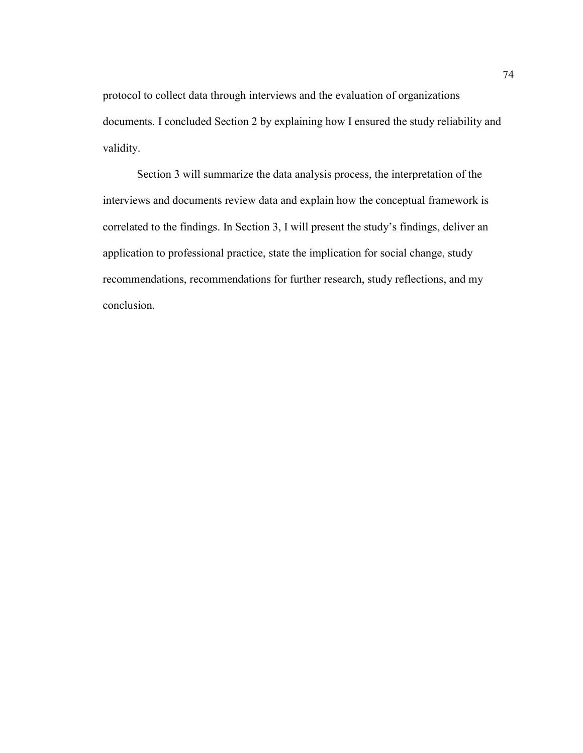protocol to collect data through interviews and the evaluation of organizations documents. I concluded Section 2 by explaining how I ensured the study reliability and validity.

Section 3 will summarize the data analysis process, the interpretation of the interviews and documents review data and explain how the conceptual framework is correlated to the findings. In Section 3, I will present the study's findings, deliver an application to professional practice, state the implication for social change, study recommendations, recommendations for further research, study reflections, and my conclusion.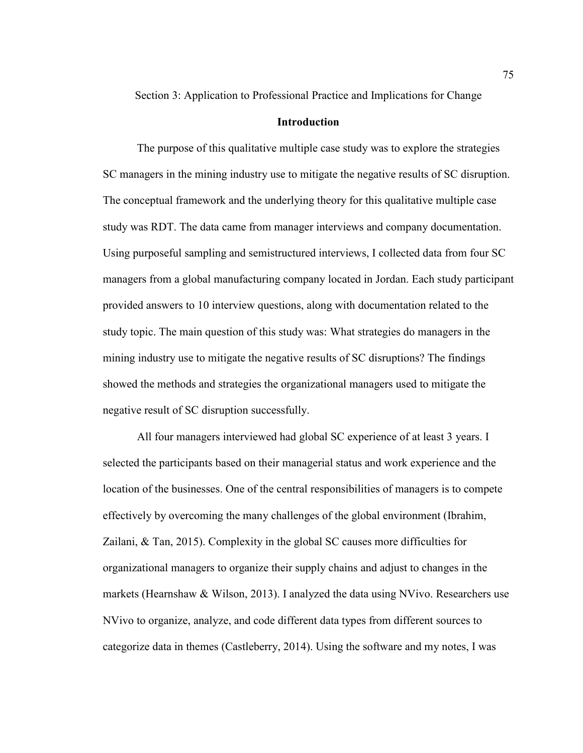Section 3: Application to Professional Practice and Implications for Change

# **Introduction**

The purpose of this qualitative multiple case study was to explore the strategies SC managers in the mining industry use to mitigate the negative results of SC disruption. The conceptual framework and the underlying theory for this qualitative multiple case study was RDT. The data came from manager interviews and company documentation. Using purposeful sampling and semistructured interviews, I collected data from four SC managers from a global manufacturing company located in Jordan. Each study participant provided answers to 10 interview questions, along with documentation related to the study topic. The main question of this study was: What strategies do managers in the mining industry use to mitigate the negative results of SC disruptions? The findings showed the methods and strategies the organizational managers used to mitigate the negative result of SC disruption successfully.

All four managers interviewed had global SC experience of at least 3 years. I selected the participants based on their managerial status and work experience and the location of the businesses. One of the central responsibilities of managers is to compete effectively by overcoming the many challenges of the global environment (Ibrahim, Zailani, & Tan, 2015). Complexity in the global SC causes more difficulties for organizational managers to organize their supply chains and adjust to changes in the markets (Hearnshaw & Wilson, 2013). I analyzed the data using NVivo. Researchers use NVivo to organize, analyze, and code different data types from different sources to categorize data in themes (Castleberry, 2014). Using the software and my notes, I was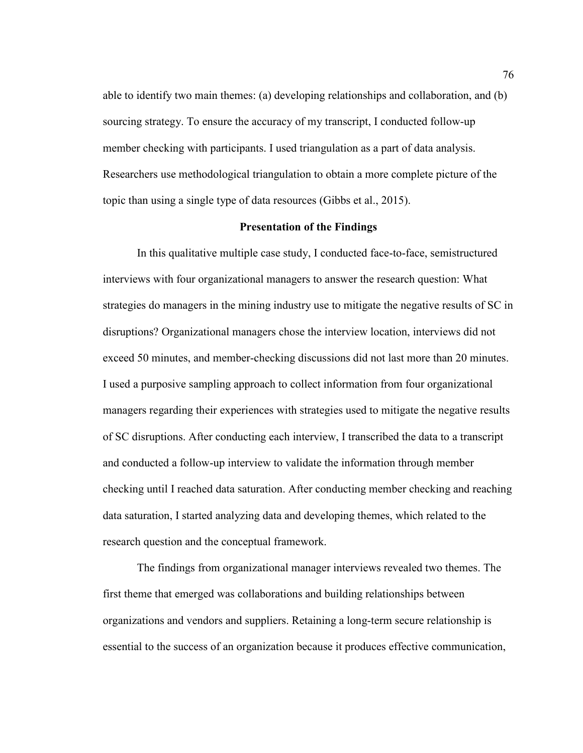able to identify two main themes: (a) developing relationships and collaboration, and (b) sourcing strategy. To ensure the accuracy of my transcript, I conducted follow-up member checking with participants. I used triangulation as a part of data analysis. Researchers use methodological triangulation to obtain a more complete picture of the topic than using a single type of data resources (Gibbs et al., 2015).

# **Presentation of the Findings**

In this qualitative multiple case study, I conducted face-to-face, semistructured interviews with four organizational managers to answer the research question: What strategies do managers in the mining industry use to mitigate the negative results of SC in disruptions? Organizational managers chose the interview location, interviews did not exceed 50 minutes, and member-checking discussions did not last more than 20 minutes. I used a purposive sampling approach to collect information from four organizational managers regarding their experiences with strategies used to mitigate the negative results of SC disruptions. After conducting each interview, I transcribed the data to a transcript and conducted a follow-up interview to validate the information through member checking until I reached data saturation. After conducting member checking and reaching data saturation, I started analyzing data and developing themes, which related to the research question and the conceptual framework.

The findings from organizational manager interviews revealed two themes. The first theme that emerged was collaborations and building relationships between organizations and vendors and suppliers. Retaining a long-term secure relationship is essential to the success of an organization because it produces effective communication,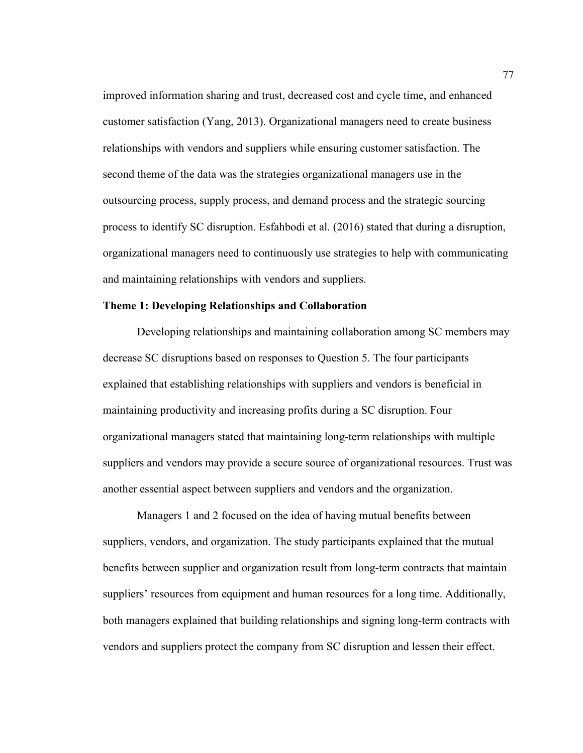improved information sharing and trust, decreased cost and cycle time, and enhanced customer satisfaction (Yang, 2013). Organizational managers need to create business relationships with vendors and suppliers while ensuring customer satisfaction. The second theme of the data was the strategies organizational managers use in the outsourcing process, supply process, and demand process and the strategic sourcing process to identify SC disruption. Esfahbodi et al. (2016) stated that during a disruption, organizational managers need to continuously use strategies to help with communicating and maintaining relationships with vendors and suppliers.

## **Theme 1: Developing Relationships and Collaboration**

Developing relationships and maintaining collaboration among SC members may decrease SC disruptions based on responses to Question 5. The four participants explained that establishing relationships with suppliers and vendors is beneficial in maintaining productivity and increasing profits during a SC disruption. Four organizational managers stated that maintaining long-term relationships with multiple suppliers and vendors may provide a secure source of organizational resources. Trust was another essential aspect between suppliers and vendors and the organization.

Managers 1 and 2 focused on the idea of having mutual benefits between suppliers, vendors, and organization. The study participants explained that the mutual benefits between supplier and organization result from long-term contracts that maintain suppliers' resources from equipment and human resources for a long time. Additionally, both managers explained that building relationships and signing long-term contracts with vendors and suppliers protect the company from SC disruption and lessen their effect.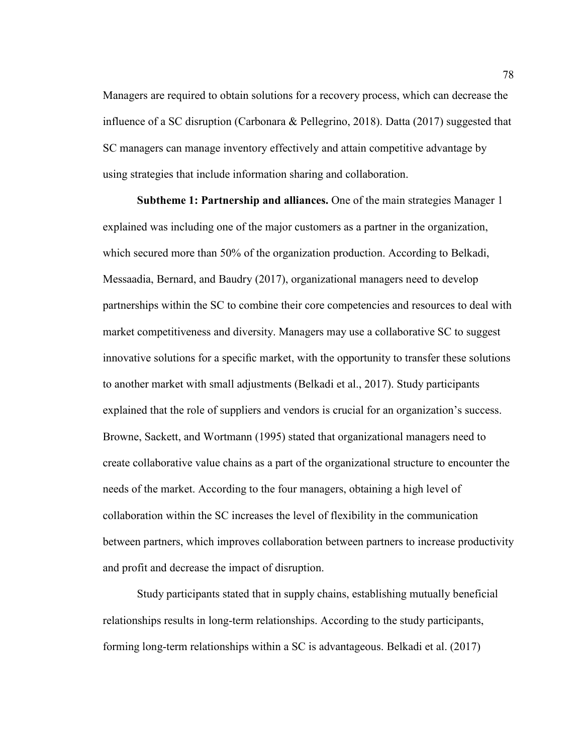Managers are required to obtain solutions for a recovery process, which can decrease the influence of a SC disruption (Carbonara & Pellegrino, 2018). Datta (2017) suggested that SC managers can manage inventory effectively and attain competitive advantage by using strategies that include information sharing and collaboration.

**Subtheme 1: Partnership and alliances.** One of the main strategies Manager 1 explained was including one of the major customers as a partner in the organization, which secured more than 50% of the organization production. According to Belkadi, Messaadia, Bernard, and Baudry (2017), organizational managers need to develop partnerships within the SC to combine their core competencies and resources to deal with market competitiveness and diversity. Managers may use a collaborative SC to suggest innovative solutions for a specific market, with the opportunity to transfer these solutions to another market with small adjustments (Belkadi et al., 2017). Study participants explained that the role of suppliers and vendors is crucial for an organization's success. Browne, Sackett, and Wortmann (1995) stated that organizational managers need to create collaborative value chains as a part of the organizational structure to encounter the needs of the market. According to the four managers, obtaining a high level of collaboration within the SC increases the level of flexibility in the communication between partners, which improves collaboration between partners to increase productivity and profit and decrease the impact of disruption.

Study participants stated that in supply chains, establishing mutually beneficial relationships results in long-term relationships. According to the study participants, forming long-term relationships within a SC is advantageous. Belkadi et al. (2017)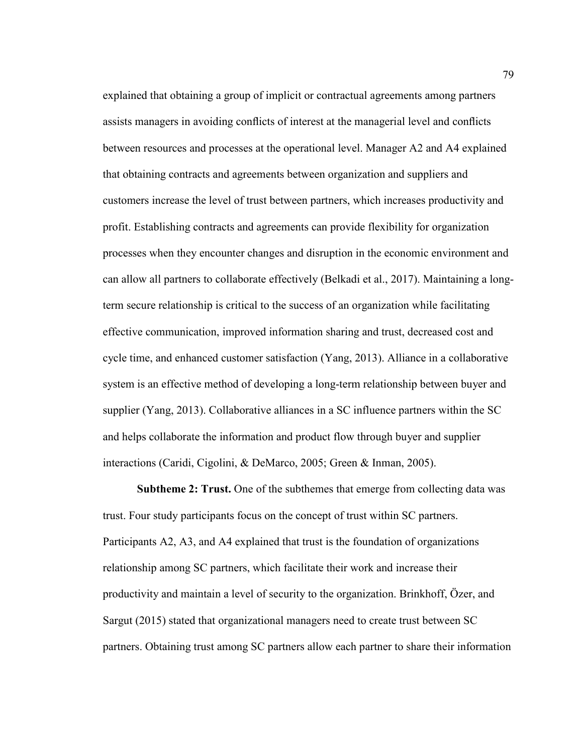explained that obtaining a group of implicit or contractual agreements among partners assists managers in avoiding conflicts of interest at the managerial level and conflicts between resources and processes at the operational level. Manager A2 and A4 explained that obtaining contracts and agreements between organization and suppliers and customers increase the level of trust between partners, which increases productivity and profit. Establishing contracts and agreements can provide flexibility for organization processes when they encounter changes and disruption in the economic environment and can allow all partners to collaborate effectively (Belkadi et al., 2017). Maintaining a longterm secure relationship is critical to the success of an organization while facilitating effective communication, improved information sharing and trust, decreased cost and cycle time, and enhanced customer satisfaction (Yang, 2013). Alliance in a collaborative system is an effective method of developing a long-term relationship between buyer and supplier (Yang, 2013). Collaborative alliances in a SC influence partners within the SC and helps collaborate the information and product flow through buyer and supplier interactions (Caridi, Cigolini, & DeMarco, 2005; Green & Inman, 2005).

**Subtheme 2: Trust.** One of the subthemes that emerge from collecting data was trust. Four study participants focus on the concept of trust within SC partners. Participants A2, A3, and A4 explained that trust is the foundation of organizations relationship among SC partners, which facilitate their work and increase their productivity and maintain a level of security to the organization. Brinkhoff, Özer, and Sargut (2015) stated that organizational managers need to create trust between SC partners. Obtaining trust among SC partners allow each partner to share their information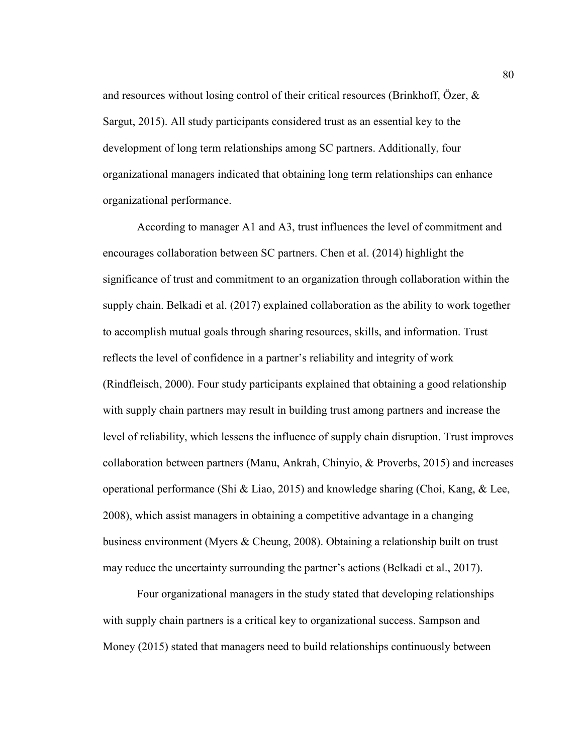and resources without losing control of their critical resources (Brinkhoff, Özer,  $\&$ Sargut, 2015). All study participants considered trust as an essential key to the development of long term relationships among SC partners. Additionally, four organizational managers indicated that obtaining long term relationships can enhance organizational performance.

According to manager A1 and A3, trust influences the level of commitment and encourages collaboration between SC partners. Chen et al. (2014) highlight the significance of trust and commitment to an organization through collaboration within the supply chain. Belkadi et al. (2017) explained collaboration as the ability to work together to accomplish mutual goals through sharing resources, skills, and information. Trust reflects the level of confidence in a partner's reliability and integrity of work (Rindfleisch, 2000). Four study participants explained that obtaining a good relationship with supply chain partners may result in building trust among partners and increase the level of reliability, which lessens the influence of supply chain disruption. Trust improves collaboration between partners (Manu, Ankrah, Chinyio, & Proverbs, 2015) and increases operational performance (Shi & Liao, 2015) and knowledge sharing (Choi, Kang, & Lee, 2008), which assist managers in obtaining a competitive advantage in a changing business environment (Myers & Cheung, 2008). Obtaining a relationship built on trust may reduce the uncertainty surrounding the partner's actions (Belkadi et al., 2017).

Four organizational managers in the study stated that developing relationships with supply chain partners is a critical key to organizational success. Sampson and Money (2015) stated that managers need to build relationships continuously between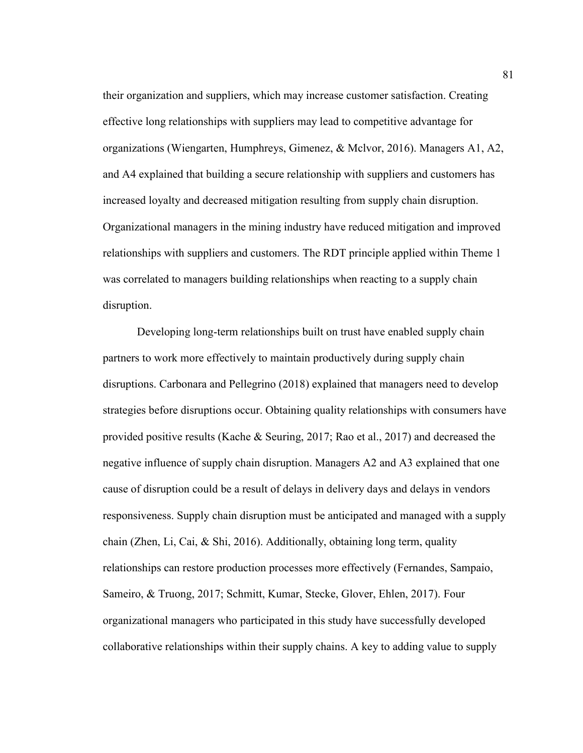their organization and suppliers, which may increase customer satisfaction. Creating effective long relationships with suppliers may lead to competitive advantage for organizations (Wiengarten, Humphreys, Gimenez, & Mclvor, 2016). Managers A1, A2, and A4 explained that building a secure relationship with suppliers and customers has increased loyalty and decreased mitigation resulting from supply chain disruption. Organizational managers in the mining industry have reduced mitigation and improved relationships with suppliers and customers. The RDT principle applied within Theme 1 was correlated to managers building relationships when reacting to a supply chain disruption.

Developing long-term relationships built on trust have enabled supply chain partners to work more effectively to maintain productively during supply chain disruptions. Carbonara and Pellegrino (2018) explained that managers need to develop strategies before disruptions occur. Obtaining quality relationships with consumers have provided positive results (Kache & Seuring, 2017; Rao et al., 2017) and decreased the negative influence of supply chain disruption. Managers A2 and A3 explained that one cause of disruption could be a result of delays in delivery days and delays in vendors responsiveness. Supply chain disruption must be anticipated and managed with a supply chain (Zhen, Li, Cai, & Shi, 2016). Additionally, obtaining long term, quality relationships can restore production processes more effectively (Fernandes, Sampaio, Sameiro, & Truong, 2017; Schmitt, Kumar, Stecke, Glover, Ehlen, 2017). Four organizational managers who participated in this study have successfully developed collaborative relationships within their supply chains. A key to adding value to supply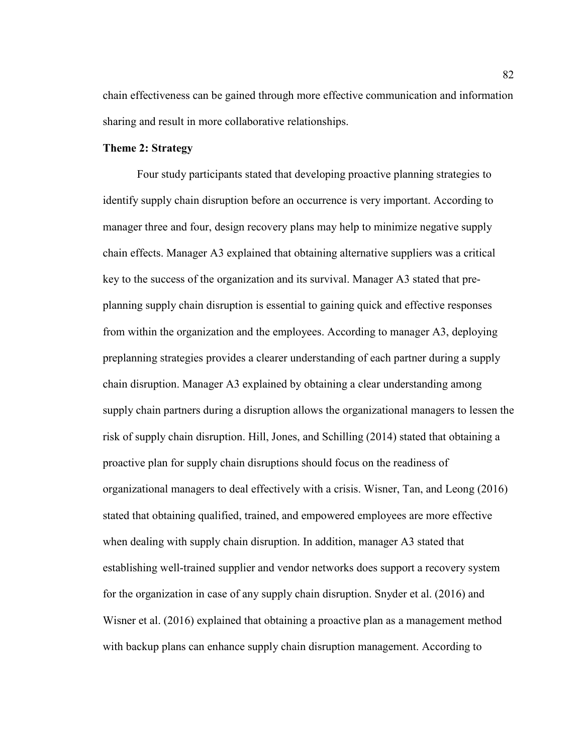chain effectiveness can be gained through more effective communication and information sharing and result in more collaborative relationships.

# **Theme 2: Strategy**

Four study participants stated that developing proactive planning strategies to identify supply chain disruption before an occurrence is very important. According to manager three and four, design recovery plans may help to minimize negative supply chain effects. Manager A3 explained that obtaining alternative suppliers was a critical key to the success of the organization and its survival. Manager A3 stated that preplanning supply chain disruption is essential to gaining quick and effective responses from within the organization and the employees. According to manager A3, deploying preplanning strategies provides a clearer understanding of each partner during a supply chain disruption. Manager A3 explained by obtaining a clear understanding among supply chain partners during a disruption allows the organizational managers to lessen the risk of supply chain disruption. Hill, Jones, and Schilling (2014) stated that obtaining a proactive plan for supply chain disruptions should focus on the readiness of organizational managers to deal effectively with a crisis. Wisner, Tan, and Leong (2016) stated that obtaining qualified, trained, and empowered employees are more effective when dealing with supply chain disruption. In addition, manager A3 stated that establishing well-trained supplier and vendor networks does support a recovery system for the organization in case of any supply chain disruption. Snyder et al. (2016) and Wisner et al. (2016) explained that obtaining a proactive plan as a management method with backup plans can enhance supply chain disruption management. According to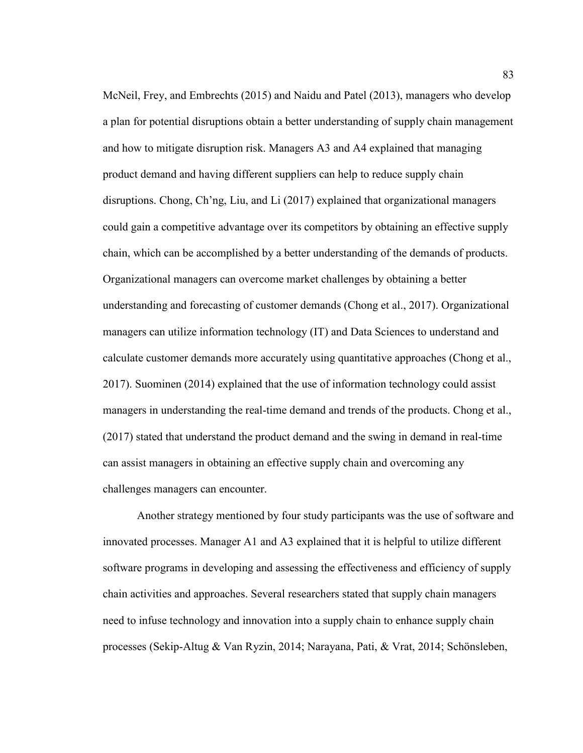McNeil, Frey, and Embrechts (2015) and Naidu and Patel (2013), managers who develop a plan for potential disruptions obtain a better understanding of supply chain management and how to mitigate disruption risk. Managers A3 and A4 explained that managing product demand and having different suppliers can help to reduce supply chain disruptions. Chong, Ch'ng, Liu, and Li (2017) explained that organizational managers could gain a competitive advantage over its competitors by obtaining an effective supply chain, which can be accomplished by a better understanding of the demands of products. Organizational managers can overcome market challenges by obtaining a better understanding and forecasting of customer demands (Chong et al., 2017). Organizational managers can utilize information technology (IT) and Data Sciences to understand and calculate customer demands more accurately using quantitative approaches (Chong et al., 2017). Suominen (2014) explained that the use of information technology could assist managers in understanding the real-time demand and trends of the products. Chong et al., (2017) stated that understand the product demand and the swing in demand in real-time can assist managers in obtaining an effective supply chain and overcoming any challenges managers can encounter.

Another strategy mentioned by four study participants was the use of software and innovated processes. Manager A1 and A3 explained that it is helpful to utilize different software programs in developing and assessing the effectiveness and efficiency of supply chain activities and approaches. Several researchers stated that supply chain managers need to infuse technology and innovation into a supply chain to enhance supply chain processes (Sekip-Altug & Van Ryzin, 2014; Narayana, Pati, & Vrat, 2014; Schönsleben,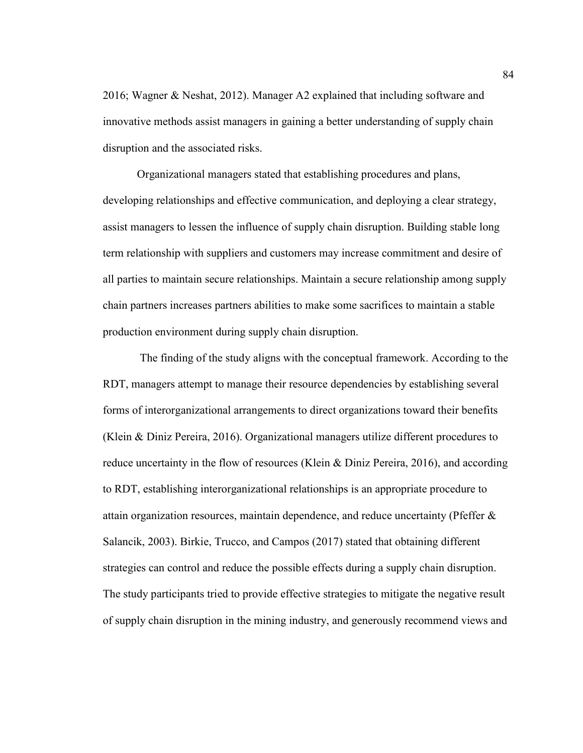2016; Wagner & Neshat, 2012). Manager A2 explained that including software and innovative methods assist managers in gaining a better understanding of supply chain disruption and the associated risks.

Organizational managers stated that establishing procedures and plans, developing relationships and effective communication, and deploying a clear strategy, assist managers to lessen the influence of supply chain disruption. Building stable long term relationship with suppliers and customers may increase commitment and desire of all parties to maintain secure relationships. Maintain a secure relationship among supply chain partners increases partners abilities to make some sacrifices to maintain a stable production environment during supply chain disruption.

 The finding of the study aligns with the conceptual framework. According to the RDT, managers attempt to manage their resource dependencies by establishing several forms of interorganizational arrangements to direct organizations toward their benefits (Klein & Diniz Pereira, 2016). Organizational managers utilize different procedures to reduce uncertainty in the flow of resources (Klein & Diniz Pereira, 2016), and according to RDT, establishing interorganizational relationships is an appropriate procedure to attain organization resources, maintain dependence, and reduce uncertainty (Pfeffer & Salancik, 2003). Birkie, Trucco, and Campos (2017) stated that obtaining different strategies can control and reduce the possible effects during a supply chain disruption. The study participants tried to provide effective strategies to mitigate the negative result of supply chain disruption in the mining industry, and generously recommend views and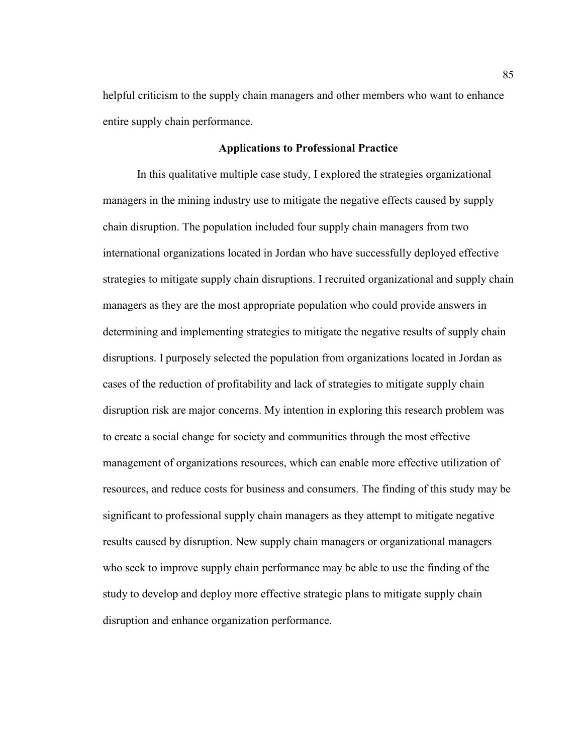helpful criticism to the supply chain managers and other members who want to enhance entire supply chain performance.

### **Applications to Professional Practice**

In this qualitative multiple case study, I explored the strategies organizational managers in the mining industry use to mitigate the negative effects caused by supply chain disruption. The population included four supply chain managers from two international organizations located in Jordan who have successfully deployed effective strategies to mitigate supply chain disruptions. I recruited organizational and supply chain managers as they are the most appropriate population who could provide answers in determining and implementing strategies to mitigate the negative results of supply chain disruptions. I purposely selected the population from organizations located in Jordan as cases of the reduction of profitability and lack of strategies to mitigate supply chain disruption risk are major concerns. My intention in exploring this research problem was to create a social change for society and communities through the most effective management of organizations resources, which can enable more effective utilization of resources, and reduce costs for business and consumers. The finding of this study may be significant to professional supply chain managers as they attempt to mitigate negative results caused by disruption. New supply chain managers or organizational managers who seek to improve supply chain performance may be able to use the finding of the study to develop and deploy more effective strategic plans to mitigate supply chain disruption and enhance organization performance.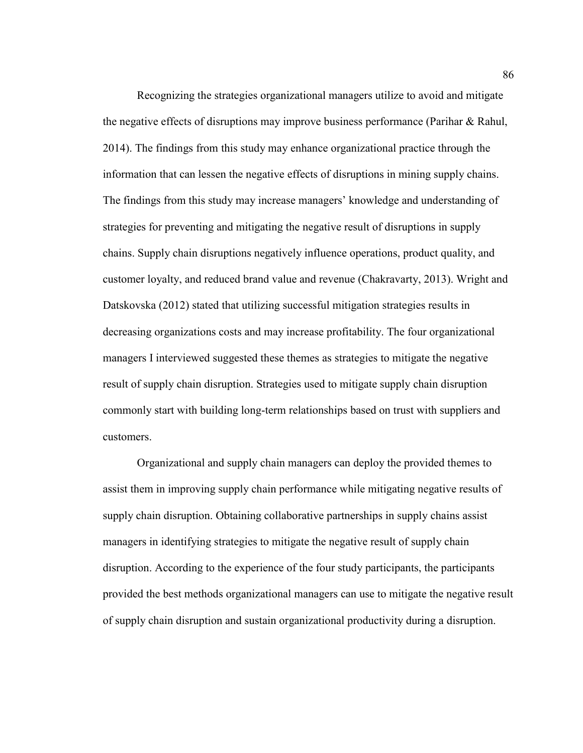Recognizing the strategies organizational managers utilize to avoid and mitigate the negative effects of disruptions may improve business performance (Parihar & Rahul, 2014). The findings from this study may enhance organizational practice through the information that can lessen the negative effects of disruptions in mining supply chains. The findings from this study may increase managers' knowledge and understanding of strategies for preventing and mitigating the negative result of disruptions in supply chains. Supply chain disruptions negatively influence operations, product quality, and customer loyalty, and reduced brand value and revenue (Chakravarty, 2013). Wright and Datskovska (2012) stated that utilizing successful mitigation strategies results in decreasing organizations costs and may increase profitability. The four organizational managers I interviewed suggested these themes as strategies to mitigate the negative result of supply chain disruption. Strategies used to mitigate supply chain disruption commonly start with building long-term relationships based on trust with suppliers and customers.

Organizational and supply chain managers can deploy the provided themes to assist them in improving supply chain performance while mitigating negative results of supply chain disruption. Obtaining collaborative partnerships in supply chains assist managers in identifying strategies to mitigate the negative result of supply chain disruption. According to the experience of the four study participants, the participants provided the best methods organizational managers can use to mitigate the negative result of supply chain disruption and sustain organizational productivity during a disruption.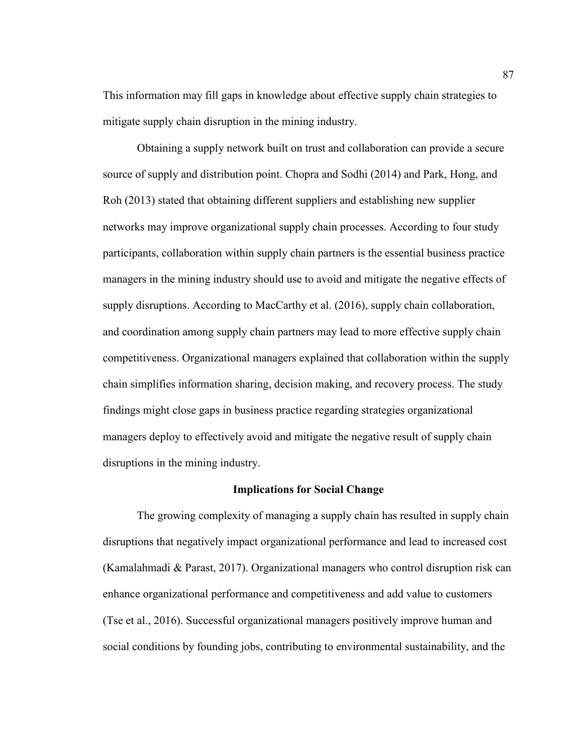This information may fill gaps in knowledge about effective supply chain strategies to mitigate supply chain disruption in the mining industry.

Obtaining a supply network built on trust and collaboration can provide a secure source of supply and distribution point. Chopra and Sodhi (2014) and Park, Hong, and Roh (2013) stated that obtaining different suppliers and establishing new supplier networks may improve organizational supply chain processes. According to four study participants, collaboration within supply chain partners is the essential business practice managers in the mining industry should use to avoid and mitigate the negative effects of supply disruptions. According to MacCarthy et al. (2016), supply chain collaboration, and coordination among supply chain partners may lead to more effective supply chain competitiveness. Organizational managers explained that collaboration within the supply chain simplifies information sharing, decision making, and recovery process. The study findings might close gaps in business practice regarding strategies organizational managers deploy to effectively avoid and mitigate the negative result of supply chain disruptions in the mining industry.

#### **Implications for Social Change**

The growing complexity of managing a supply chain has resulted in supply chain disruptions that negatively impact organizational performance and lead to increased cost (Kamalahmadi & Parast, 2017). Organizational managers who control disruption risk can enhance organizational performance and competitiveness and add value to customers (Tse et al., 2016). Successful organizational managers positively improve human and social conditions by founding jobs, contributing to environmental sustainability, and the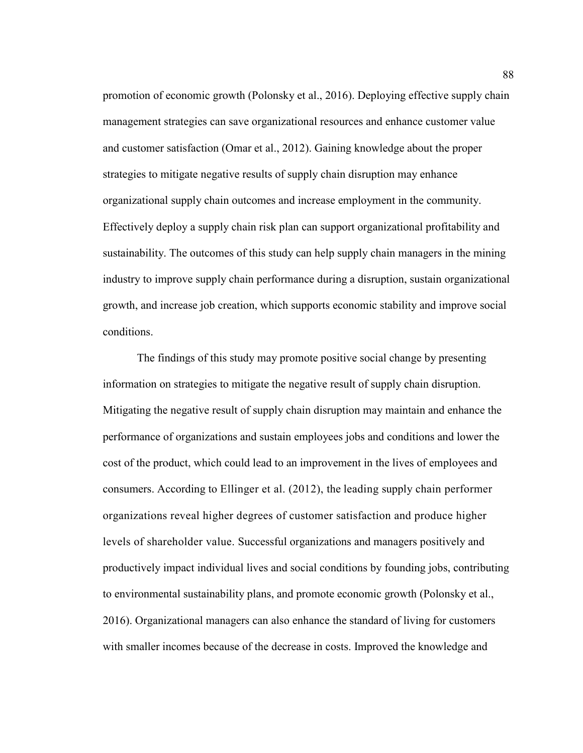promotion of economic growth (Polonsky et al., 2016). Deploying effective supply chain management strategies can save organizational resources and enhance customer value and customer satisfaction (Omar et al., 2012). Gaining knowledge about the proper strategies to mitigate negative results of supply chain disruption may enhance organizational supply chain outcomes and increase employment in the community. Effectively deploy a supply chain risk plan can support organizational profitability and sustainability. The outcomes of this study can help supply chain managers in the mining industry to improve supply chain performance during a disruption, sustain organizational growth, and increase job creation, which supports economic stability and improve social conditions.

The findings of this study may promote positive social change by presenting information on strategies to mitigate the negative result of supply chain disruption. Mitigating the negative result of supply chain disruption may maintain and enhance the performance of organizations and sustain employees jobs and conditions and lower the cost of the product, which could lead to an improvement in the lives of employees and consumers. According to Ellinger et al. (2012), the leading supply chain performer organizations reveal higher degrees of customer satisfaction and produce higher levels of shareholder value. Successful organizations and managers positively and productively impact individual lives and social conditions by founding jobs, contributing to environmental sustainability plans, and promote economic growth (Polonsky et al., 2016). Organizational managers can also enhance the standard of living for customers with smaller incomes because of the decrease in costs. Improved the knowledge and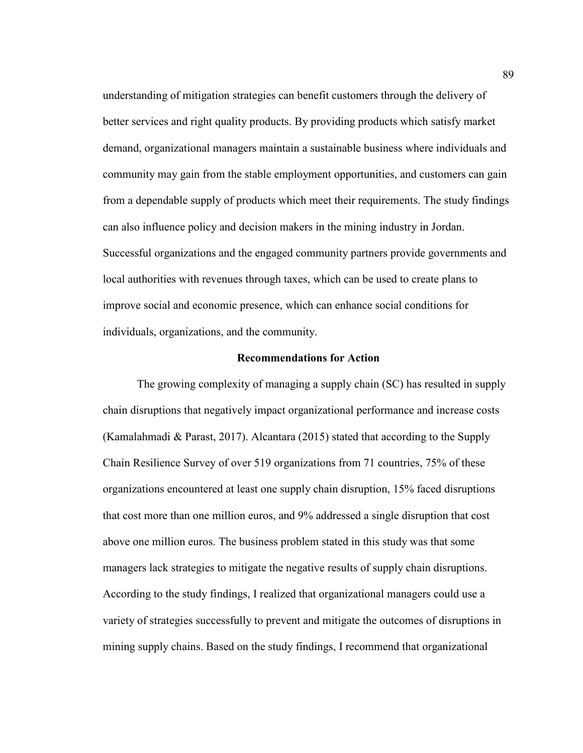understanding of mitigation strategies can benefit customers through the delivery of better services and right quality products. By providing products which satisfy market demand, organizational managers maintain a sustainable business where individuals and community may gain from the stable employment opportunities, and customers can gain from a dependable supply of products which meet their requirements. The study findings can also influence policy and decision makers in the mining industry in Jordan. Successful organizations and the engaged community partners provide governments and local authorities with revenues through taxes, which can be used to create plans to improve social and economic presence, which can enhance social conditions for individuals, organizations, and the community.

### **Recommendations for Action**

The growing complexity of managing a supply chain (SC) has resulted in supply chain disruptions that negatively impact organizational performance and increase costs (Kamalahmadi & Parast, 2017). Alcantara (2015) stated that according to the Supply Chain Resilience Survey of over 519 organizations from 71 countries, 75% of these organizations encountered at least one supply chain disruption, 15% faced disruptions that cost more than one million euros, and 9% addressed a single disruption that cost above one million euros. The business problem stated in this study was that some managers lack strategies to mitigate the negative results of supply chain disruptions. According to the study findings, I realized that organizational managers could use a variety of strategies successfully to prevent and mitigate the outcomes of disruptions in mining supply chains. Based on the study findings, I recommend that organizational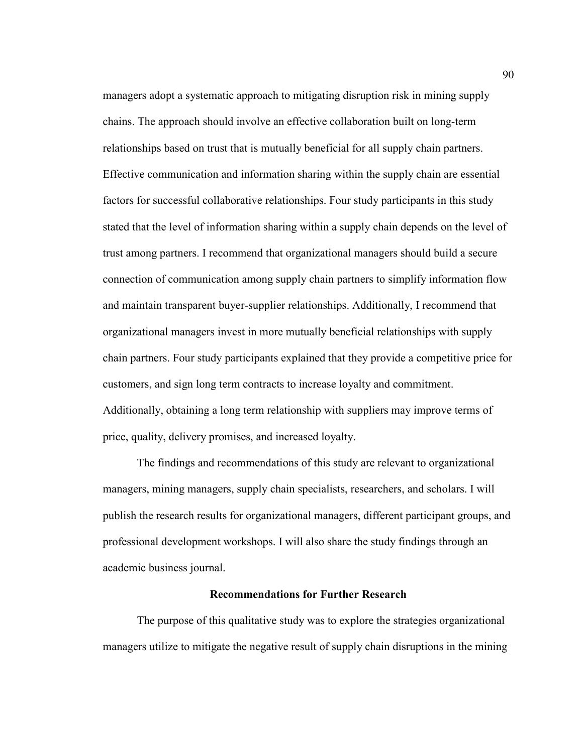managers adopt a systematic approach to mitigating disruption risk in mining supply chains. The approach should involve an effective collaboration built on long-term relationships based on trust that is mutually beneficial for all supply chain partners. Effective communication and information sharing within the supply chain are essential factors for successful collaborative relationships. Four study participants in this study stated that the level of information sharing within a supply chain depends on the level of trust among partners. I recommend that organizational managers should build a secure connection of communication among supply chain partners to simplify information flow and maintain transparent buyer-supplier relationships. Additionally, I recommend that organizational managers invest in more mutually beneficial relationships with supply chain partners. Four study participants explained that they provide a competitive price for customers, and sign long term contracts to increase loyalty and commitment. Additionally, obtaining a long term relationship with suppliers may improve terms of price, quality, delivery promises, and increased loyalty.

The findings and recommendations of this study are relevant to organizational managers, mining managers, supply chain specialists, researchers, and scholars. I will publish the research results for organizational managers, different participant groups, and professional development workshops. I will also share the study findings through an academic business journal.

## **Recommendations for Further Research**

The purpose of this qualitative study was to explore the strategies organizational managers utilize to mitigate the negative result of supply chain disruptions in the mining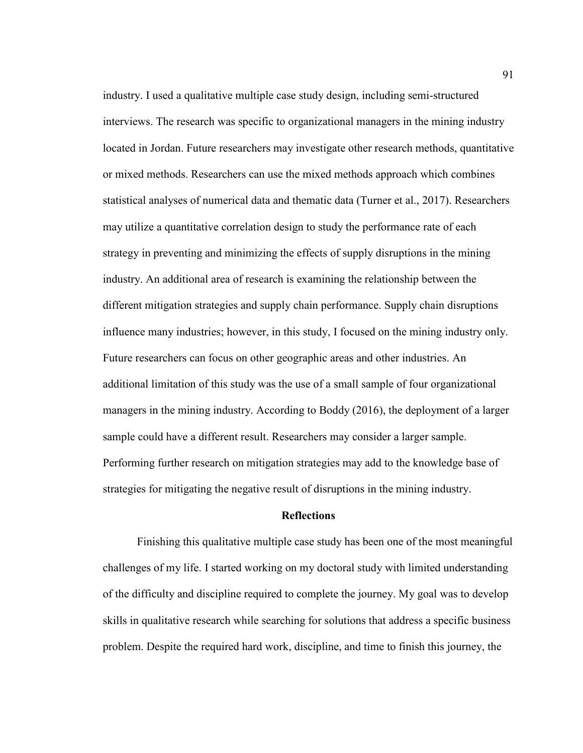industry. I used a qualitative multiple case study design, including semi-structured interviews. The research was specific to organizational managers in the mining industry located in Jordan. Future researchers may investigate other research methods, quantitative or mixed methods. Researchers can use the mixed methods approach which combines statistical analyses of numerical data and thematic data (Turner et al., 2017). Researchers may utilize a quantitative correlation design to study the performance rate of each strategy in preventing and minimizing the effects of supply disruptions in the mining industry. An additional area of research is examining the relationship between the different mitigation strategies and supply chain performance. Supply chain disruptions influence many industries; however, in this study, I focused on the mining industry only. Future researchers can focus on other geographic areas and other industries. An additional limitation of this study was the use of a small sample of four organizational managers in the mining industry. According to Boddy (2016), the deployment of a larger sample could have a different result. Researchers may consider a larger sample. Performing further research on mitigation strategies may add to the knowledge base of strategies for mitigating the negative result of disruptions in the mining industry.

## **Reflections**

Finishing this qualitative multiple case study has been one of the most meaningful challenges of my life. I started working on my doctoral study with limited understanding of the difficulty and discipline required to complete the journey. My goal was to develop skills in qualitative research while searching for solutions that address a specific business problem. Despite the required hard work, discipline, and time to finish this journey, the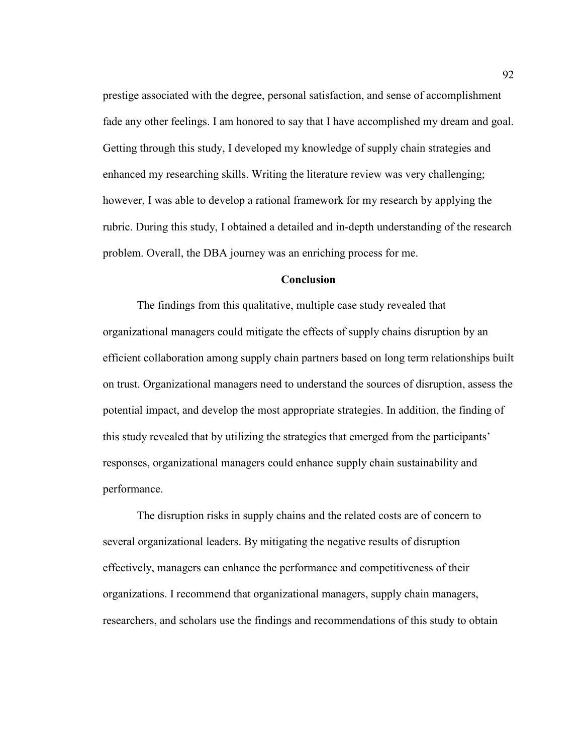prestige associated with the degree, personal satisfaction, and sense of accomplishment fade any other feelings. I am honored to say that I have accomplished my dream and goal. Getting through this study, I developed my knowledge of supply chain strategies and enhanced my researching skills. Writing the literature review was very challenging; however, I was able to develop a rational framework for my research by applying the rubric. During this study, I obtained a detailed and in-depth understanding of the research problem. Overall, the DBA journey was an enriching process for me.

## **Conclusion**

The findings from this qualitative, multiple case study revealed that organizational managers could mitigate the effects of supply chains disruption by an efficient collaboration among supply chain partners based on long term relationships built on trust. Organizational managers need to understand the sources of disruption, assess the potential impact, and develop the most appropriate strategies. In addition, the finding of this study revealed that by utilizing the strategies that emerged from the participants' responses, organizational managers could enhance supply chain sustainability and performance.

The disruption risks in supply chains and the related costs are of concern to several organizational leaders. By mitigating the negative results of disruption effectively, managers can enhance the performance and competitiveness of their organizations. I recommend that organizational managers, supply chain managers, researchers, and scholars use the findings and recommendations of this study to obtain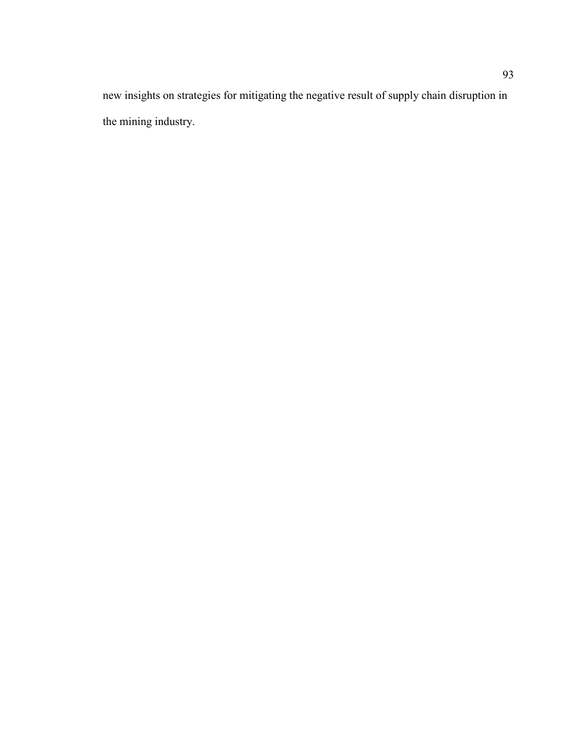new insights on strategies for mitigating the negative result of supply chain disruption in the mining industry.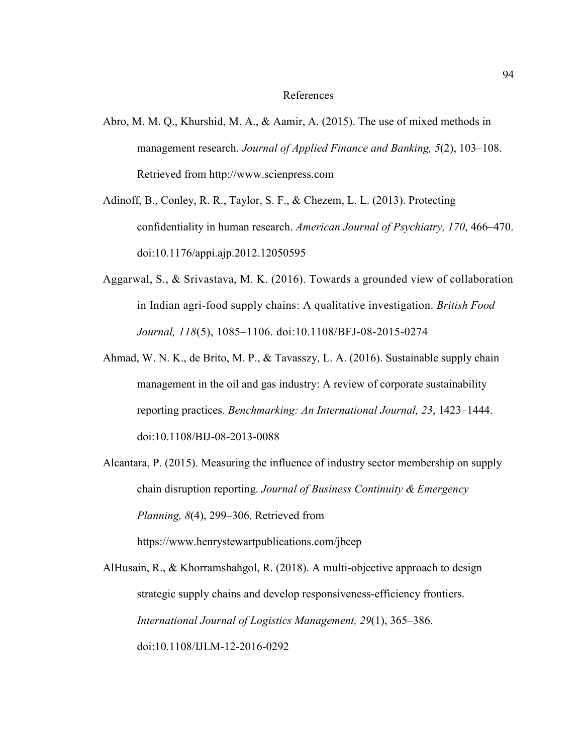#### References

- Abro, M. M. Q., Khurshid, M. A., & Aamir, A. (2015). The use of mixed methods in management research. *Journal of Applied Finance and Banking, 5*(2), 103–108. Retrieved from http://www.scienpress.com
- Adinoff, B., Conley, R. R., Taylor, S. F., & Chezem, L. L. (2013). Protecting confidentiality in human research. *American Journal of Psychiatry, 170*, 466–470. doi:10.1176/appi.ajp.2012.12050595
- Aggarwal, S., & Srivastava, M. K. (2016). Towards a grounded view of collaboration in Indian agri-food supply chains: A qualitative investigation. *British Food Journal, 118*(5), 1085–1106. doi:10.1108/BFJ-08-2015-0274
- Ahmad, W. N. K., de Brito, M. P., & Tavasszy, L. A. (2016). Sustainable supply chain management in the oil and gas industry: A review of corporate sustainability reporting practices. *Benchmarking: An International Journal, 23*, 1423–1444. doi:10.1108/BIJ-08-2013-0088
- Alcantara, P. (2015). Measuring the influence of industry sector membership on supply chain disruption reporting. *Journal of Business Continuity & Emergency Planning, 8*(4), 299–306. Retrieved from https://www.henrystewartpublications.com/jbcep

AlHusain, R., & Khorramshahgol, R. (2018). A multi-objective approach to design strategic supply chains and develop responsiveness-efficiency frontiers. *International Journal of Logistics Management, 29*(1), 365–386. doi:10.1108/IJLM-12-2016-0292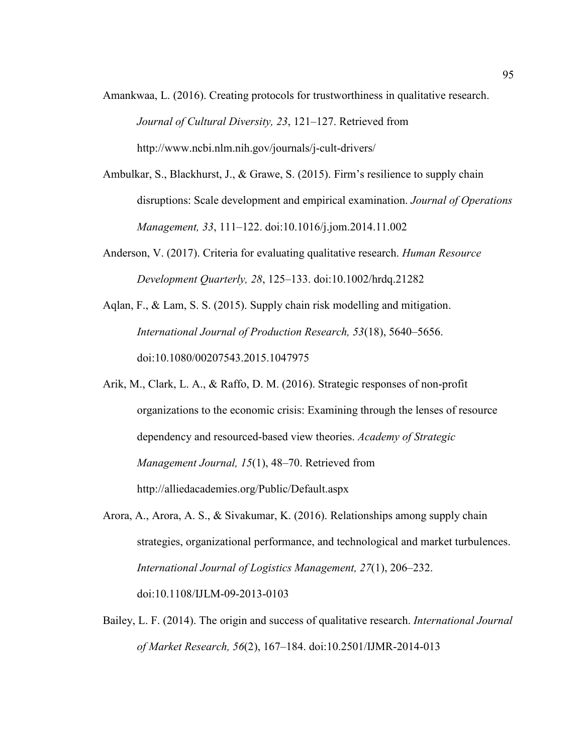- Amankwaa, L. (2016). Creating protocols for trustworthiness in qualitative research. *Journal of Cultural Diversity, 23*, 121–127. Retrieved from http://www.ncbi.nlm.nih.gov/journals/j-cult-drivers/
- Ambulkar, S., Blackhurst, J., & Grawe, S. (2015). Firm's resilience to supply chain disruptions: Scale development and empirical examination. *Journal of Operations Management, 33*, 111–122. doi:10.1016/j.jom.2014.11.002
- Anderson, V. (2017). Criteria for evaluating qualitative research. *Human Resource Development Quarterly, 28*, 125–133. doi:10.1002/hrdq.21282
- Aqlan, F., & Lam, S. S. (2015). Supply chain risk modelling and mitigation. *International Journal of Production Research, 53*(18), 5640–5656. doi:10.1080/00207543.2015.1047975
- Arik, M., Clark, L. A., & Raffo, D. M. (2016). Strategic responses of non-profit organizations to the economic crisis: Examining through the lenses of resource dependency and resourced-based view theories. *Academy of Strategic Management Journal, 15*(1), 48–70. Retrieved from http://alliedacademies.org/Public/Default.aspx
- Arora, A., Arora, A. S., & Sivakumar, K. (2016). Relationships among supply chain strategies, organizational performance, and technological and market turbulences. *International Journal of Logistics Management, 27*(1), 206–232. doi:10.1108/IJLM-09-2013-0103
- Bailey, L. F. (2014). The origin and success of qualitative research. *International Journal of Market Research, 56*(2), 167–184. doi:10.2501/IJMR-2014-013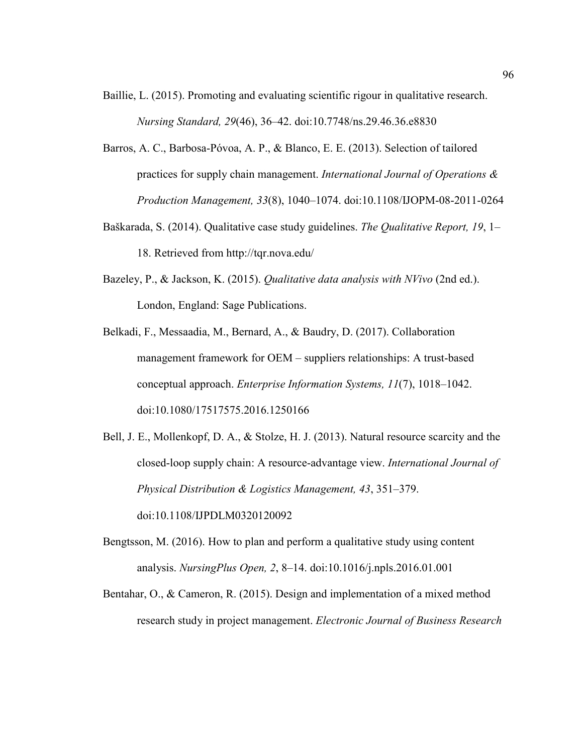- Baillie, L. (2015). Promoting and evaluating scientific rigour in qualitative research. *Nursing Standard, 29*(46), 36–42. doi:10.7748/ns.29.46.36.e8830
- Barros, A. C., Barbosa-Póvoa, A. P., & Blanco, E. E. (2013). Selection of tailored practices for supply chain management. *International Journal of Operations & Production Management, 33*(8), 1040–1074. doi:10.1108/IJOPM-08-2011-0264
- Baškarada, S. (2014). Qualitative case study guidelines. *The Qualitative Report, 19*, 1– 18. Retrieved from http://tqr.nova.edu/
- Bazeley, P., & Jackson, K. (2015). *Qualitative data analysis with NVivo* (2nd ed.). London, England: Sage Publications.
- Belkadi, F., Messaadia, M., Bernard, A., & Baudry, D. (2017). Collaboration management framework for OEM – suppliers relationships: A trust-based conceptual approach. *Enterprise Information Systems, 11*(7), 1018–1042. doi:10.1080/17517575.2016.1250166
- Bell, J. E., Mollenkopf, D. A., & Stolze, H. J. (2013). Natural resource scarcity and the closed-loop supply chain: A resource-advantage view. *International Journal of Physical Distribution & Logistics Management, 43*, 351–379. doi:10.1108/IJPDLM0320120092
- Bengtsson, M. (2016). How to plan and perform a qualitative study using content analysis. *NursingPlus Open, 2*, 8–14. doi:10.1016/j.npls.2016.01.001
- Bentahar, O., & Cameron, R. (2015). Design and implementation of a mixed method research study in project management. *Electronic Journal of Business Research*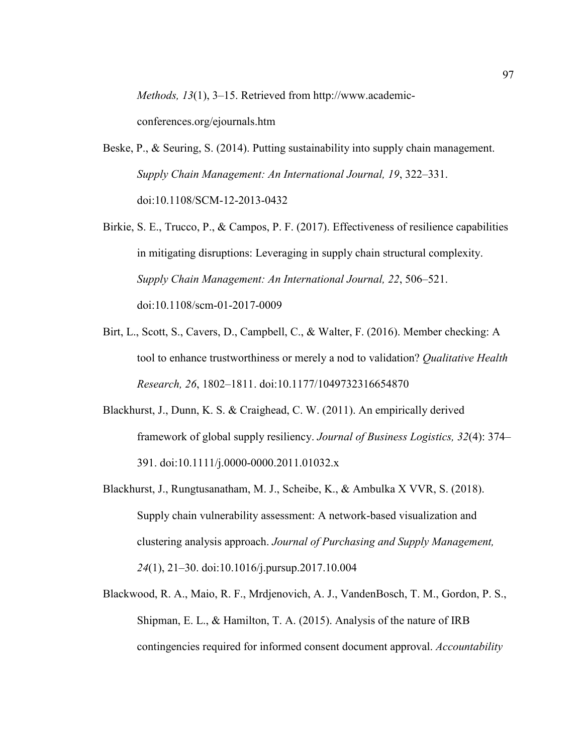*Methods, 13*(1), 3–15. Retrieved from http://www.academic-

conferences.org/ejournals.htm

- Beske, P., & Seuring, S. (2014). Putting sustainability into supply chain management. *Supply Chain Management: An International Journal, 19*, 322–331. doi:10.1108/SCM-12-2013-0432
- Birkie, S. E., Trucco, P., & Campos, P. F. (2017). Effectiveness of resilience capabilities in mitigating disruptions: Leveraging in supply chain structural complexity. *Supply Chain Management: An International Journal, 22*, 506–521. doi:10.1108/scm-01-2017-0009
- Birt, L., Scott, S., Cavers, D., Campbell, C., & Walter, F. (2016). Member checking: A tool to enhance trustworthiness or merely a nod to validation? *Qualitative Health Research, 26*, 1802–1811. doi:10.1177/1049732316654870
- Blackhurst, J., Dunn, K. S. & Craighead, C. W. (2011). An empirically derived framework of global supply resiliency. *Journal of Business Logistics, 32*(4): 374– 391. doi:10.1111/j.0000-0000.2011.01032.x
- Blackhurst, J., Rungtusanatham, M. J., Scheibe, K., & Ambulka X VVR, S. (2018). Supply chain vulnerability assessment: A network-based visualization and clustering analysis approach. *Journal of Purchasing and Supply Management, 24*(1), 21–30. doi:10.1016/j.pursup.2017.10.004
- Blackwood, R. A., Maio, R. F., Mrdjenovich, A. J., VandenBosch, T. M., Gordon, P. S., Shipman, E. L., & Hamilton, T. A. (2015). Analysis of the nature of IRB contingencies required for informed consent document approval. *Accountability*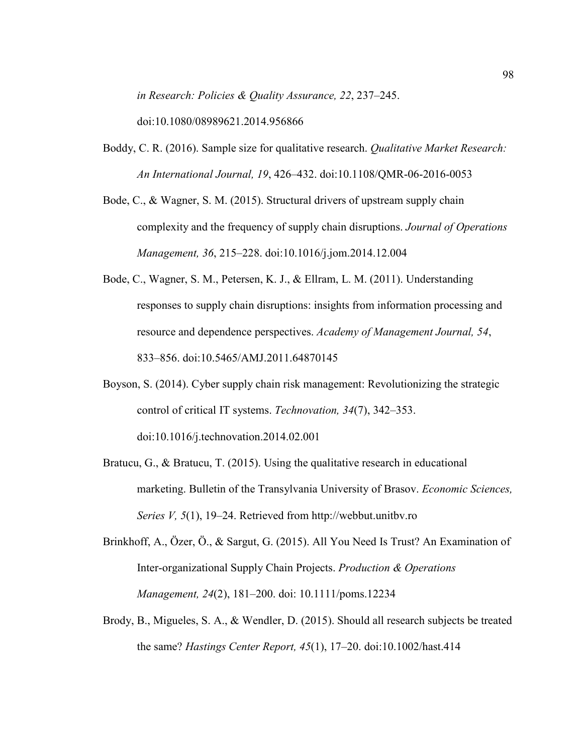*in Research: Policies & Quality Assurance, 22*, 237–245.

doi:10.1080/08989621.2014.956866

- Boddy, C. R. (2016). Sample size for qualitative research. *Qualitative Market Research: An International Journal, 19*, 426–432. doi:10.1108/QMR-06-2016-0053
- Bode, C., & Wagner, S. M. (2015). Structural drivers of upstream supply chain complexity and the frequency of supply chain disruptions. *Journal of Operations Management, 36*, 215–228. doi:10.1016/j.jom.2014.12.004
- Bode, C., Wagner, S. M., Petersen, K. J., & Ellram, L. M. (2011). Understanding responses to supply chain disruptions: insights from information processing and resource and dependence perspectives. *Academy of Management Journal, 54*, 833–856. doi:10.5465/AMJ.2011.64870145
- Boyson, S. (2014). Cyber supply chain risk management: Revolutionizing the strategic control of critical IT systems. *Technovation, 34*(7), 342–353. doi:10.1016/j.technovation.2014.02.001
- Bratucu, G., & Bratucu, T. (2015). Using the qualitative research in educational marketing. Bulletin of the Transylvania University of Brasov. *Economic Sciences, Series V, 5*(1), 19–24. Retrieved from http://webbut.unitbv.ro
- Brinkhoff, A., Özer, Ö., & Sargut, G. (2015). All You Need Is Trust? An Examination of Inter-organizational Supply Chain Projects. *Production & Operations Management, 24*(2), 181–200. doi: 10.1111/poms.12234
- Brody, B., Migueles, S. A., & Wendler, D. (2015). Should all research subjects be treated the same? *Hastings Center Report, 45*(1), 17–20. doi:10.1002/hast.414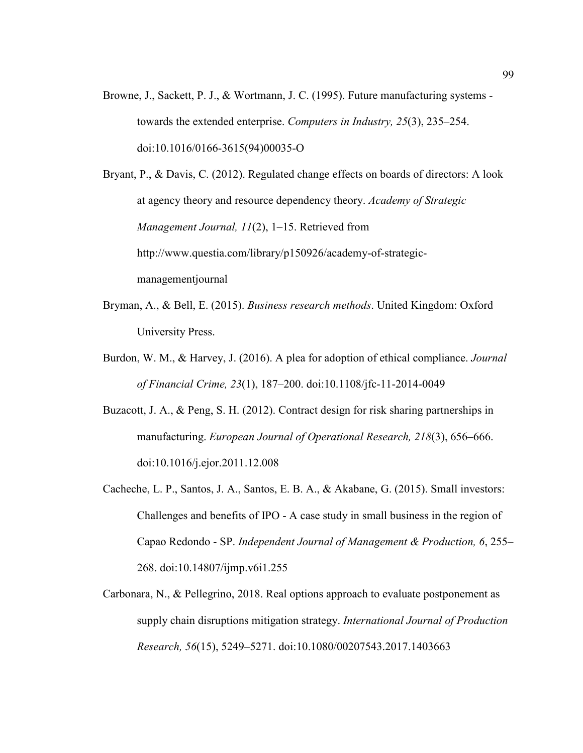Browne, J., Sackett, P. J., & Wortmann, J. C. (1995). Future manufacturing systems towards the extended enterprise. *Computers in Industry, 25*(3), 235–254. doi:10.1016/0166-3615(94)00035-O

Bryant, P., & Davis, C. (2012). Regulated change effects on boards of directors: A look at agency theory and resource dependency theory. *Academy of Strategic Management Journal, 11*(2), 1–15. Retrieved from http://www.questia.com/library/p150926/academy-of-strategicmanagementjournal

- Bryman, A., & Bell, E. (2015). *Business research methods*. United Kingdom: Oxford University Press.
- Burdon, W. M., & Harvey, J. (2016). A plea for adoption of ethical compliance. *Journal of Financial Crime, 23*(1), 187–200. doi:10.1108/jfc-11-2014-0049
- Buzacott, J. A., & Peng, S. H. (2012). Contract design for risk sharing partnerships in manufacturing. *European Journal of Operational Research, 218*(3), 656–666. doi:10.1016/j.ejor.2011.12.008
- Cacheche, L. P., Santos, J. A., Santos, E. B. A., & Akabane, G. (2015). Small investors: Challenges and benefits of IPO - A case study in small business in the region of Capao Redondo - SP. *Independent Journal of Management & Production, 6*, 255– 268. doi:10.14807/ijmp.v6i1.255
- Carbonara, N., & Pellegrino, 2018. Real options approach to evaluate postponement as supply chain disruptions mitigation strategy. *International Journal of Production Research, 56*(15), 5249–5271. doi:10.1080/00207543.2017.1403663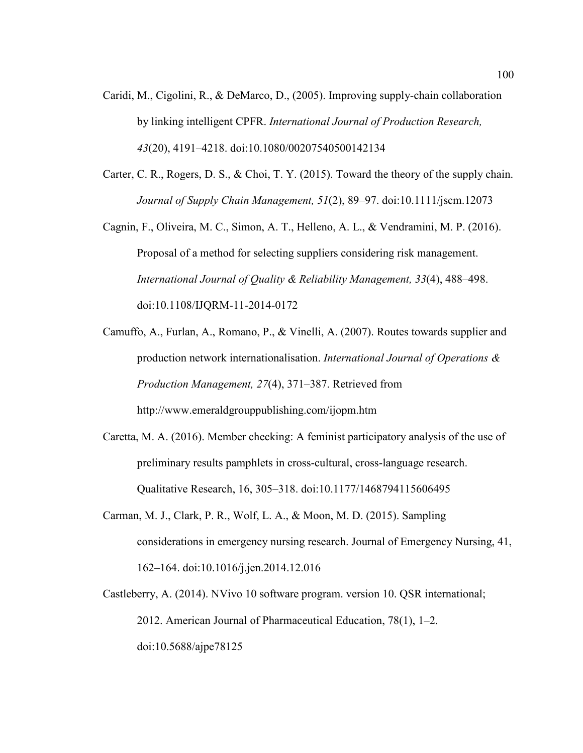- Caridi, M., Cigolini, R., & DeMarco, D., (2005). Improving supply-chain collaboration by linking intelligent CPFR. *International Journal of Production Research, 43*(20), 4191–4218. doi:10.1080/00207540500142134
- Carter, C. R., Rogers, D. S., & Choi, T. Y. (2015). Toward the theory of the supply chain. *Journal of Supply Chain Management, 51*(2), 89–97. doi:10.1111/jscm.12073
- Cagnin, F., Oliveira, M. C., Simon, A. T., Helleno, A. L., & Vendramini, M. P. (2016). Proposal of a method for selecting suppliers considering risk management. *International Journal of Quality & Reliability Management, 33*(4), 488–498. doi:10.1108/IJQRM-11-2014-0172
- Camuffo, A., Furlan, A., Romano, P., & Vinelli, A. (2007). Routes towards supplier and production network internationalisation. *International Journal of Operations & Production Management, 27*(4), 371–387. Retrieved from http://www.emeraldgrouppublishing.com/ijopm.htm
- Caretta, M. A. (2016). Member checking: A feminist participatory analysis of the use of preliminary results pamphlets in cross-cultural, cross-language research. Qualitative Research, 16, 305–318. doi:10.1177/1468794115606495
- Carman, M. J., Clark, P. R., Wolf, L. A., & Moon, M. D. (2015). Sampling considerations in emergency nursing research. Journal of Emergency Nursing, 41, 162–164. doi:10.1016/j.jen.2014.12.016
- Castleberry, A. (2014). NVivo 10 software program. version 10. QSR international; 2012. American Journal of Pharmaceutical Education, 78(1), 1–2. doi:10.5688/ajpe78125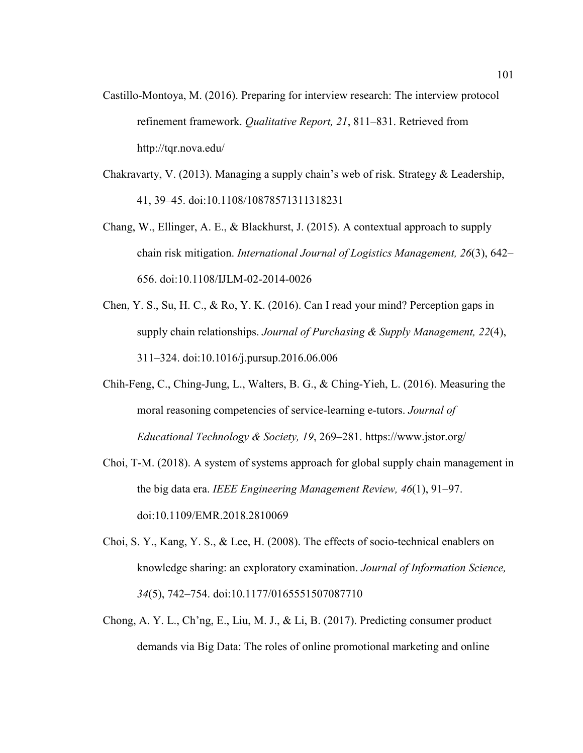Castillo-Montoya, M. (2016). Preparing for interview research: The interview protocol refinement framework. *Qualitative Report, 21*, 811–831. Retrieved from http://tqr.nova.edu/

Chakravarty, V. (2013). Managing a supply chain's web of risk. Strategy & Leadership, 41, 39–45. doi:10.1108/10878571311318231

- Chang, W., Ellinger, A. E., & Blackhurst, J. (2015). A contextual approach to supply chain risk mitigation. *International Journal of Logistics Management, 26*(3), 642– 656. doi:10.1108/IJLM-02-2014-0026
- Chen, Y. S., Su, H. C., & Ro, Y. K. (2016). Can I read your mind? Perception gaps in supply chain relationships. *Journal of Purchasing & Supply Management, 22*(4), 311–324. doi:10.1016/j.pursup.2016.06.006
- Chih-Feng, C., Ching-Jung, L., Walters, B. G., & Ching-Yieh, L. (2016). Measuring the moral reasoning competencies of service-learning e-tutors. *Journal of Educational Technology & Society, 19*, 269–281. https://www.jstor.org/
- Choi, T-M. (2018). A system of systems approach for global supply chain management in the big data era. *IEEE Engineering Management Review, 46*(1), 91–97. doi:10.1109/EMR.2018.2810069
- Choi, S. Y., Kang, Y. S., & Lee, H. (2008). The effects of socio-technical enablers on knowledge sharing: an exploratory examination. *Journal of Information Science, 34*(5), 742–754. doi:10.1177/0165551507087710
- Chong, A. Y. L., Ch'ng, E., Liu, M. J., & Li, B. (2017). Predicting consumer product demands via Big Data: The roles of online promotional marketing and online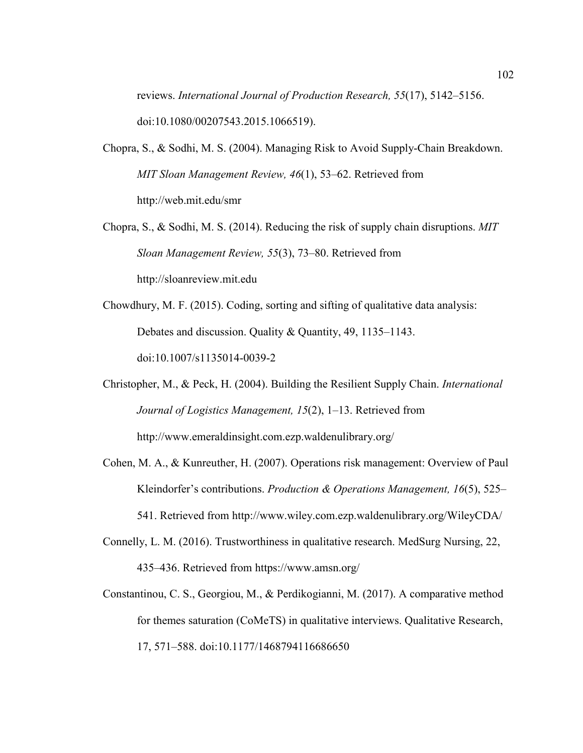reviews. *International Journal of Production Research, 55*(17), 5142–5156. doi:10.1080/00207543.2015.1066519).

- Chopra, S., & Sodhi, M. S. (2004). Managing Risk to Avoid Supply-Chain Breakdown. *MIT Sloan Management Review, 46*(1), 53–62. Retrieved from http://web.mit.edu/smr
- Chopra, S., & Sodhi, M. S. (2014). Reducing the risk of supply chain disruptions. *MIT Sloan Management Review, 55*(3), 73–80. Retrieved from http://sloanreview.mit.edu
- Chowdhury, M. F. (2015). Coding, sorting and sifting of qualitative data analysis: Debates and discussion. Quality & Quantity, 49, 1135–1143. doi:10.1007/s1135014-0039-2
- Christopher, M., & Peck, H. (2004). Building the Resilient Supply Chain. *International Journal of Logistics Management, 15*(2), 1–13. Retrieved from http://www.emeraldinsight.com.ezp.waldenulibrary.org/
- Cohen, M. A., & Kunreuther, H. (2007). Operations risk management: Overview of Paul Kleindorfer's contributions. *Production & Operations Management, 16*(5), 525– 541. Retrieved from http://www.wiley.com.ezp.waldenulibrary.org/WileyCDA/
- Connelly, L. M. (2016). Trustworthiness in qualitative research. MedSurg Nursing, 22, 435–436. Retrieved from https://www.amsn.org/
- Constantinou, C. S., Georgiou, M., & Perdikogianni, M. (2017). A comparative method for themes saturation (CoMeTS) in qualitative interviews. Qualitative Research, 17, 571–588. doi:10.1177/1468794116686650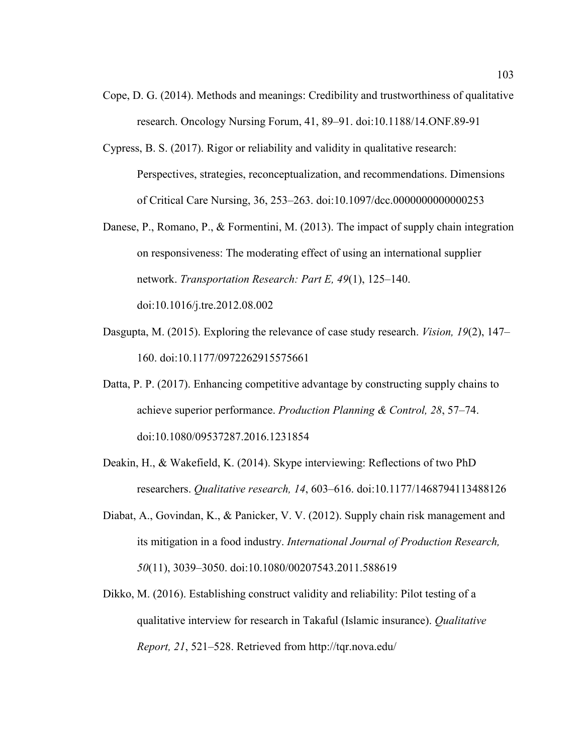- Cope, D. G. (2014). Methods and meanings: Credibility and trustworthiness of qualitative research. Oncology Nursing Forum, 41, 89–91. doi:10.1188/14.ONF.89-91
- Cypress, B. S. (2017). Rigor or reliability and validity in qualitative research: Perspectives, strategies, reconceptualization, and recommendations. Dimensions of Critical Care Nursing, 36, 253–263. doi:10.1097/dcc.0000000000000253
- Danese, P., Romano, P., & Formentini, M. (2013). The impact of supply chain integration on responsiveness: The moderating effect of using an international supplier network. *Transportation Research: Part E, 49*(1), 125–140. doi:10.1016/j.tre.2012.08.002
- Dasgupta, M. (2015). Exploring the relevance of case study research. *Vision, 19*(2), 147– 160. doi:10.1177/0972262915575661
- Datta, P. P. (2017). Enhancing competitive advantage by constructing supply chains to achieve superior performance. *Production Planning & Control, 28*, 57–74. doi:10.1080/09537287.2016.1231854
- Deakin, H., & Wakefield, K. (2014). Skype interviewing: Reflections of two PhD researchers. *Qualitative research, 14*, 603–616. doi:10.1177/1468794113488126
- Diabat, A., Govindan, K., & Panicker, V. V. (2012). Supply chain risk management and its mitigation in a food industry. *International Journal of Production Research, 50*(11), 3039–3050. doi:10.1080/00207543.2011.588619
- Dikko, M. (2016). Establishing construct validity and reliability: Pilot testing of a qualitative interview for research in Takaful (Islamic insurance). *Qualitative Report, 21*, 521–528. Retrieved from http://tqr.nova.edu/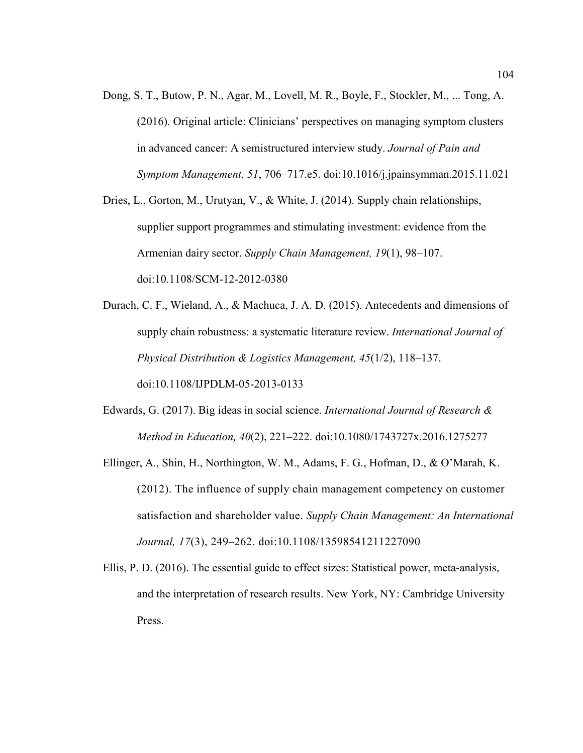Dong, S. T., Butow, P. N., Agar, M., Lovell, M. R., Boyle, F., Stockler, M., ... Tong, A. (2016). Original article: Clinicians' perspectives on managing symptom clusters in advanced cancer: A semistructured interview study. *Journal of Pain and Symptom Management, 51*, 706–717.e5. doi:10.1016/j.jpainsymman.2015.11.021

Dries, L., Gorton, M., Urutyan, V., & White, J. (2014). Supply chain relationships, supplier support programmes and stimulating investment: evidence from the Armenian dairy sector. *Supply Chain Management, 19*(1), 98–107. doi:10.1108/SCM-12-2012-0380

Durach, C. F., Wieland, A., & Machuca, J. A. D. (2015). Antecedents and dimensions of supply chain robustness: a systematic literature review. *International Journal of Physical Distribution & Logistics Management, 45*(1/2), 118–137. doi:10.1108/IJPDLM-05-2013-0133

- Edwards, G. (2017). Big ideas in social science. *International Journal of Research & Method in Education, 40*(2), 221–222. doi:10.1080/1743727x.2016.1275277
- Ellinger, A., Shin, H., Northington, W. M., Adams, F. G., Hofman, D., & O'Marah, K. (2012). The influence of supply chain management competency on customer satisfaction and shareholder value. *Supply Chain Management: An International Journal, 17*(3), 249–262. doi:10.1108/13598541211227090
- Ellis, P. D. (2016). The essential guide to effect sizes: Statistical power, meta-analysis, and the interpretation of research results. New York, NY: Cambridge University Press.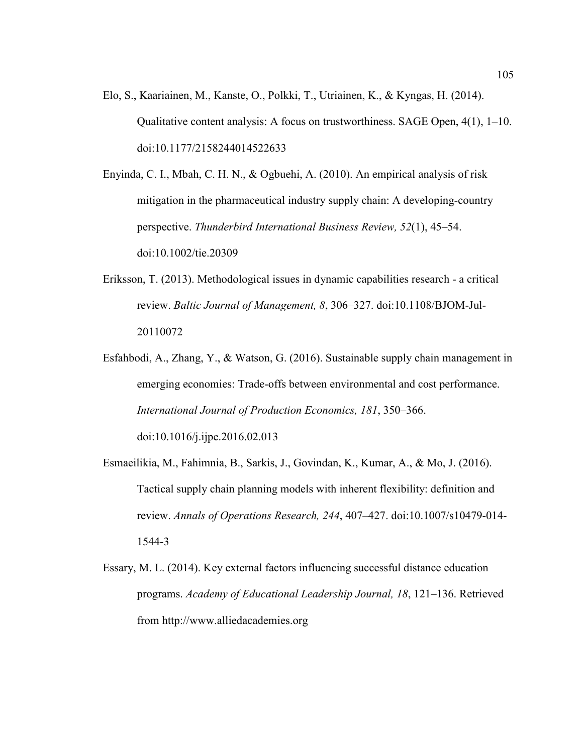Elo, S., Kaariainen, M., Kanste, O., Polkki, T., Utriainen, K., & Kyngas, H. (2014). Qualitative content analysis: A focus on trustworthiness. SAGE Open, 4(1), 1–10. doi:10.1177/2158244014522633

Enyinda, C. I., Mbah, C. H. N., & Ogbuehi, A. (2010). An empirical analysis of risk mitigation in the pharmaceutical industry supply chain: A developing-country perspective. *Thunderbird International Business Review, 52*(1), 45–54. doi:10.1002/tie.20309

- Eriksson, T. (2013). Methodological issues in dynamic capabilities research a critical review. *Baltic Journal of Management, 8*, 306–327. doi:10.1108/BJOM-Jul-20110072
- Esfahbodi, A., Zhang, Y., & Watson, G. (2016). Sustainable supply chain management in emerging economies: Trade-offs between environmental and cost performance. *International Journal of Production Economics, 181*, 350–366.

doi:10.1016/j.ijpe.2016.02.013

- Esmaeilikia, M., Fahimnia, B., Sarkis, J., Govindan, K., Kumar, A., & Mo, J. (2016). Tactical supply chain planning models with inherent flexibility: definition and review. *Annals of Operations Research, 244*, 407–427. doi:10.1007/s10479-014- 1544-3
- Essary, M. L. (2014). Key external factors influencing successful distance education programs. *Academy of Educational Leadership Journal, 18*, 121–136. Retrieved from http://www.alliedacademies.org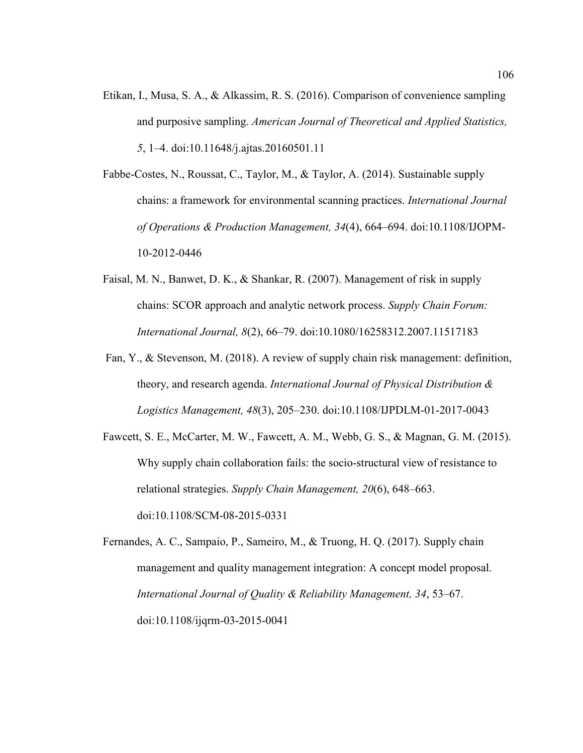- Etikan, I., Musa, S. A., & Alkassim, R. S. (2016). Comparison of convenience sampling and purposive sampling. *American Journal of Theoretical and Applied Statistics, 5*, 1–4. doi:10.11648/j.ajtas.20160501.11
- Fabbe-Costes, N., Roussat, C., Taylor, M., & Taylor, A. (2014). Sustainable supply chains: a framework for environmental scanning practices. *International Journal of Operations & Production Management, 34*(4), 664–694. doi:10.1108/IJOPM-10-2012-0446
- Faisal, M. N., Banwet, D. K., & Shankar, R. (2007). Management of risk in supply chains: SCOR approach and analytic network process. *Supply Chain Forum: International Journal, 8*(2), 66–79. doi:10.1080/16258312.2007.11517183
- Fan, Y., & Stevenson, M. (2018). A review of supply chain risk management: definition, theory, and research agenda. *International Journal of Physical Distribution & Logistics Management, 48*(3), 205–230. doi:10.1108/IJPDLM-01-2017-0043
- Fawcett, S. E., McCarter, M. W., Fawcett, A. M., Webb, G. S., & Magnan, G. M. (2015). Why supply chain collaboration fails: the socio-structural view of resistance to relational strategies. *Supply Chain Management, 20*(6), 648–663. doi:10.1108/SCM-08-2015-0331

Fernandes, A. C., Sampaio, P., Sameiro, M., & Truong, H. Q. (2017). Supply chain management and quality management integration: A concept model proposal. *International Journal of Quality & Reliability Management, 34*, 53–67. doi:10.1108/ijqrm-03-2015-0041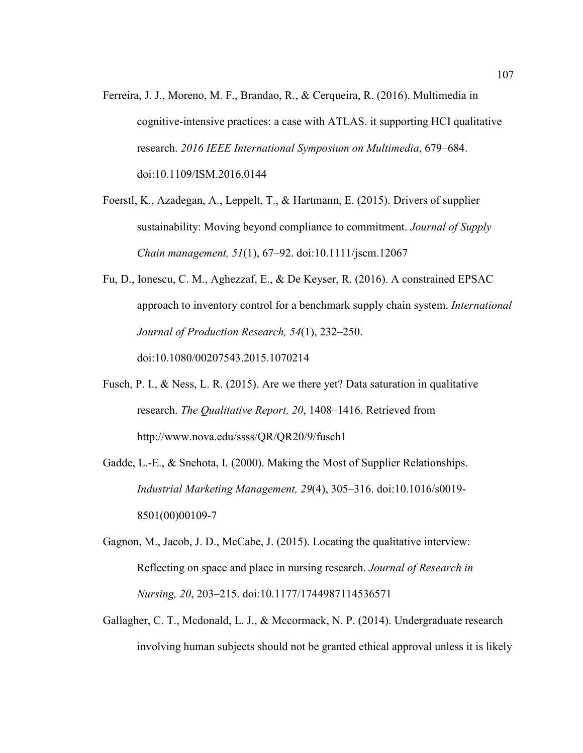- Ferreira, J. J., Moreno, M. F., Brandao, R., & Cerqueira, R. (2016). Multimedia in cognitive-intensive practices: a case with ATLAS. it supporting HCI qualitative research. *2016 IEEE International Symposium on Multimedia*, 679–684. doi:10.1109/ISM.2016.0144
- Foerstl, K., Azadegan, A., Leppelt, T., & Hartmann, E. (2015). Drivers of supplier sustainability: Moving beyond compliance to commitment. *Journal of Supply Chain management, 51*(1), 67–92. doi:10.1111/jscm.12067
- Fu, D., Ionescu, C. M., Aghezzaf, E., & De Keyser, R. (2016). A constrained EPSAC approach to inventory control for a benchmark supply chain system. *International Journal of Production Research, 54*(1), 232–250. doi:10.1080/00207543.2015.1070214
- Fusch, P. I., & Ness, L. R. (2015). Are we there yet? Data saturation in qualitative research. *The Qualitative Report, 20*, 1408–1416. Retrieved from http://www.nova.edu/ssss/QR/QR20/9/fusch1
- Gadde, L.-E., & Snehota, I. (2000). Making the Most of Supplier Relationships. *Industrial Marketing Management, 29*(4), 305–316. doi:10.1016/s0019- 8501(00)00109-7
- Gagnon, M., Jacob, J. D., McCabe, J. (2015). Locating the qualitative interview: Reflecting on space and place in nursing research. *Journal of Research in Nursing, 20*, 203–215. doi:10.1177/1744987114536571
- Gallagher, C. T., Mcdonald, L. J., & Mccormack, N. P. (2014). Undergraduate research involving human subjects should not be granted ethical approval unless it is likely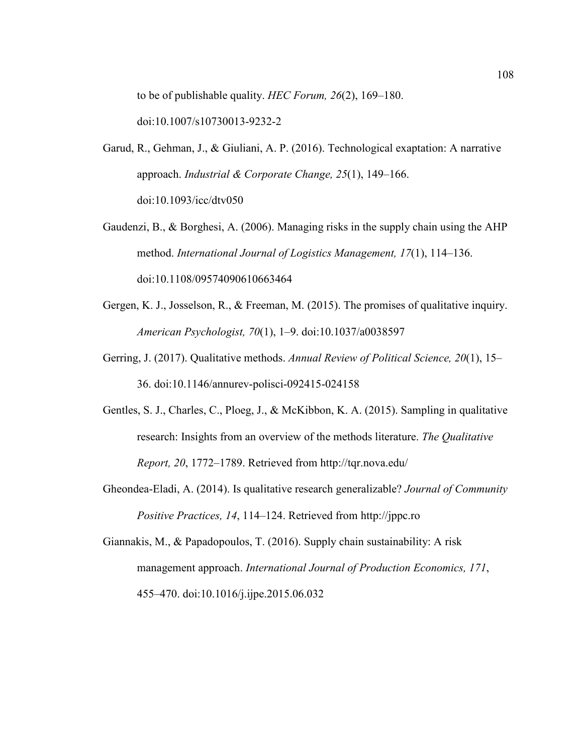to be of publishable quality. *HEC Forum, 26*(2), 169–180. doi:10.1007/s10730013-9232-2

- Garud, R., Gehman, J., & Giuliani, A. P. (2016). Technological exaptation: A narrative approach. *Industrial & Corporate Change, 25*(1), 149–166. doi:10.1093/icc/dtv050
- Gaudenzi, B., & Borghesi, A. (2006). Managing risks in the supply chain using the AHP method. *International Journal of Logistics Management, 17*(1), 114–136. doi:10.1108/09574090610663464
- Gergen, K. J., Josselson, R., & Freeman, M. (2015). The promises of qualitative inquiry. *American Psychologist, 70*(1), 1–9. doi:10.1037/a0038597
- Gerring, J. (2017). Qualitative methods. *Annual Review of Political Science, 20*(1), 15– 36. doi:10.1146/annurev-polisci-092415-024158
- Gentles, S. J., Charles, C., Ploeg, J., & McKibbon, K. A. (2015). Sampling in qualitative research: Insights from an overview of the methods literature. *The Qualitative Report, 20*, 1772–1789. Retrieved from http://tqr.nova.edu/
- Gheondea-Eladi, A. (2014). Is qualitative research generalizable? *Journal of Community Positive Practices, 14*, 114–124. Retrieved from http://jppc.ro
- Giannakis, M., & Papadopoulos, T. (2016). Supply chain sustainability: A risk management approach. *International Journal of Production Economics, 171*, 455–470. doi:10.1016/j.ijpe.2015.06.032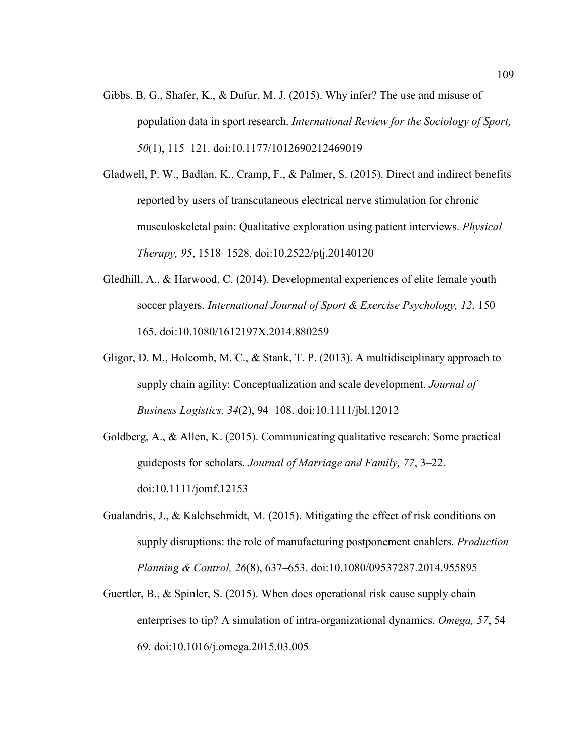- Gibbs, B. G., Shafer, K., & Dufur, M. J. (2015). Why infer? The use and misuse of population data in sport research. *International Review for the Sociology of Sport, 50*(1), 115–121. doi:10.1177/1012690212469019
- Gladwell, P. W., Badlan, K., Cramp, F., & Palmer, S. (2015). Direct and indirect benefits reported by users of transcutaneous electrical nerve stimulation for chronic musculoskeletal pain: Qualitative exploration using patient interviews. *Physical Therapy, 95*, 1518–1528. doi:10.2522/ptj.20140120
- Gledhill, A., & Harwood, C. (2014). Developmental experiences of elite female youth soccer players. *International Journal of Sport & Exercise Psychology, 12*, 150– 165. doi:10.1080/1612197X.2014.880259
- Gligor, D. M., Holcomb, M. C., & Stank, T. P. (2013). A multidisciplinary approach to supply chain agility: Conceptualization and scale development. *Journal of Business Logistics, 34*(2), 94–108. doi:10.1111/jbl.12012
- Goldberg, A., & Allen, K. (2015). Communicating qualitative research: Some practical guideposts for scholars. *Journal of Marriage and Family, 77*, 3–22. doi:10.1111/jomf.12153
- Gualandris, J., & Kalchschmidt, M. (2015). Mitigating the effect of risk conditions on supply disruptions: the role of manufacturing postponement enablers. *Production Planning & Control, 26*(8), 637–653. doi:10.1080/09537287.2014.955895
- Guertler, B., & Spinler, S. (2015). When does operational risk cause supply chain enterprises to tip? A simulation of intra-organizational dynamics. *Omega, 57*, 54– 69. doi:10.1016/j.omega.2015.03.005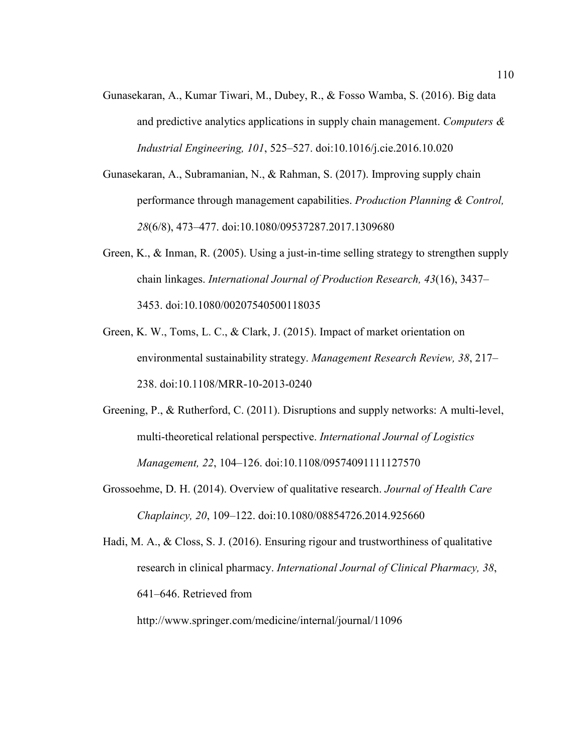- Gunasekaran, A., Kumar Tiwari, M., Dubey, R., & Fosso Wamba, S. (2016). Big data and predictive analytics applications in supply chain management. *Computers & Industrial Engineering, 101*, 525–527. doi:10.1016/j.cie.2016.10.020
- Gunasekaran, A., Subramanian, N., & Rahman, S. (2017). Improving supply chain performance through management capabilities. *Production Planning & Control, 28*(6/8), 473–477. doi:10.1080/09537287.2017.1309680
- Green, K., & Inman, R. (2005). Using a just-in-time selling strategy to strengthen supply chain linkages. *International Journal of Production Research, 43*(16), 3437– 3453. doi:10.1080/00207540500118035
- Green, K. W., Toms, L. C., & Clark, J. (2015). Impact of market orientation on environmental sustainability strategy. *Management Research Review, 38*, 217– 238. doi:10.1108/MRR-10-2013-0240
- Greening, P., & Rutherford, C. (2011). Disruptions and supply networks: A multi-level, multi-theoretical relational perspective. *International Journal of Logistics Management, 22*, 104–126. doi:10.1108/09574091111127570
- Grossoehme, D. H. (2014). Overview of qualitative research. *Journal of Health Care Chaplaincy, 20*, 109–122. doi:10.1080/08854726.2014.925660

Hadi, M. A., & Closs, S. J. (2016). Ensuring rigour and trustworthiness of qualitative research in clinical pharmacy. *International Journal of Clinical Pharmacy, 38*, 641–646. Retrieved from http://www.springer.com/medicine/internal/journal/11096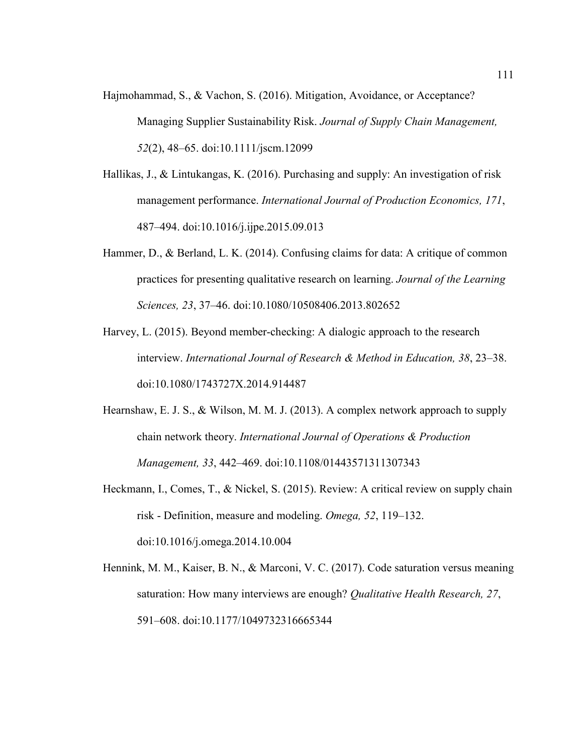- Hajmohammad, S., & Vachon, S. (2016). Mitigation, Avoidance, or Acceptance? Managing Supplier Sustainability Risk. *Journal of Supply Chain Management, 52*(2), 48–65. doi:10.1111/jscm.12099
- Hallikas, J., & Lintukangas, K. (2016). Purchasing and supply: An investigation of risk management performance. *International Journal of Production Economics, 171*, 487–494. doi:10.1016/j.ijpe.2015.09.013
- Hammer, D., & Berland, L. K. (2014). Confusing claims for data: A critique of common practices for presenting qualitative research on learning. *Journal of the Learning Sciences, 23*, 37–46. doi:10.1080/10508406.2013.802652
- Harvey, L. (2015). Beyond member-checking: A dialogic approach to the research interview. *International Journal of Research & Method in Education, 38*, 23–38. doi:10.1080/1743727X.2014.914487
- Hearnshaw, E. J. S., & Wilson, M. M. J. (2013). A complex network approach to supply chain network theory. *International Journal of Operations & Production Management, 33*, 442–469. doi:10.1108/01443571311307343
- Heckmann, I., Comes, T., & Nickel, S. (2015). Review: A critical review on supply chain risk - Definition, measure and modeling. *Omega, 52*, 119–132. doi:10.1016/j.omega.2014.10.004
- Hennink, M. M., Kaiser, B. N., & Marconi, V. C. (2017). Code saturation versus meaning saturation: How many interviews are enough? *Qualitative Health Research, 27*, 591–608. doi:10.1177/1049732316665344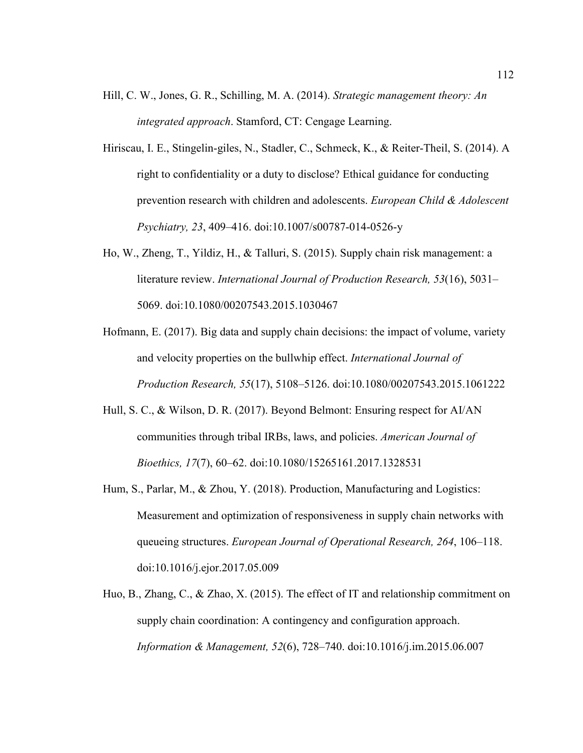- Hill, C. W., Jones, G. R., Schilling, M. A. (2014). *Strategic management theory: An integrated approach*. Stamford, CT: Cengage Learning.
- Hiriscau, I. E., Stingelin-giles, N., Stadler, C., Schmeck, K., & Reiter-Theil, S. (2014). A right to confidentiality or a duty to disclose? Ethical guidance for conducting prevention research with children and adolescents. *European Child & Adolescent Psychiatry, 23*, 409–416. doi:10.1007/s00787-014-0526-y
- Ho, W., Zheng, T., Yildiz, H., & Talluri, S. (2015). Supply chain risk management: a literature review. *International Journal of Production Research, 53*(16), 5031– 5069. doi:10.1080/00207543.2015.1030467
- Hofmann, E. (2017). Big data and supply chain decisions: the impact of volume, variety and velocity properties on the bullwhip effect. *International Journal of Production Research, 55*(17), 5108–5126. doi:10.1080/00207543.2015.1061222
- Hull, S. C., & Wilson, D. R. (2017). Beyond Belmont: Ensuring respect for AI/AN communities through tribal IRBs, laws, and policies. *American Journal of Bioethics, 17*(7), 60–62. doi:10.1080/15265161.2017.1328531
- Hum, S., Parlar, M., & Zhou, Y. (2018). Production, Manufacturing and Logistics: Measurement and optimization of responsiveness in supply chain networks with queueing structures. *European Journal of Operational Research, 264*, 106–118. doi:10.1016/j.ejor.2017.05.009
- Huo, B., Zhang, C., & Zhao, X. (2015). The effect of IT and relationship commitment on supply chain coordination: A contingency and configuration approach. *Information & Management, 52*(6), 728–740. doi:10.1016/j.im.2015.06.007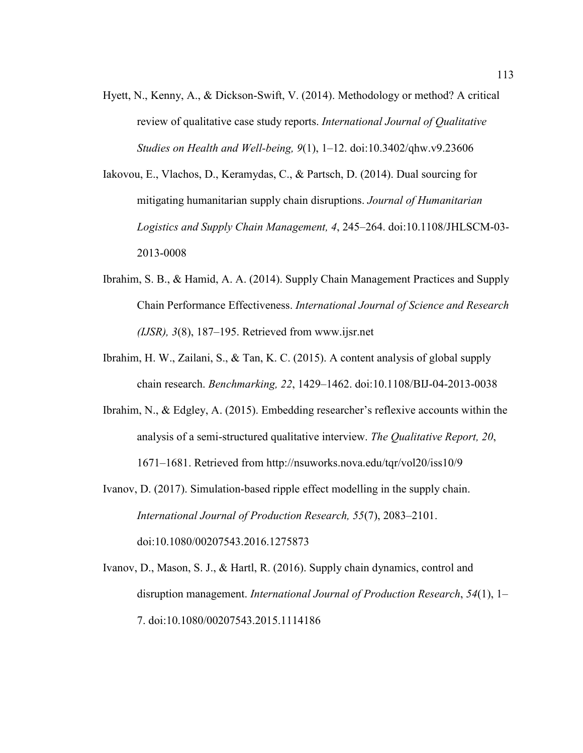- Hyett, N., Kenny, A., & Dickson-Swift, V. (2014). Methodology or method? A critical review of qualitative case study reports. *International Journal of Qualitative Studies on Health and Well-being, 9*(1), 1–12. doi:10.3402/qhw.v9.23606
- Iakovou, E., Vlachos, D., Keramydas, C., & Partsch, D. (2014). Dual sourcing for mitigating humanitarian supply chain disruptions. *Journal of Humanitarian Logistics and Supply Chain Management, 4*, 245–264. doi:10.1108/JHLSCM-03- 2013-0008
- Ibrahim, S. B., & Hamid, A. A. (2014). Supply Chain Management Practices and Supply Chain Performance Effectiveness. *International Journal of Science and Research (IJSR), 3*(8), 187–195. Retrieved from www.ijsr.net
- Ibrahim, H. W., Zailani, S., & Tan, K. C. (2015). A content analysis of global supply chain research. *Benchmarking, 22*, 1429–1462. doi:10.1108/BIJ-04-2013-0038
- Ibrahim, N., & Edgley, A. (2015). Embedding researcher's reflexive accounts within the analysis of a semi-structured qualitative interview. *The Qualitative Report, 20*, 1671–1681. Retrieved from http://nsuworks.nova.edu/tqr/vol20/iss10/9
- Ivanov, D. (2017). Simulation-based ripple effect modelling in the supply chain. *International Journal of Production Research, 55*(7), 2083–2101. doi:10.1080/00207543.2016.1275873
- Ivanov, D., Mason, S. J., & Hartl, R. (2016). Supply chain dynamics, control and disruption management. *International Journal of Production Research*, *54*(1), 1– 7. doi:10.1080/00207543.2015.1114186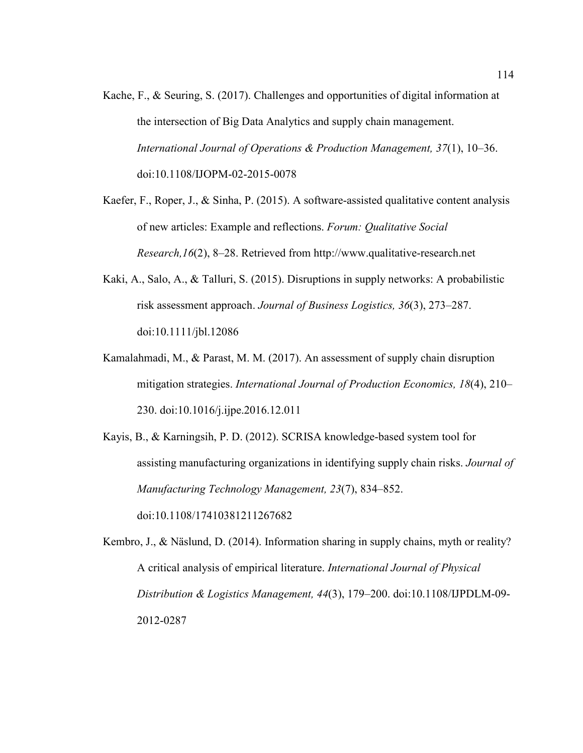- Kache, F., & Seuring, S. (2017). Challenges and opportunities of digital information at the intersection of Big Data Analytics and supply chain management. *International Journal of Operations & Production Management, 37*(1), 10–36. doi:10.1108/IJOPM-02-2015-0078
- Kaefer, F., Roper, J., & Sinha, P. (2015). A software-assisted qualitative content analysis of new articles: Example and reflections. *Forum: Qualitative Social Research,16*(2), 8–28. Retrieved from http://www.qualitative-research.net
- Kaki, A., Salo, A., & Talluri, S. (2015). Disruptions in supply networks: A probabilistic risk assessment approach. *Journal of Business Logistics, 36*(3), 273–287. doi:10.1111/jbl.12086
- Kamalahmadi, M., & Parast, M. M. (2017). An assessment of supply chain disruption mitigation strategies. *International Journal of Production Economics, 18*(4), 210– 230. doi:10.1016/j.ijpe.2016.12.011
- Kayis, B., & Karningsih, P. D. (2012). SCRISA knowledge-based system tool for assisting manufacturing organizations in identifying supply chain risks. *Journal of Manufacturing Technology Management, 23*(7), 834–852. doi:10.1108/17410381211267682

Kembro, J., & Näslund, D. (2014). Information sharing in supply chains, myth or reality? A critical analysis of empirical literature. *International Journal of Physical Distribution & Logistics Management, 44*(3), 179–200. doi:10.1108/IJPDLM-09- 2012-0287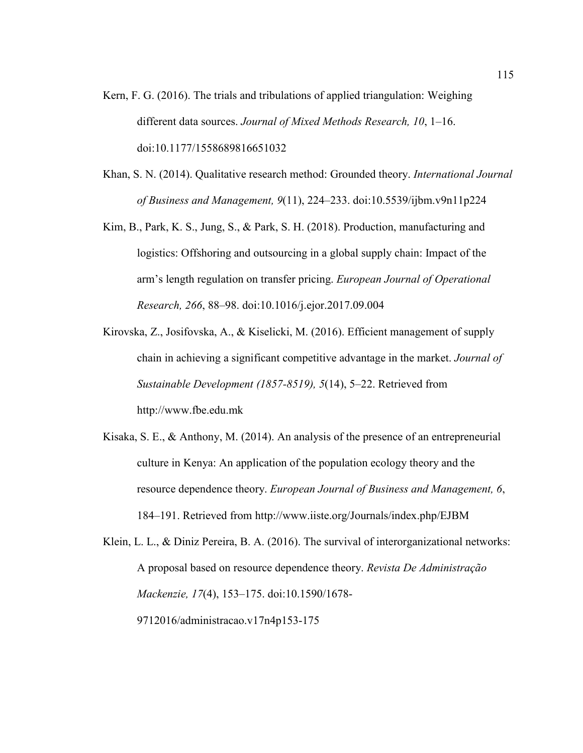- Kern, F. G. (2016). The trials and tribulations of applied triangulation: Weighing different data sources. *Journal of Mixed Methods Research, 10*, 1–16. doi:10.1177/1558689816651032
- Khan, S. N. (2014). Qualitative research method: Grounded theory. *International Journal of Business and Management, 9*(11), 224–233. doi:10.5539/ijbm.v9n11p224
- Kim, B., Park, K. S., Jung, S., & Park, S. H. (2018). Production, manufacturing and logistics: Offshoring and outsourcing in a global supply chain: Impact of the arm's length regulation on transfer pricing. *European Journal of Operational Research, 266*, 88–98. doi:10.1016/j.ejor.2017.09.004
- Kirovska, Z., Josifovska, A., & Kiselicki, M. (2016). Efficient management of supply chain in achieving a significant competitive advantage in the market. *Journal of Sustainable Development (1857-8519), 5*(14), 5–22. Retrieved from http://www.fbe.edu.mk
- Kisaka, S. E., & Anthony, M. (2014). An analysis of the presence of an entrepreneurial culture in Kenya: An application of the population ecology theory and the resource dependence theory. *European Journal of Business and Management, 6*, 184–191. Retrieved from http://www.iiste.org/Journals/index.php/EJBM
- Klein, L. L., & Diniz Pereira, B. A. (2016). The survival of interorganizational networks: A proposal based on resource dependence theory. *Revista De Administração Mackenzie, 17*(4), 153–175. doi:10.1590/1678- 9712016/administracao.v17n4p153-175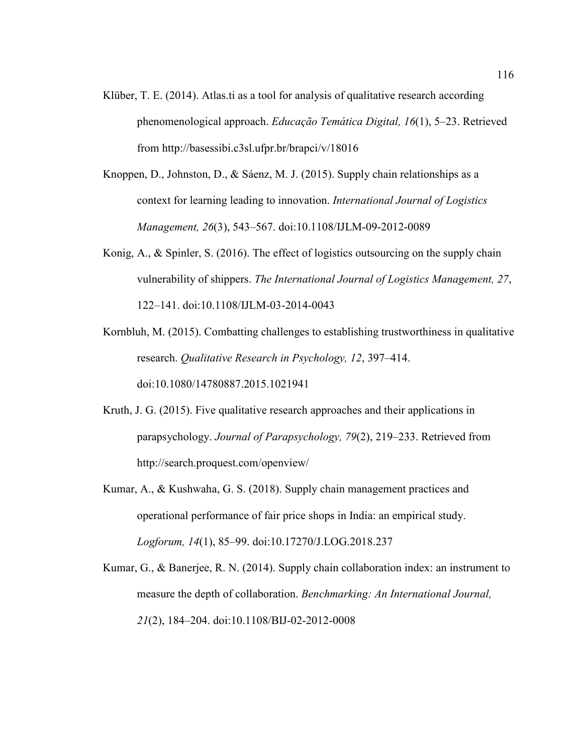- Klüber, T. E. (2014). Atlas.ti as a tool for analysis of qualitative research according phenomenological approach. *Educação Temática Digital, 16*(1), 5–23. Retrieved from http://basessibi.c3sl.ufpr.br/brapci/v/18016
- Knoppen, D., Johnston, D., & Sáenz, M. J. (2015). Supply chain relationships as a context for learning leading to innovation. *International Journal of Logistics Management, 26*(3), 543–567. doi:10.1108/IJLM-09-2012-0089
- Konig, A., & Spinler, S. (2016). The effect of logistics outsourcing on the supply chain vulnerability of shippers. *The International Journal of Logistics Management, 27*, 122–141. doi:10.1108/IJLM-03-2014-0043

Kornbluh, M. (2015). Combatting challenges to establishing trustworthiness in qualitative research. *Qualitative Research in Psychology, 12*, 397–414. doi:10.1080/14780887.2015.1021941

- Kruth, J. G. (2015). Five qualitative research approaches and their applications in parapsychology. *Journal of Parapsychology, 79*(2), 219–233. Retrieved from http://search.proquest.com/openview/
- Kumar, A., & Kushwaha, G. S. (2018). Supply chain management practices and operational performance of fair price shops in India: an empirical study. *Logforum, 14*(1), 85–99. doi:10.17270/J.LOG.2018.237

Kumar, G., & Banerjee, R. N. (2014). Supply chain collaboration index: an instrument to measure the depth of collaboration. *Benchmarking: An International Journal, 21*(2), 184–204. doi:10.1108/BIJ-02-2012-0008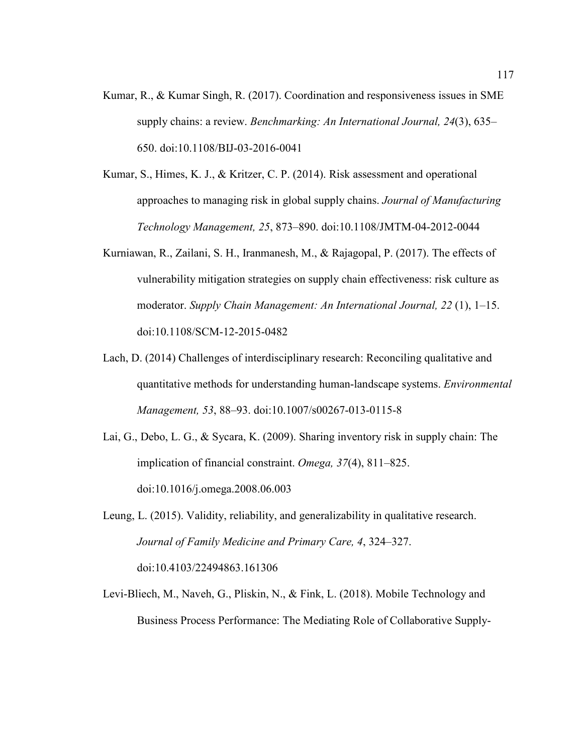- Kumar, R., & Kumar Singh, R. (2017). Coordination and responsiveness issues in SME supply chains: a review. *Benchmarking: An International Journal, 24*(3), 635– 650. doi:10.1108/BIJ-03-2016-0041
- Kumar, S., Himes, K. J., & Kritzer, C. P. (2014). Risk assessment and operational approaches to managing risk in global supply chains. *Journal of Manufacturing Technology Management, 25*, 873–890. doi:10.1108/JMTM-04-2012-0044
- Kurniawan, R., Zailani, S. H., Iranmanesh, M., & Rajagopal, P. (2017). The effects of vulnerability mitigation strategies on supply chain effectiveness: risk culture as moderator. *Supply Chain Management: An International Journal, 22* (1), 1–15. doi:10.1108/SCM-12-2015-0482
- Lach, D. (2014) Challenges of interdisciplinary research: Reconciling qualitative and quantitative methods for understanding human-landscape systems. *Environmental Management, 53*, 88–93. doi:10.1007/s00267-013-0115-8
- Lai, G., Debo, L. G., & Sycara, K. (2009). Sharing inventory risk in supply chain: The implication of financial constraint. *Omega, 37*(4), 811–825. doi:10.1016/j.omega.2008.06.003
- Leung, L. (2015). Validity, reliability, and generalizability in qualitative research. *Journal of Family Medicine and Primary Care, 4*, 324–327. doi:10.4103/22494863.161306
- Levi-Bliech, M., Naveh, G., Pliskin, N., & Fink, L. (2018). Mobile Technology and Business Process Performance: The Mediating Role of Collaborative Supply-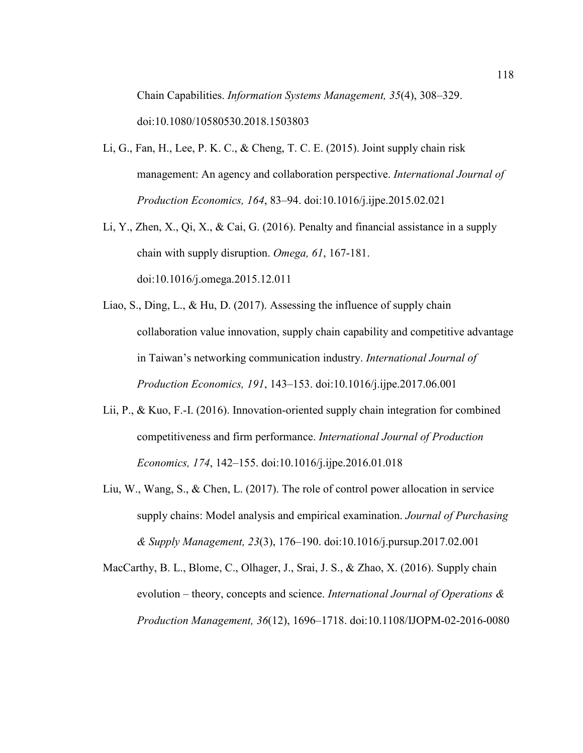Chain Capabilities. *Information Systems Management, 35*(4), 308–329. doi:10.1080/10580530.2018.1503803

- Li, G., Fan, H., Lee, P. K. C., & Cheng, T. C. E. (2015). Joint supply chain risk management: An agency and collaboration perspective. *International Journal of Production Economics, 164*, 83–94. doi:10.1016/j.ijpe.2015.02.021
- Li, Y., Zhen, X., Qi, X., & Cai, G. (2016). Penalty and financial assistance in a supply chain with supply disruption. *Omega, 61*, 167-181. doi:10.1016/j.omega.2015.12.011
- Liao, S., Ding, L., & Hu, D. (2017). Assessing the influence of supply chain collaboration value innovation, supply chain capability and competitive advantage in Taiwan's networking communication industry. *International Journal of Production Economics, 191*, 143–153. doi:10.1016/j.ijpe.2017.06.001
- Lii, P., & Kuo, F.-I. (2016). Innovation-oriented supply chain integration for combined competitiveness and firm performance. *International Journal of Production Economics, 174*, 142–155. doi:10.1016/j.ijpe.2016.01.018
- Liu, W., Wang, S., & Chen, L. (2017). The role of control power allocation in service supply chains: Model analysis and empirical examination. *Journal of Purchasing & Supply Management, 23*(3), 176–190. doi:10.1016/j.pursup.2017.02.001
- MacCarthy, B. L., Blome, C., Olhager, J., Srai, J. S., & Zhao, X. (2016). Supply chain evolution – theory, concepts and science. *International Journal of Operations & Production Management, 36*(12), 1696–1718. doi:10.1108/IJOPM-02-2016-0080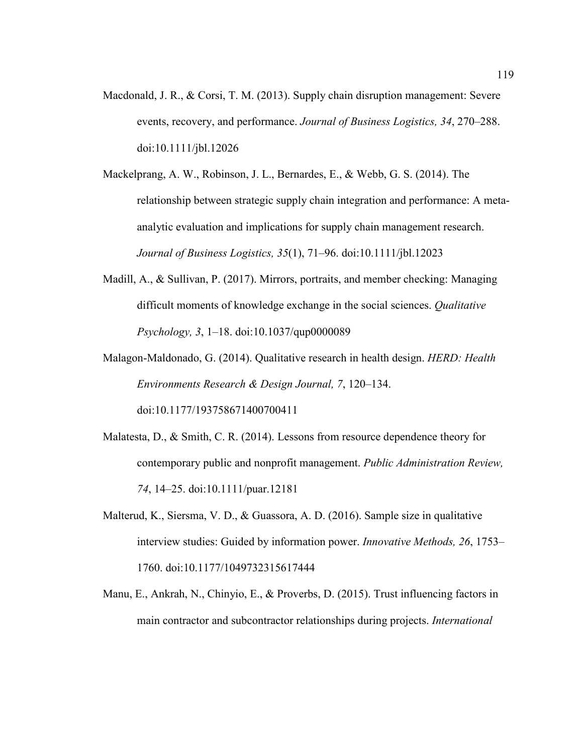- Macdonald, J. R., & Corsi, T. M. (2013). Supply chain disruption management: Severe events, recovery, and performance. *Journal of Business Logistics, 34*, 270–288. doi:10.1111/jbl.12026
- Mackelprang, A. W., Robinson, J. L., Bernardes, E., & Webb, G. S. (2014). The relationship between strategic supply chain integration and performance: A metaanalytic evaluation and implications for supply chain management research. *Journal of Business Logistics, 35*(1), 71–96. doi:10.1111/jbl.12023
- Madill, A., & Sullivan, P. (2017). Mirrors, portraits, and member checking: Managing difficult moments of knowledge exchange in the social sciences. *Qualitative Psychology, 3*, 1–18. doi:10.1037/qup0000089
- Malagon-Maldonado, G. (2014). Qualitative research in health design. *HERD: Health Environments Research & Design Journal, 7*, 120–134. doi:10.1177/193758671400700411
- Malatesta, D., & Smith, C. R. (2014). Lessons from resource dependence theory for contemporary public and nonprofit management. *Public Administration Review, 74*, 14–25. doi:10.1111/puar.12181
- Malterud, K., Siersma, V. D., & Guassora, A. D. (2016). Sample size in qualitative interview studies: Guided by information power. *Innovative Methods, 26*, 1753– 1760. doi:10.1177/1049732315617444
- Manu, E., Ankrah, N., Chinyio, E., & Proverbs, D. (2015). Trust influencing factors in main contractor and subcontractor relationships during projects. *International*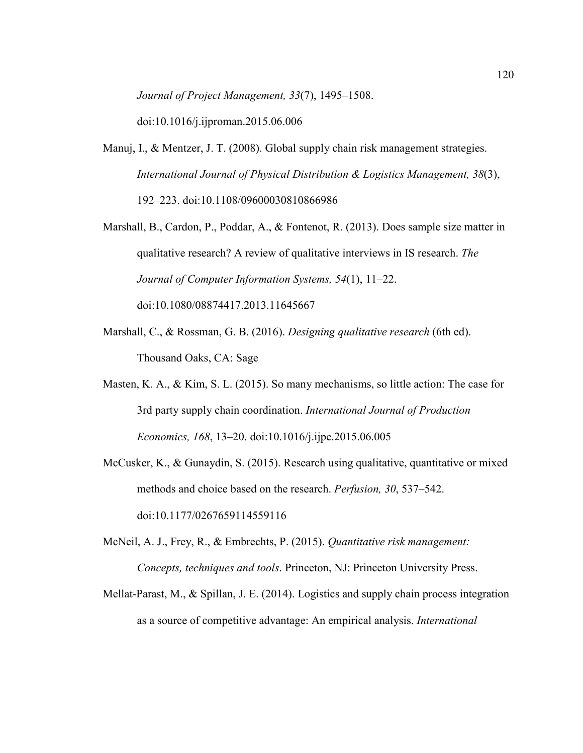*Journal of Project Management, 33*(7), 1495–1508.

doi:10.1016/j.ijproman.2015.06.006

- Manuj, I., & Mentzer, J. T. (2008). Global supply chain risk management strategies. *International Journal of Physical Distribution & Logistics Management, 38*(3), 192–223. doi:10.1108/09600030810866986
- Marshall, B., Cardon, P., Poddar, A., & Fontenot, R. (2013). Does sample size matter in qualitative research? A review of qualitative interviews in IS research. *The Journal of Computer Information Systems, 54*(1), 11–22. doi:10.1080/08874417.2013.11645667
- Marshall, C., & Rossman, G. B. (2016). *Designing qualitative research* (6th ed). Thousand Oaks, CA: Sage
- Masten, K. A., & Kim, S. L. (2015). So many mechanisms, so little action: The case for 3rd party supply chain coordination. *International Journal of Production Economics, 168*, 13–20. doi:10.1016/j.ijpe.2015.06.005
- McCusker, K., & Gunaydin, S. (2015). Research using qualitative, quantitative or mixed methods and choice based on the research. *Perfusion, 30*, 537–542. doi:10.1177/0267659114559116
- McNeil, A. J., Frey, R., & Embrechts, P. (2015). *Quantitative risk management: Concepts, techniques and tools*. Princeton, NJ: Princeton University Press.
- Mellat-Parast, M., & Spillan, J. E. (2014). Logistics and supply chain process integration as a source of competitive advantage: An empirical analysis. *International*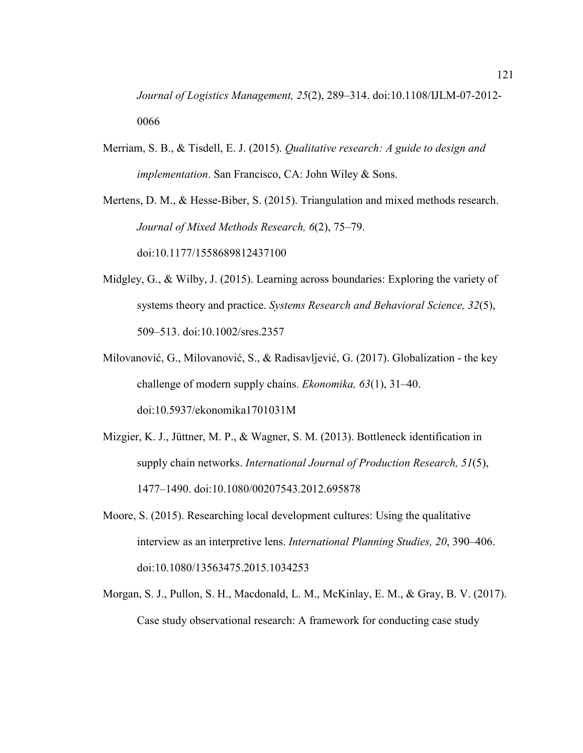*Journal of Logistics Management, 25*(2), 289–314. doi:10.1108/IJLM-07-2012- 0066

Merriam, S. B., & Tisdell, E. J. (2015). *Qualitative research: A guide to design and implementation*. San Francisco, CA: John Wiley & Sons.

Mertens, D. M., & Hesse-Biber, S. (2015). Triangulation and mixed methods research. *Journal of Mixed Methods Research, 6*(2), 75–79. doi:10.1177/1558689812437100

- Midgley, G., & Wilby, J. (2015). Learning across boundaries: Exploring the variety of systems theory and practice. *Systems Research and Behavioral Science, 32*(5), 509–513. doi:10.1002/sres.2357
- Milovanović, G., Milovanović, S., & Radisavljević, G. (2017). Globalization the key challenge of modern supply chains. *Ekonomika, 63*(1), 31–40. doi:10.5937/ekonomika1701031M
- Mizgier, K. J., Jüttner, M. P., & Wagner, S. M. (2013). Bottleneck identification in supply chain networks. *International Journal of Production Research, 51*(5), 1477–1490. doi:10.1080/00207543.2012.695878
- Moore, S. (2015). Researching local development cultures: Using the qualitative interview as an interpretive lens. *International Planning Studies, 20*, 390–406. doi:10.1080/13563475.2015.1034253
- Morgan, S. J., Pullon, S. H., Macdonald, L. M., McKinlay, E. M., & Gray, B. V. (2017). Case study observational research: A framework for conducting case study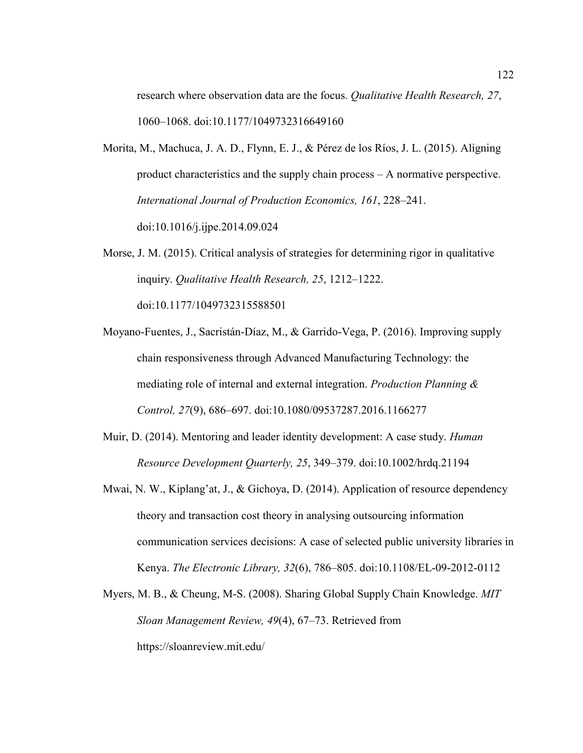research where observation data are the focus. *Qualitative Health Research, 27*, 1060–1068. doi:10.1177/1049732316649160

- Morita, M., Machuca, J. A. D., Flynn, E. J., & Pérez de los Ríos, J. L. (2015). Aligning product characteristics and the supply chain process – A normative perspective. *International Journal of Production Economics, 161*, 228–241. doi:10.1016/j.ijpe.2014.09.024
- Morse, J. M. (2015). Critical analysis of strategies for determining rigor in qualitative inquiry. *Qualitative Health Research, 25*, 1212–1222. doi:10.1177/1049732315588501
- Moyano-Fuentes, J., Sacristán-Díaz, M., & Garrido-Vega, P. (2016). Improving supply chain responsiveness through Advanced Manufacturing Technology: the mediating role of internal and external integration. *Production Planning & Control, 27*(9), 686–697. doi:10.1080/09537287.2016.1166277
- Muir, D. (2014). Mentoring and leader identity development: A case study. *Human Resource Development Quarterly, 25*, 349–379. doi:10.1002/hrdq.21194
- Mwai, N. W., Kiplang'at, J., & Gichoya, D. (2014). Application of resource dependency theory and transaction cost theory in analysing outsourcing information communication services decisions: A case of selected public university libraries in Kenya. *The Electronic Library, 32*(6), 786–805. doi:10.1108/EL-09-2012-0112
- Myers, M. B., & Cheung, M-S. (2008). Sharing Global Supply Chain Knowledge. *MIT Sloan Management Review, 49*(4), 67–73. Retrieved from https://sloanreview.mit.edu/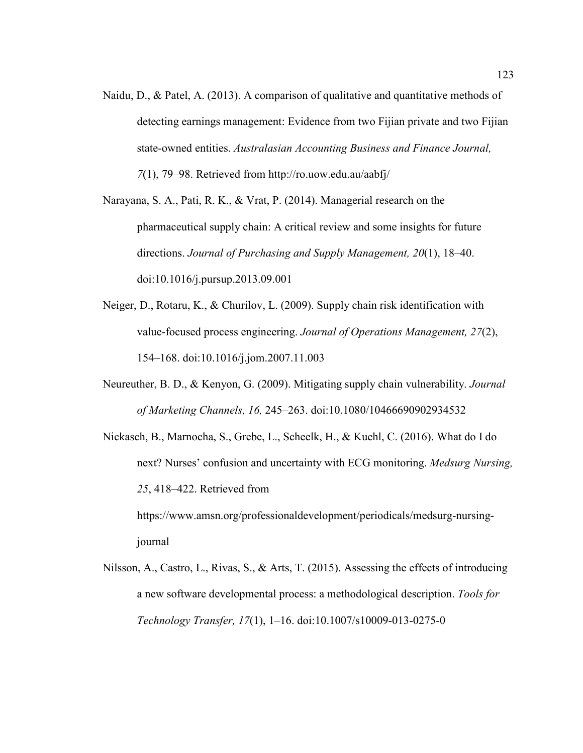Naidu, D., & Patel, A. (2013). A comparison of qualitative and quantitative methods of detecting earnings management: Evidence from two Fijian private and two Fijian state-owned entities. *Australasian Accounting Business and Finance Journal, 7*(1), 79–98. Retrieved from http://ro.uow.edu.au/aabfj/

Narayana, S. A., Pati, R. K., & Vrat, P. (2014). Managerial research on the pharmaceutical supply chain: A critical review and some insights for future directions. *Journal of Purchasing and Supply Management, 20*(1), 18–40. doi:10.1016/j.pursup.2013.09.001

- Neiger, D., Rotaru, K., & Churilov, L. (2009). Supply chain risk identification with value-focused process engineering. *Journal of Operations Management, 27*(2), 154–168. doi:10.1016/j.jom.2007.11.003
- Neureuther, B. D., & Kenyon, G. (2009). Mitigating supply chain vulnerability. *Journal of Marketing Channels, 16,* 245–263. doi:10.1080/10466690902934532
- Nickasch, B., Marnocha, S., Grebe, L., Scheelk, H., & Kuehl, C. (2016). What do I do next? Nurses' confusion and uncertainty with ECG monitoring. *Medsurg Nursing, 25*, 418–422. Retrieved from https://www.amsn.org/professionaldevelopment/periodicals/medsurg-nursingjournal

Nilsson, A., Castro, L., Rivas, S., & Arts, T. (2015). Assessing the effects of introducing a new software developmental process: a methodological description. *Tools for Technology Transfer, 17*(1), 1–16. doi:10.1007/s10009-013-0275-0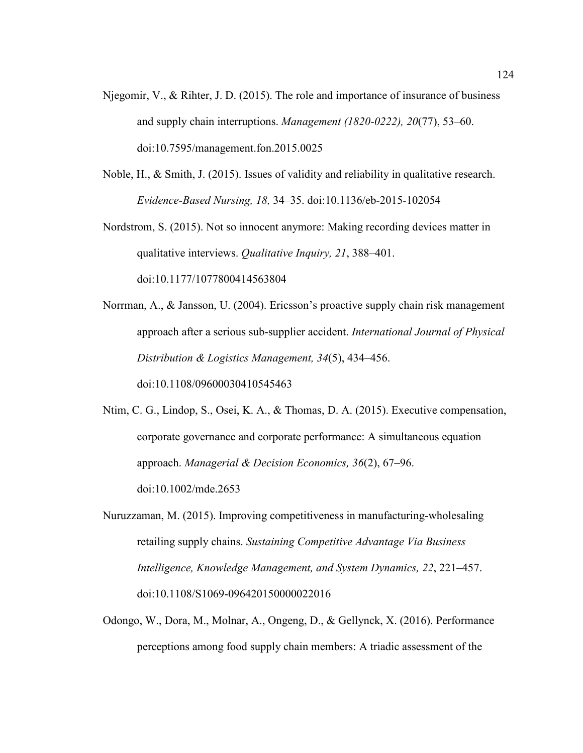- Njegomir, V., & Rihter, J. D. (2015). The role and importance of insurance of business and supply chain interruptions. *Management (1820-0222), 20*(77), 53–60. doi:10.7595/management.fon.2015.0025
- Noble, H., & Smith, J. (2015). Issues of validity and reliability in qualitative research. *Evidence-Based Nursing, 18,* 34–35. doi:10.1136/eb-2015-102054
- Nordstrom, S. (2015). Not so innocent anymore: Making recording devices matter in qualitative interviews. *Qualitative Inquiry, 21*, 388–401. doi:10.1177/1077800414563804
- Norrman, A., & Jansson, U. (2004). Ericsson's proactive supply chain risk management approach after a serious sub-supplier accident. *International Journal of Physical Distribution & Logistics Management, 34*(5), 434–456. doi:10.1108/09600030410545463
- Ntim, C. G., Lindop, S., Osei, K. A., & Thomas, D. A. (2015). Executive compensation, corporate governance and corporate performance: A simultaneous equation approach. *Managerial & Decision Economics, 36*(2), 67–96. doi:10.1002/mde.2653
- Nuruzzaman, M. (2015). Improving competitiveness in manufacturing-wholesaling retailing supply chains. *Sustaining Competitive Advantage Via Business Intelligence, Knowledge Management, and System Dynamics, 22*, 221–457. doi:10.1108/S1069-096420150000022016
- Odongo, W., Dora, M., Molnar, A., Ongeng, D., & Gellynck, X. (2016). Performance perceptions among food supply chain members: A triadic assessment of the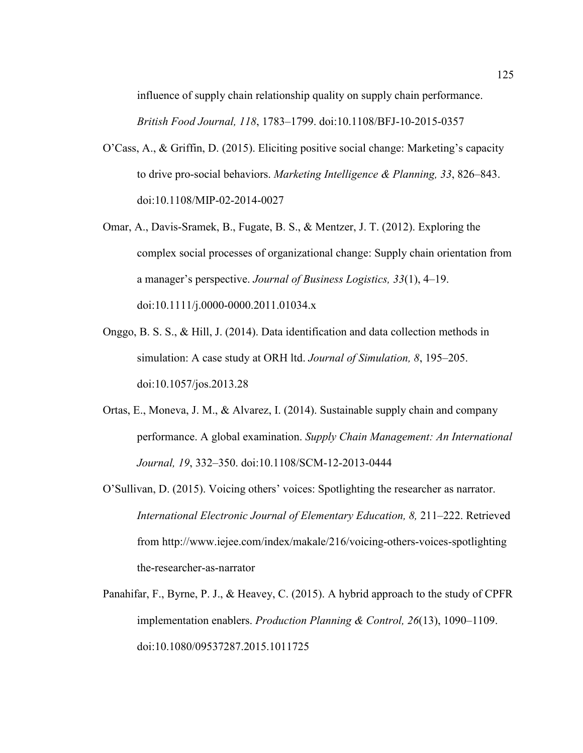influence of supply chain relationship quality on supply chain performance.

*British Food Journal, 118*, 1783–1799. doi:10.1108/BFJ-10-2015-0357

- O'Cass, A., & Griffin, D. (2015). Eliciting positive social change: Marketing's capacity to drive pro-social behaviors. *Marketing Intelligence & Planning, 33*, 826–843. doi:10.1108/MIP-02-2014-0027
- Omar, A., Davis-Sramek, B., Fugate, B. S., & Mentzer, J. T. (2012). Exploring the complex social processes of organizational change: Supply chain orientation from a manager's perspective. *Journal of Business Logistics, 33*(1), 4–19. doi:10.1111/j.0000-0000.2011.01034.x
- Onggo, B. S. S., & Hill, J. (2014). Data identification and data collection methods in simulation: A case study at ORH ltd. *Journal of Simulation, 8*, 195–205. doi:10.1057/jos.2013.28
- Ortas, E., Moneva, J. M., & Alvarez, I. (2014). Sustainable supply chain and company performance. A global examination. *Supply Chain Management: An International Journal, 19*, 332–350. doi:10.1108/SCM-12-2013-0444
- O'Sullivan, D. (2015). Voicing others' voices: Spotlighting the researcher as narrator. *International Electronic Journal of Elementary Education, 8,* 211–222. Retrieved from http://www.iejee.com/index/makale/216/voicing-others-voices-spotlighting the-researcher-as-narrator
- Panahifar, F., Byrne, P. J., & Heavey, C. (2015). A hybrid approach to the study of CPFR implementation enablers. *Production Planning & Control, 26*(13), 1090–1109. doi:10.1080/09537287.2015.1011725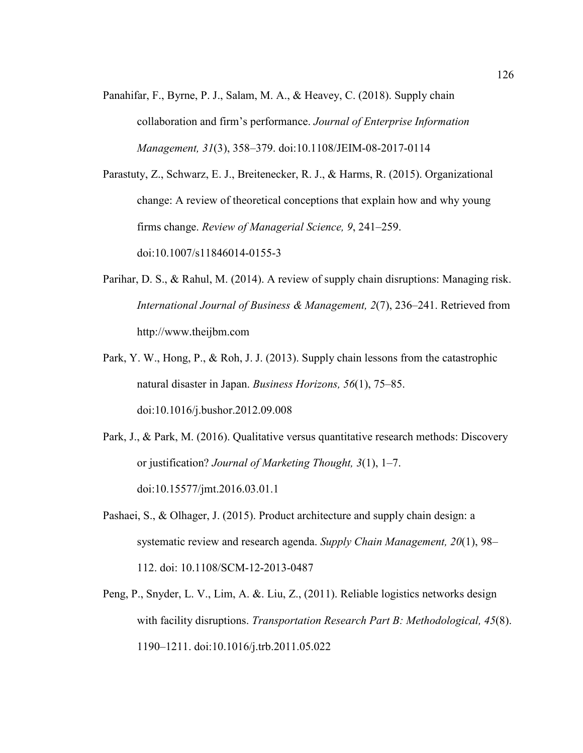Panahifar, F., Byrne, P. J., Salam, M. A., & Heavey, C. (2018). Supply chain collaboration and firm's performance. *Journal of Enterprise Information Management, 31*(3), 358–379. doi:10.1108/JEIM-08-2017-0114

Parastuty, Z., Schwarz, E. J., Breitenecker, R. J., & Harms, R. (2015). Organizational change: A review of theoretical conceptions that explain how and why young firms change. *Review of Managerial Science, 9*, 241–259. doi:10.1007/s11846014-0155-3

- Parihar, D. S., & Rahul, M. (2014). A review of supply chain disruptions: Managing risk. *International Journal of Business & Management, 2*(7), 236–241. Retrieved from http://www.theijbm.com
- Park, Y. W., Hong, P., & Roh, J. J. (2013). Supply chain lessons from the catastrophic natural disaster in Japan. *Business Horizons, 56*(1), 75–85. doi:10.1016/j.bushor.2012.09.008
- Park, J., & Park, M. (2016). Qualitative versus quantitative research methods: Discovery or justification? *Journal of Marketing Thought, 3*(1), 1–7. doi:10.15577/jmt.2016.03.01.1
- Pashaei, S., & Olhager, J. (2015). Product architecture and supply chain design: a systematic review and research agenda. *Supply Chain Management, 20*(1), 98– 112. doi: 10.1108/SCM-12-2013-0487
- Peng, P., Snyder, L. V., Lim, A. &. Liu, Z., (2011). Reliable logistics networks design with facility disruptions. *Transportation Research Part B: Methodological, 45*(8). 1190–1211. doi:10.1016/j.trb.2011.05.022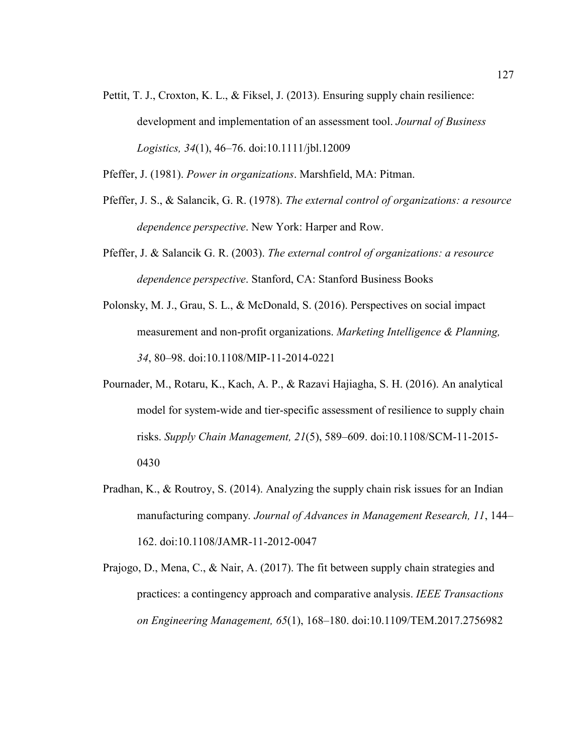Pettit, T. J., Croxton, K. L., & Fiksel, J. (2013). Ensuring supply chain resilience: development and implementation of an assessment tool. *Journal of Business Logistics, 34*(1), 46–76. doi:10.1111/jbl.12009

Pfeffer, J. (1981). *Power in organizations*. Marshfield, MA: Pitman.

- Pfeffer, J. S., & Salancik, G. R. (1978). *The external control of organizations: a resource dependence perspective*. New York: Harper and Row.
- Pfeffer, J. & Salancik G. R. (2003). *The external control of organizations: a resource dependence perspective*. Stanford, CA: Stanford Business Books
- Polonsky, M. J., Grau, S. L., & McDonald, S. (2016). Perspectives on social impact measurement and non-profit organizations. *Marketing Intelligence & Planning, 34*, 80–98. doi:10.1108/MIP-11-2014-0221
- Pournader, M., Rotaru, K., Kach, A. P., & Razavi Hajiagha, S. H. (2016). An analytical model for system-wide and tier-specific assessment of resilience to supply chain risks. *Supply Chain Management, 21*(5), 589–609. doi:10.1108/SCM-11-2015- 0430
- Pradhan, K., & Routroy, S. (2014). Analyzing the supply chain risk issues for an Indian manufacturing company*. Journal of Advances in Management Research, 11*, 144– 162. doi:10.1108/JAMR-11-2012-0047
- Prajogo, D., Mena, C., & Nair, A. (2017). The fit between supply chain strategies and practices: a contingency approach and comparative analysis. *IEEE Transactions on Engineering Management, 65*(1), 168–180. doi:10.1109/TEM.2017.2756982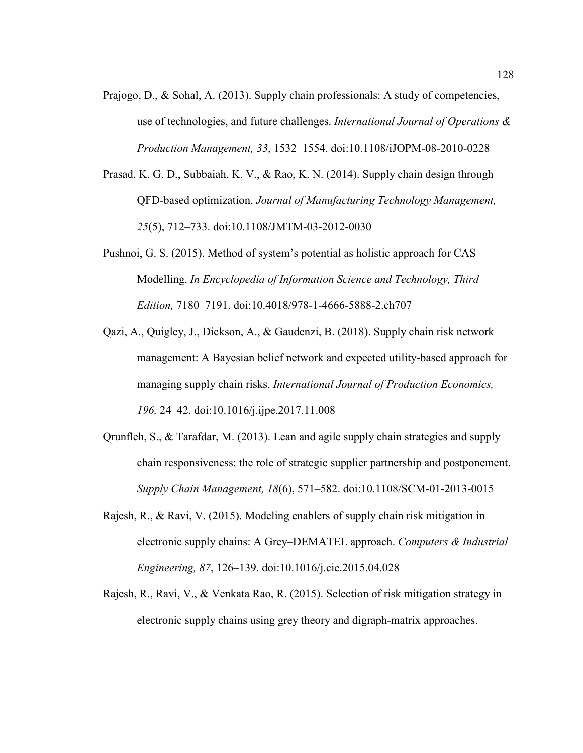- Prajogo, D., & Sohal, A. (2013). Supply chain professionals: A study of competencies, use of technologies, and future challenges. *International Journal of Operations & Production Management, 33*, 1532–1554. doi:10.1108/iJOPM-08-2010-0228
- Prasad, K. G. D., Subbaiah, K. V., & Rao, K. N. (2014). Supply chain design through QFD-based optimization. *Journal of Manufacturing Technology Management, 25*(5), 712–733. doi:10.1108/JMTM-03-2012-0030
- Pushnoi, G. S. (2015). Method of system's potential as holistic approach for CAS Modelling. *In Encyclopedia of Information Science and Technology, Third Edition,* 7180–7191. doi:10.4018/978-1-4666-5888-2.ch707
- Qazi, A., Quigley, J., Dickson, A., & Gaudenzi, B. (2018). Supply chain risk network management: A Bayesian belief network and expected utility-based approach for managing supply chain risks. *International Journal of Production Economics, 196,* 24–42. doi:10.1016/j.ijpe.2017.11.008
- Qrunfleh, S., & Tarafdar, M. (2013). Lean and agile supply chain strategies and supply chain responsiveness: the role of strategic supplier partnership and postponement. *Supply Chain Management, 18*(6), 571–582. doi:10.1108/SCM-01-2013-0015
- Rajesh, R., & Ravi, V. (2015). Modeling enablers of supply chain risk mitigation in electronic supply chains: A Grey–DEMATEL approach. *Computers & Industrial Engineering, 87*, 126–139. doi:10.1016/j.cie.2015.04.028
- Rajesh, R., Ravi, V., & Venkata Rao, R. (2015). Selection of risk mitigation strategy in electronic supply chains using grey theory and digraph-matrix approaches.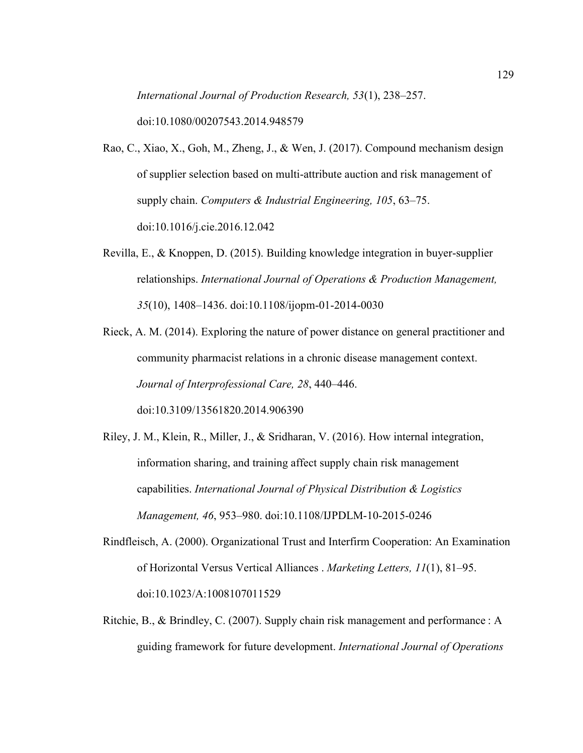*International Journal of Production Research, 53*(1), 238–257.

doi:10.1080/00207543.2014.948579

- Rao, C., Xiao, X., Goh, M., Zheng, J., & Wen, J. (2017). Compound mechanism design of supplier selection based on multi-attribute auction and risk management of supply chain. *Computers & Industrial Engineering, 105*, 63–75. doi:10.1016/j.cie.2016.12.042
- Revilla, E., & Knoppen, D. (2015). Building knowledge integration in buyer-supplier relationships. *International Journal of Operations & Production Management, 35*(10), 1408–1436. doi:10.1108/ijopm-01-2014-0030

Rieck, A. M. (2014). Exploring the nature of power distance on general practitioner and community pharmacist relations in a chronic disease management context. *Journal of Interprofessional Care, 28*, 440–446. doi:10.3109/13561820.2014.906390

- Riley, J. M., Klein, R., Miller, J., & Sridharan, V. (2016). How internal integration, information sharing, and training affect supply chain risk management capabilities. *International Journal of Physical Distribution & Logistics Management, 46*, 953–980. doi:10.1108/IJPDLM-10-2015-0246
- Rindfleisch, A. (2000). Organizational Trust and Interfirm Cooperation: An Examination of Horizontal Versus Vertical Alliances . *Marketing Letters, 11*(1), 81–95. doi:10.1023/A:1008107011529
- Ritchie, B., & Brindley, C. (2007). Supply chain risk management and performance : A guiding framework for future development. *International Journal of Operations*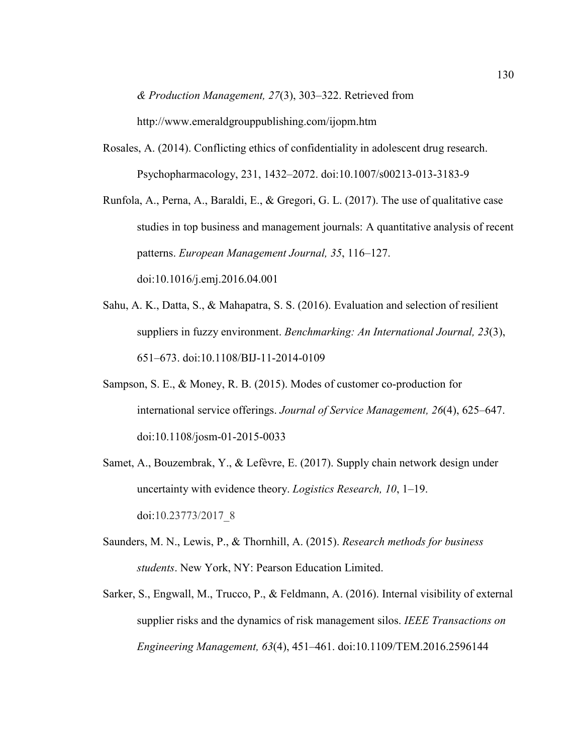*& Production Management, 27*(3), 303–322. Retrieved from

http://www.emeraldgrouppublishing.com/ijopm.htm

Rosales, A. (2014). Conflicting ethics of confidentiality in adolescent drug research. Psychopharmacology, 231, 1432–2072. doi:10.1007/s00213-013-3183-9

Runfola, A., Perna, A., Baraldi, E., & Gregori, G. L. (2017). The use of qualitative case studies in top business and management journals: A quantitative analysis of recent patterns. *European Management Journal, 35*, 116–127. doi:10.1016/j.emj.2016.04.001

- Sahu, A. K., Datta, S., & Mahapatra, S. S. (2016). Evaluation and selection of resilient suppliers in fuzzy environment. *Benchmarking: An International Journal, 23*(3), 651–673. doi:10.1108/BIJ-11-2014-0109
- Sampson, S. E., & Money, R. B. (2015). Modes of customer co-production for international service offerings. *Journal of Service Management, 26*(4), 625–647. doi:10.1108/josm-01-2015-0033
- Samet, A., Bouzembrak, Y., & Lefèvre, E. (2017). Supply chain network design under uncertainty with evidence theory. *Logistics Research, 10*, 1–19. doi:10.23773/2017\_8
- Saunders, M. N., Lewis, P., & Thornhill, A. (2015). *Research methods for business students*. New York, NY: Pearson Education Limited.
- Sarker, S., Engwall, M., Trucco, P., & Feldmann, A. (2016). Internal visibility of external supplier risks and the dynamics of risk management silos. *IEEE Transactions on Engineering Management, 63*(4), 451–461. doi:10.1109/TEM.2016.2596144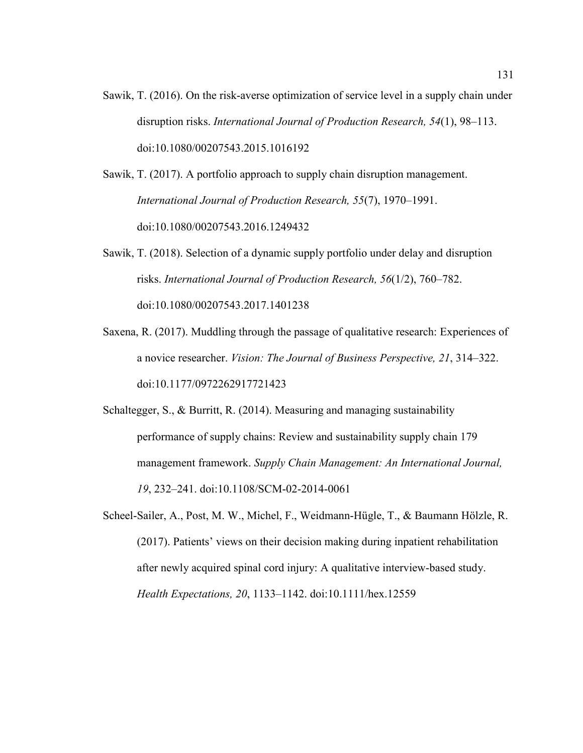Sawik, T. (2016). On the risk-averse optimization of service level in a supply chain under disruption risks. *International Journal of Production Research, 54*(1), 98–113. doi:10.1080/00207543.2015.1016192

Sawik, T. (2017). A portfolio approach to supply chain disruption management. *International Journal of Production Research, 55*(7), 1970–1991. doi:10.1080/00207543.2016.1249432

Sawik, T. (2018). Selection of a dynamic supply portfolio under delay and disruption risks. *International Journal of Production Research, 56*(1/2), 760–782. doi:10.1080/00207543.2017.1401238

Saxena, R. (2017). Muddling through the passage of qualitative research: Experiences of a novice researcher. *Vision: The Journal of Business Perspective, 21*, 314–322. doi:10.1177/0972262917721423

Schaltegger, S., & Burritt, R. (2014). Measuring and managing sustainability performance of supply chains: Review and sustainability supply chain 179 management framework. *Supply Chain Management: An International Journal, 19*, 232–241. doi:10.1108/SCM-02-2014-0061

Scheel-Sailer, A., Post, M. W., Michel, F., Weidmann-Hügle, T., & Baumann Hölzle, R. (2017). Patients' views on their decision making during inpatient rehabilitation after newly acquired spinal cord injury: A qualitative interview-based study. *Health Expectations, 20*, 1133–1142. doi:10.1111/hex.12559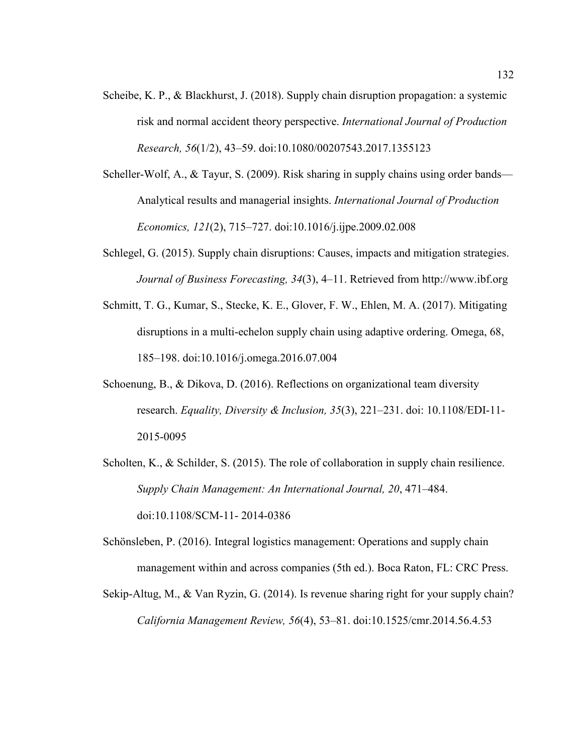- Scheibe, K. P., & Blackhurst, J. (2018). Supply chain disruption propagation: a systemic risk and normal accident theory perspective. *International Journal of Production Research, 56*(1/2), 43–59. doi:10.1080/00207543.2017.1355123
- Scheller-Wolf, A., & Tayur, S. (2009). Risk sharing in supply chains using order bands— Analytical results and managerial insights. *International Journal of Production Economics, 121*(2), 715–727. doi:10.1016/j.ijpe.2009.02.008
- Schlegel, G. (2015). Supply chain disruptions: Causes, impacts and mitigation strategies. *Journal of Business Forecasting, 34*(3), 4–11. Retrieved from http://www.ibf.org
- Schmitt, T. G., Kumar, S., Stecke, K. E., Glover, F. W., Ehlen, M. A. (2017). Mitigating disruptions in a multi-echelon supply chain using adaptive ordering. Omega, 68, 185–198. doi:10.1016/j.omega.2016.07.004
- Schoenung, B., & Dikova, D. (2016). Reflections on organizational team diversity research. *Equality, Diversity & Inclusion, 35*(3), 221–231. doi: 10.1108/EDI-11- 2015-0095
- Scholten, K., & Schilder, S. (2015). The role of collaboration in supply chain resilience. *Supply Chain Management: An International Journal, 20*, 471–484. doi:10.1108/SCM-11- 2014-0386
- Schönsleben, P. (2016). Integral logistics management: Operations and supply chain management within and across companies (5th ed.). Boca Raton, FL: CRC Press.
- Sekip-Altug, M., & Van Ryzin, G. (2014). Is revenue sharing right for your supply chain? *California Management Review, 56*(4), 53–81. doi:10.1525/cmr.2014.56.4.53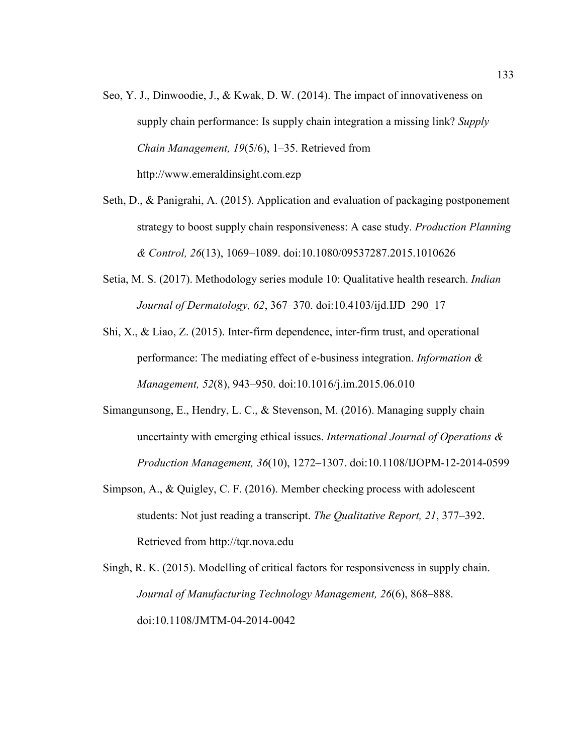- Seo, Y. J., Dinwoodie, J., & Kwak, D. W. (2014). The impact of innovativeness on supply chain performance: Is supply chain integration a missing link? *Supply Chain Management, 19*(5/6), 1–35. Retrieved from http://www.emeraldinsight.com.ezp
- Seth, D., & Panigrahi, A. (2015). Application and evaluation of packaging postponement strategy to boost supply chain responsiveness: A case study. *Production Planning & Control, 26*(13), 1069–1089. doi:10.1080/09537287.2015.1010626
- Setia, M. S. (2017). Methodology series module 10: Qualitative health research. *Indian Journal of Dermatology, 62*, 367–370. doi:10.4103/ijd.IJD\_290\_17
- Shi, X., & Liao, Z. (2015). Inter-firm dependence, inter-firm trust, and operational performance: The mediating effect of e-business integration. *Information & Management, 52*(8), 943–950. doi:10.1016/j.im.2015.06.010
- Simangunsong, E., Hendry, L. C., & Stevenson, M. (2016). Managing supply chain uncertainty with emerging ethical issues. *International Journal of Operations & Production Management, 36*(10), 1272–1307. doi:10.1108/IJOPM-12-2014-0599
- Simpson, A., & Quigley, C. F. (2016). Member checking process with adolescent students: Not just reading a transcript. *The Qualitative Report, 21*, 377–392. Retrieved from http://tqr.nova.edu
- Singh, R. K. (2015). Modelling of critical factors for responsiveness in supply chain. *Journal of Manufacturing Technology Management, 26*(6), 868–888. doi:10.1108/JMTM-04-2014-0042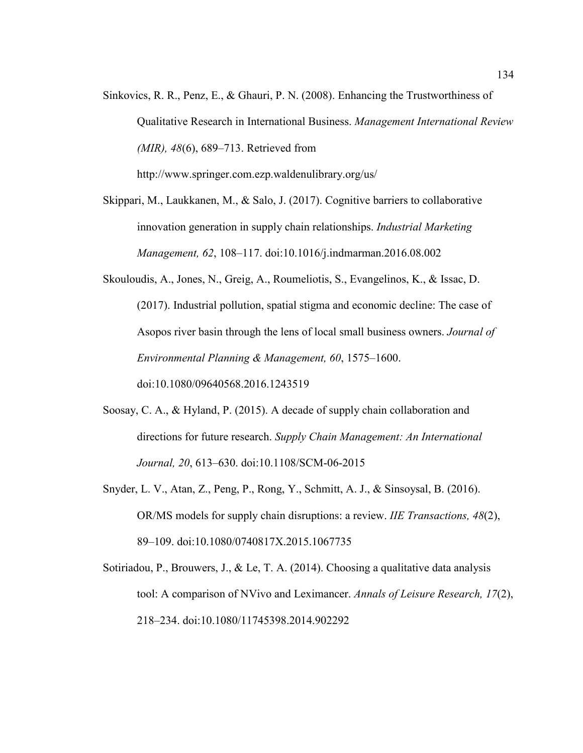Sinkovics, R. R., Penz, E., & Ghauri, P. N. (2008). Enhancing the Trustworthiness of Qualitative Research in International Business. *Management International Review (MIR), 48*(6), 689–713. Retrieved from

http://www.springer.com.ezp.waldenulibrary.org/us/

Skippari, M., Laukkanen, M., & Salo, J. (2017). Cognitive barriers to collaborative innovation generation in supply chain relationships. *Industrial Marketing Management, 62*, 108–117. doi:10.1016/j.indmarman.2016.08.002

- Skouloudis, A., Jones, N., Greig, A., Roumeliotis, S., Evangelinos, K., & Issac, D. (2017). Industrial pollution, spatial stigma and economic decline: The case of Asopos river basin through the lens of local small business owners. *Journal of Environmental Planning & Management, 60*, 1575–1600. doi:10.1080/09640568.2016.1243519
- Soosay, C. A., & Hyland, P. (2015). A decade of supply chain collaboration and directions for future research. *Supply Chain Management: An International Journal, 20*, 613–630. doi:10.1108/SCM-06-2015
- Snyder, L. V., Atan, Z., Peng, P., Rong, Y., Schmitt, A. J., & Sinsoysal, B. (2016). OR/MS models for supply chain disruptions: a review. *IIE Transactions, 48*(2), 89–109. doi:10.1080/0740817X.2015.1067735
- Sotiriadou, P., Brouwers, J., & Le, T. A. (2014). Choosing a qualitative data analysis tool: A comparison of NVivo and Leximancer. *Annals of Leisure Research, 17*(2), 218–234. doi:10.1080/11745398.2014.902292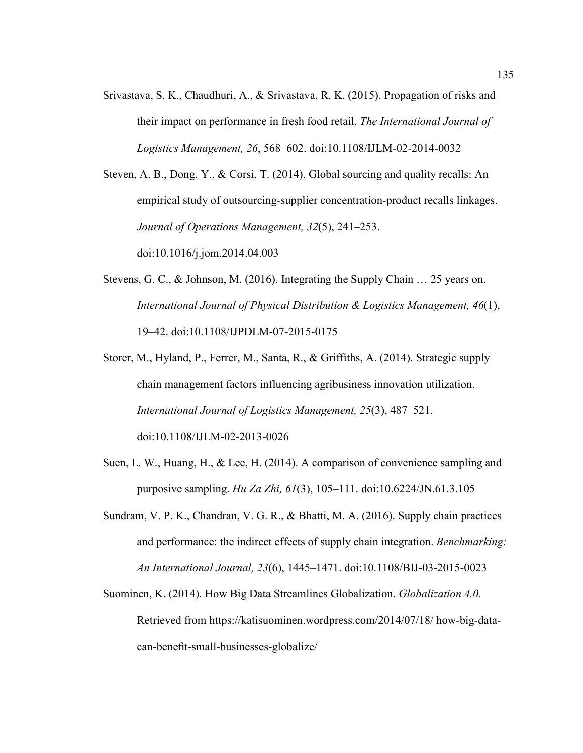Srivastava, S. K., Chaudhuri, A., & Srivastava, R. K. (2015). Propagation of risks and their impact on performance in fresh food retail. *The International Journal of Logistics Management, 26*, 568–602. doi:10.1108/IJLM-02-2014-0032

Steven, A. B., Dong, Y., & Corsi, T. (2014). Global sourcing and quality recalls: An empirical study of outsourcing-supplier concentration-product recalls linkages. *Journal of Operations Management, 32*(5), 241–253.

doi:10.1016/j.jom.2014.04.003

- Stevens, G. C., & Johnson, M. (2016). Integrating the Supply Chain … 25 years on. *International Journal of Physical Distribution & Logistics Management, 46*(1), 19–42. doi:10.1108/IJPDLM-07-2015-0175
- Storer, M., Hyland, P., Ferrer, M., Santa, R., & Griffiths, A. (2014). Strategic supply chain management factors influencing agribusiness innovation utilization. *International Journal of Logistics Management, 25*(3), 487–521.

doi:10.1108/IJLM-02-2013-0026

- Suen, L. W., Huang, H., & Lee, H. (2014). A comparison of convenience sampling and purposive sampling. *Hu Za Zhi, 61*(3), 105–111. doi:10.6224/JN.61.3.105
- Sundram, V. P. K., Chandran, V. G. R., & Bhatti, M. A. (2016). Supply chain practices and performance: the indirect effects of supply chain integration. *Benchmarking: An International Journal, 23*(6), 1445–1471. doi:10.1108/BIJ-03-2015-0023
- Suominen, K. (2014). How Big Data Streamlines Globalization. *Globalization 4.0.* Retrieved from https://katisuominen.wordpress.com/2014/07/18/ how-big-datacan-benefit-small-businesses-globalize/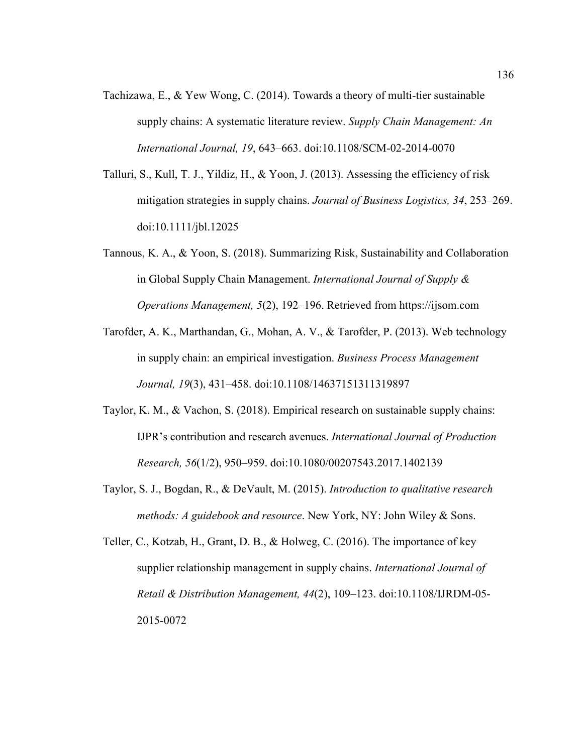- Tachizawa, E., & Yew Wong, C. (2014). Towards a theory of multi-tier sustainable supply chains: A systematic literature review. *Supply Chain Management: An International Journal, 19*, 643–663. doi:10.1108/SCM-02-2014-0070
- Talluri, S., Kull, T. J., Yildiz, H., & Yoon, J. (2013). Assessing the efficiency of risk mitigation strategies in supply chains. *Journal of Business Logistics, 34*, 253–269. doi:10.1111/jbl.12025
- Tannous, K. A., & Yoon, S. (2018). Summarizing Risk, Sustainability and Collaboration in Global Supply Chain Management. *International Journal of Supply & Operations Management, 5*(2), 192–196. Retrieved from https://ijsom.com
- Tarofder, A. K., Marthandan, G., Mohan, A. V., & Tarofder, P. (2013). Web technology in supply chain: an empirical investigation. *Business Process Management Journal, 19*(3), 431–458. doi:10.1108/14637151311319897
- Taylor, K. M., & Vachon, S. (2018). Empirical research on sustainable supply chains: IJPR's contribution and research avenues. *International Journal of Production Research, 56*(1/2), 950–959. doi:10.1080/00207543.2017.1402139
- Taylor, S. J., Bogdan, R., & DeVault, M. (2015). *Introduction to qualitative research methods: A guidebook and resource*. New York, NY: John Wiley & Sons.
- Teller, C., Kotzab, H., Grant, D. B., & Holweg, C. (2016). The importance of key supplier relationship management in supply chains. *International Journal of Retail & Distribution Management, 44*(2), 109–123. doi:10.1108/IJRDM-05- 2015-0072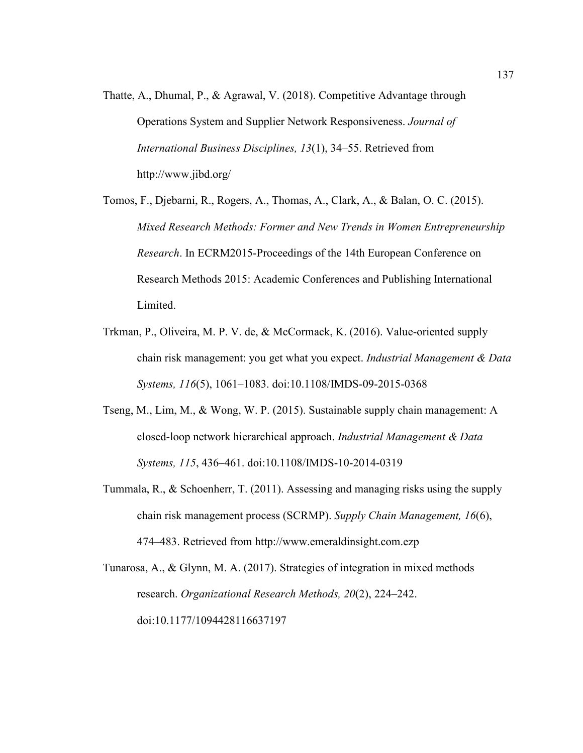- Thatte, A., Dhumal, P., & Agrawal, V. (2018). Competitive Advantage through Operations System and Supplier Network Responsiveness. *Journal of International Business Disciplines, 13*(1), 34–55. Retrieved from http://www.jibd.org/
- Tomos, F., Djebarni, R., Rogers, A., Thomas, A., Clark, A., & Balan, O. C. (2015). *Mixed Research Methods: Former and New Trends in Women Entrepreneurship Research*. In ECRM2015-Proceedings of the 14th European Conference on Research Methods 2015: Academic Conferences and Publishing International Limited.
- Trkman, P., Oliveira, M. P. V. de, & McCormack, K. (2016). Value-oriented supply chain risk management: you get what you expect. *Industrial Management & Data Systems, 116*(5), 1061–1083. doi:10.1108/IMDS-09-2015-0368
- Tseng, M., Lim, M., & Wong, W. P. (2015). Sustainable supply chain management: A closed-loop network hierarchical approach. *Industrial Management & Data Systems, 115*, 436–461. doi:10.1108/IMDS-10-2014-0319
- Tummala, R., & Schoenherr, T. (2011). Assessing and managing risks using the supply chain risk management process (SCRMP). *Supply Chain Management, 16*(6), 474–483. Retrieved from http://www.emeraldinsight.com.ezp

Tunarosa, A., & Glynn, M. A. (2017). Strategies of integration in mixed methods research. *Organizational Research Methods, 20*(2), 224–242. doi:10.1177/1094428116637197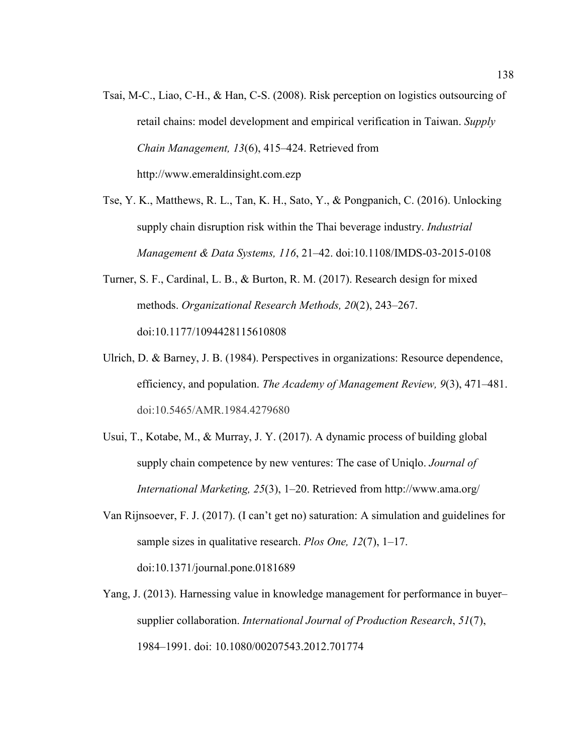- Tsai, M-C., Liao, C-H., & Han, C-S. (2008). Risk perception on logistics outsourcing of retail chains: model development and empirical verification in Taiwan. *Supply Chain Management, 13*(6), 415–424. Retrieved from http://www.emeraldinsight.com.ezp
- Tse, Y. K., Matthews, R. L., Tan, K. H., Sato, Y., & Pongpanich, C. (2016). Unlocking supply chain disruption risk within the Thai beverage industry. *Industrial Management & Data Systems, 116*, 21–42. doi:10.1108/IMDS-03-2015-0108
- Turner, S. F., Cardinal, L. B., & Burton, R. M. (2017). Research design for mixed methods. *Organizational Research Methods, 20*(2), 243–267. doi:10.1177/1094428115610808
- Ulrich, D. & Barney, J. B. (1984). Perspectives in organizations: Resource dependence, efficiency, and population. *The Academy of Management Review, 9*(3), 471–481. doi:10.5465/AMR.1984.4279680
- Usui, T., Kotabe, M., & Murray, J. Y. (2017). A dynamic process of building global supply chain competence by new ventures: The case of Uniqlo. *Journal of International Marketing, 25*(3), 1–20. Retrieved from http://www.ama.org/
- Van Rijnsoever, F. J. (2017). (I can't get no) saturation: A simulation and guidelines for sample sizes in qualitative research. *Plos One, 12*(7), 1–17. doi:10.1371/journal.pone.0181689
- Yang, J. (2013). Harnessing value in knowledge management for performance in buyer– supplier collaboration. *International Journal of Production Research*, *51*(7), 1984–1991. doi: 10.1080/00207543.2012.701774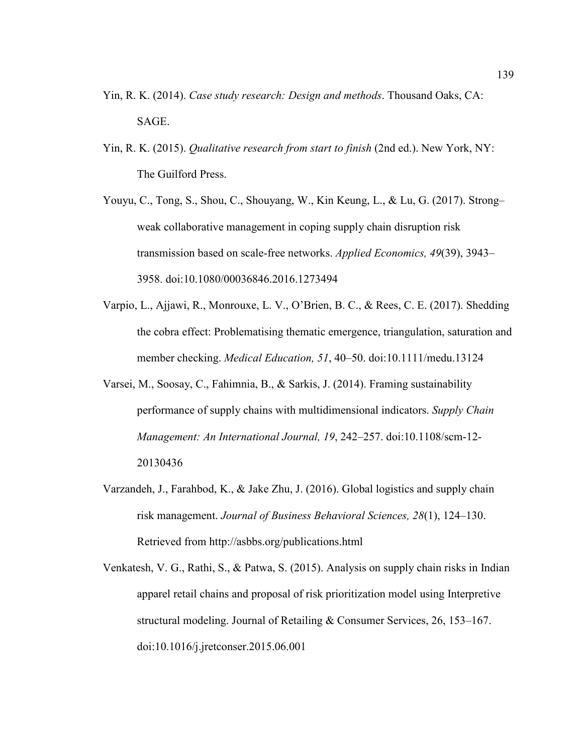- Yin, R. K. (2014). *Case study research: Design and methods*. Thousand Oaks, CA: SAGE.
- Yin, R. K. (2015). *Qualitative research from start to finish* (2nd ed.). New York, NY: The Guilford Press.
- Youyu, C., Tong, S., Shou, C., Shouyang, W., Kin Keung, L., & Lu, G. (2017). Strong– weak collaborative management in coping supply chain disruption risk transmission based on scale-free networks. *Applied Economics, 49*(39), 3943– 3958. doi:10.1080/00036846.2016.1273494
- Varpio, L., Ajjawi, R., Monrouxe, L. V., O'Brien, B. C., & Rees, C. E. (2017). Shedding the cobra effect: Problematising thematic emergence, triangulation, saturation and member checking. *Medical Education, 51*, 40–50. doi:10.1111/medu.13124
- Varsei, M., Soosay, C., Fahimnia, B., & Sarkis, J. (2014). Framing sustainability performance of supply chains with multidimensional indicators. *Supply Chain Management: An International Journal, 19*, 242–257. doi:10.1108/scm-12- 20130436
- Varzandeh, J., Farahbod, K., & Jake Zhu, J. (2016). Global logistics and supply chain risk management. *Journal of Business Behavioral Sciences, 28*(1), 124–130. Retrieved from http://asbbs.org/publications.html
- Venkatesh, V. G., Rathi, S., & Patwa, S. (2015). Analysis on supply chain risks in Indian apparel retail chains and proposal of risk prioritization model using Interpretive structural modeling. Journal of Retailing & Consumer Services, 26, 153–167. doi:10.1016/j.jretconser.2015.06.001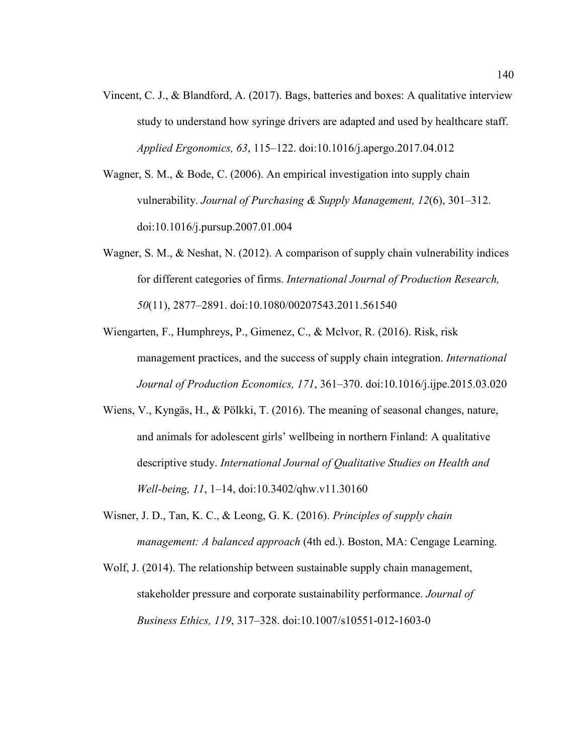- Vincent, C. J., & Blandford, A. (2017). Bags, batteries and boxes: A qualitative interview study to understand how syringe drivers are adapted and used by healthcare staff. *Applied Ergonomics, 63*, 115–122. doi:10.1016/j.apergo.2017.04.012
- Wagner, S. M., & Bode, C. (2006). An empirical investigation into supply chain vulnerability. *Journal of Purchasing & Supply Management, 12*(6), 301–312. doi:10.1016/j.pursup.2007.01.004
- Wagner, S. M., & Neshat, N. (2012). A comparison of supply chain vulnerability indices for different categories of firms. *International Journal of Production Research, 50*(11), 2877–2891. doi:10.1080/00207543.2011.561540
- Wiengarten, F., Humphreys, P., Gimenez, C., & Mclvor, R. (2016). Risk, risk management practices, and the success of supply chain integration. *International Journal of Production Economics, 171*, 361–370. doi:10.1016/j.ijpe.2015.03.020
- Wiens, V., Kyngäs, H., & Pölkki, T. (2016). The meaning of seasonal changes, nature, and animals for adolescent girls' wellbeing in northern Finland: A qualitative descriptive study. *International Journal of Qualitative Studies on Health and Well-being, 11*, 1–14, doi:10.3402/qhw.v11.30160
- Wisner, J. D., Tan, K. C., & Leong, G. K. (2016). *Principles of supply chain management: A balanced approach* (4th ed.). Boston, MA: Cengage Learning.
- Wolf, J. (2014). The relationship between sustainable supply chain management, stakeholder pressure and corporate sustainability performance. *Journal of Business Ethics, 119*, 317–328. doi:10.1007/s10551-012-1603-0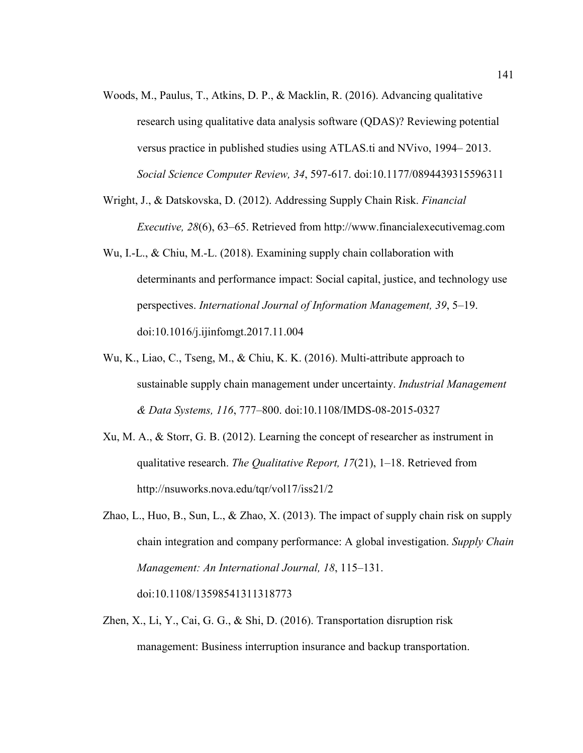- Woods, M., Paulus, T., Atkins, D. P., & Macklin, R. (2016). Advancing qualitative research using qualitative data analysis software (QDAS)? Reviewing potential versus practice in published studies using ATLAS.ti and NVivo, 1994– 2013. *Social Science Computer Review, 34*, 597-617. doi:10.1177/0894439315596311
- Wright, J., & Datskovska, D. (2012). Addressing Supply Chain Risk. *Financial Executive, 28*(6), 63–65. Retrieved from http://www.financialexecutivemag.com
- Wu, I.-L., & Chiu, M.-L. (2018). Examining supply chain collaboration with determinants and performance impact: Social capital, justice, and technology use perspectives. *International Journal of Information Management, 39*, 5–19. doi:10.1016/j.ijinfomgt.2017.11.004
- Wu, K., Liao, C., Tseng, M., & Chiu, K. K. (2016). Multi-attribute approach to sustainable supply chain management under uncertainty. *Industrial Management & Data Systems, 116*, 777–800. doi:10.1108/IMDS-08-2015-0327
- Xu, M. A., & Storr, G. B. (2012). Learning the concept of researcher as instrument in qualitative research. *The Qualitative Report, 17*(21), 1–18. Retrieved from http://nsuworks.nova.edu/tqr/vol17/iss21/2
- Zhao, L., Huo, B., Sun, L., & Zhao, X. (2013). The impact of supply chain risk on supply chain integration and company performance: A global investigation. *Supply Chain Management: An International Journal, 18*, 115–131. doi:10.1108/13598541311318773
- Zhen, X., Li, Y., Cai, G. G., & Shi, D. (2016). Transportation disruption risk management: Business interruption insurance and backup transportation.